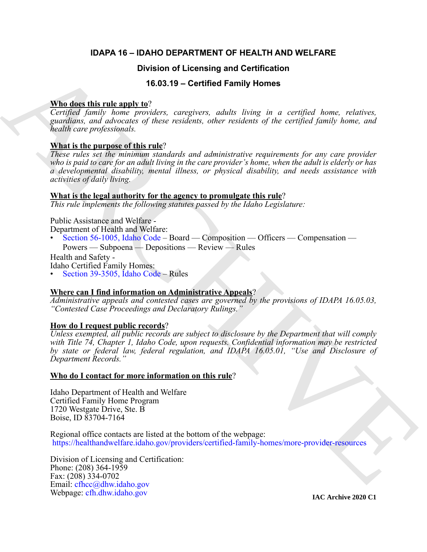# **IDAPA 16 – IDAHO DEPARTMENT OF HEALTH AND WELFARE**

# **Division of Licensing and Certification**

# **16.03.19 – Certified Family Homes**

## **Who does this rule apply to**?

*Certified family home providers, caregivers, adults living in a certified home, relatives, guardians, and advocates of these residents, other residents of the certified family home, and health care professionals.*

## **What is the purpose of this rule**?

**Division of Licensing and Certification**<br> **Whichers this rule and Y to 2011 C** contributed Family Homes correlated home, relatives,<br>
consider, and absorption these considers, only a received family bones and<br>
kandle ca *These rules set the minimum standards and administrative requirements for any care provider who is paid to care for an adult living in the care provider's home, when the adult is elderly or has a developmental disability, mental illness, or physical disability, and needs assistance with activities of daily living.*

### **What is the legal authority for the agency to promulgate this rule**?

*This rule implements the following statutes passed by the Idaho Legislature:*

Public Assistance and Welfare - Department of Health and Welfare:

• Section 56-1005, Idaho Code – Board — Composition — Officers — Compensation —

Powers — Subpoena — Depositions — Review — Rules

Health and Safety -

Idaho Certified Family Homes:

• Section 39-3505, Idaho Code – Rules

### **Where can I find information on Administrative Appeals**?

*Administrative appeals and contested cases are governed by the provisions of IDAPA 16.05.03, "Contested Case Proceedings and Declaratory Rulings."*

### **How do I request public records**?

*Unless exempted, all public records are subject to disclosure by the Department that will comply with Title 74, Chapter 1, Idaho Code, upon requests. Confidential information may be restricted by state or federal law, federal regulation, and IDAPA 16.05.01, "Use and Disclosure of Department Records."* 

### **Who do I contact for more information on this rule**?

Idaho Department of Health and Welfare Certified Family Home Program 1720 Westgate Drive, Ste. B Boise, ID 83704-7164

Regional office contacts are listed at the bottom of the webpage: https://healthandwelfare.idaho.gov/providers/certified-family-homes/more-provider-resources

Division of Licensing and Certification: Phone: (208) 364-1959 Fax: (208) 334-0702 Email: cfhcc@dhw.idaho.gov Webpage: [cfh.dhw.idaho.gov](http://cfh.dhw.idaho.gov)

**IAC Archive 2020 C1**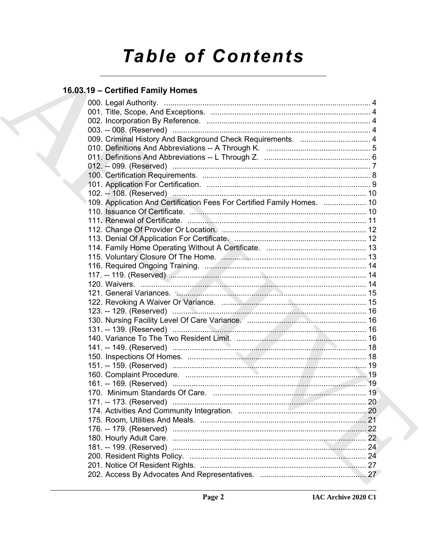# **Table of Contents**

# 16.03.19 - Certified Family Homes

| 009. Criminal History And Background Check Requirements.  4             |  |
|-------------------------------------------------------------------------|--|
|                                                                         |  |
|                                                                         |  |
|                                                                         |  |
|                                                                         |  |
|                                                                         |  |
|                                                                         |  |
| 109. Application And Certification Fees For Certified Family Homes.  10 |  |
|                                                                         |  |
|                                                                         |  |
|                                                                         |  |
|                                                                         |  |
|                                                                         |  |
|                                                                         |  |
|                                                                         |  |
|                                                                         |  |
|                                                                         |  |
| 121. General Variances. <u>Communications</u> Communications and 15     |  |
|                                                                         |  |
|                                                                         |  |
|                                                                         |  |
|                                                                         |  |
|                                                                         |  |
|                                                                         |  |
|                                                                         |  |
|                                                                         |  |
|                                                                         |  |
|                                                                         |  |
|                                                                         |  |
|                                                                         |  |
|                                                                         |  |
|                                                                         |  |
|                                                                         |  |
|                                                                         |  |
|                                                                         |  |
|                                                                         |  |
|                                                                         |  |
|                                                                         |  |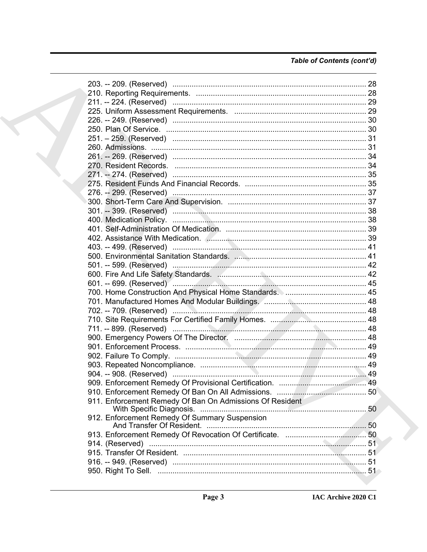# Table of Contents (cont'd)

|  | 211. -- 224. (Reserved) ……………………………………………………………………………… 29 |  |
|--|-----------------------------------------------------------|--|
|  |                                                           |  |
|  |                                                           |  |
|  |                                                           |  |
|  |                                                           |  |
|  |                                                           |  |
|  |                                                           |  |
|  |                                                           |  |
|  |                                                           |  |
|  |                                                           |  |
|  |                                                           |  |
|  |                                                           |  |
|  |                                                           |  |
|  |                                                           |  |
|  |                                                           |  |
|  |                                                           |  |
|  |                                                           |  |
|  |                                                           |  |
|  |                                                           |  |
|  |                                                           |  |
|  |                                                           |  |
|  |                                                           |  |
|  | 601. -- 699. (Reserved) ………………………………………………………………………… 45   |  |
|  |                                                           |  |
|  |                                                           |  |
|  |                                                           |  |
|  |                                                           |  |
|  |                                                           |  |
|  |                                                           |  |
|  |                                                           |  |
|  |                                                           |  |
|  |                                                           |  |
|  |                                                           |  |
|  |                                                           |  |
|  |                                                           |  |
|  | 911. Enforcement Remedy Of Ban On Admissions Of Resident  |  |
|  | 912. Enforcement Remedy Of Summary Suspension             |  |
|  |                                                           |  |
|  |                                                           |  |
|  |                                                           |  |
|  |                                                           |  |
|  |                                                           |  |
|  |                                                           |  |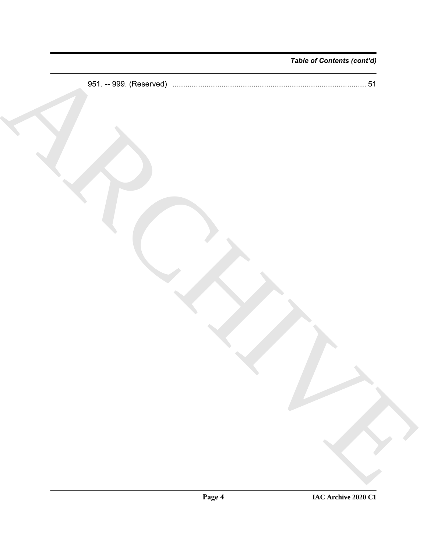*Table of Contents (cont'd)*

TRON R 951. -- 999. (Reserved) ........................................................................................... 51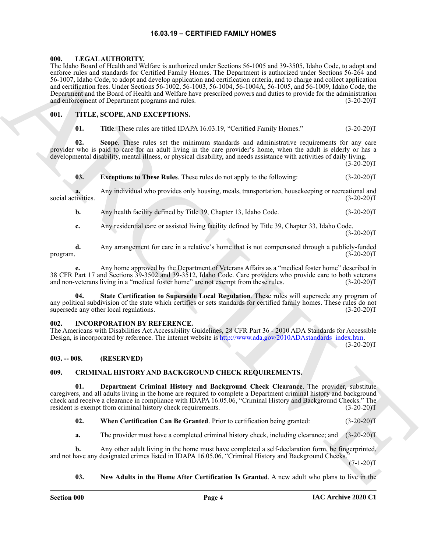#### **16.03.19 – CERTIFIED FAMILY HOMES**

#### <span id="page-4-11"></span><span id="page-4-1"></span><span id="page-4-0"></span>**000. LEGAL AUTHORITY.**

The Kalendo Controlled and Methods is particular and Methods in the Sol 200 SOL Radio Controlled and Methods Controlled and Methods Controlled and Methods Controlled and Methods Controlled and Methods Controlled and Metho The Idaho Board of Health and Welfare is authorized under Sections 56-1005 and 39-3505, Idaho Code, to adopt and enforce rules and standards for Certified Family Homes. The Department is authorized under Sections 56-264 and 56-1007, Idaho Code, to adopt and develop application and certification criteria, and to charge and collect application and certification fees. Under Sections 56-1002, 56-1003, 56-1004, 56-1004A, 56-1005, and 56-1009, Idaho Code, the Department and the Board of Health and Welfare have prescribed powers and duties to provide for the administration and enforcement of Department programs and rules. (3-20-20)T

#### <span id="page-4-2"></span>**001. TITLE, SCOPE, AND EXCEPTIONS.**

#### <span id="page-4-12"></span>**01. Title**. These rules are titled IDAPA 16.03.19, "Certified Family Homes." (3-20-20)T

**02. Scope**. These rules set the minimum standards and administrative requirements for any care provider who is paid to care for an adult living in the care provider's home, when the adult is elderly or has a developmental disability, mental illness, or physical disability, and needs assistance with activities of daily living.

 $(3-20-20)T$ 

#### **03. Exceptions to These Rules**. These rules do not apply to the following: (3-20-20)T

**a.** Any individual who provides only housing, meals, transportation, housekeeping or recreational and social activities. (3-20-20)T

**b.** Any health facility defined by Title 39, Chapter 13, Idaho Code. (3-20-20)T

**c.** Any residential care or assisted living facility defined by Title 39, Chapter 33, Idaho Code.

 $(3-20-20)T$ 

**d.** Any arrangement for care in a relative's home that is not compensated through a publicly-funded program.  $(3-20-20)T$ 

**e.** Any home approved by the Department of Veterans Affairs as a "medical foster home" described in 38 CFR Part 17 and Sections 39-3502 and 39-3512, Idaho Code. Care providers who provide care to both veterans and non-veterans living in a "medical foster home" are not exempt from these rules. (3-20-20)T

**04. State Certification to Supersede Local Regulation**. These rules will supersede any program of any political subdivision of the state which certifies or sets standards for certified family homes. These rules do not supersede any other local regulations. (3-20-20) supersede any other local regulations.

#### <span id="page-4-10"></span><span id="page-4-3"></span>**002. INCORPORATION BY REFERENCE.**

The Americans with Disabilities Act Accessibility Guidelines, 28 CFR Part 36 - 2010 ADA Standards for Accessible Design, is incorporated by reference. The internet website is http://www.ada.gov/2010ADAstandards\_index.htm.

 $(3-20-20)T$ 

#### <span id="page-4-4"></span>**003. -- 008. (RESERVED)**

#### <span id="page-4-6"></span><span id="page-4-5"></span>**009. CRIMINAL HISTORY AND BACKGROUND CHECK REQUIREMENTS.**

**01. Department Criminal History and Background Check Clearance**. The provider, substitute caregivers, and all adults living in the home are required to complete a Department criminal history and background check and receive a clearance in compliance with IDAPA 16.05.06, "Criminal History and Background Checks." The resident is exempt from criminal history check requirements. (3-20-20)T

<span id="page-4-9"></span><span id="page-4-7"></span>**02. When Certification Can Be Granted**. Prior to certification being granted: (3-20-20)T

**a.** The provider must have a completed criminal history check, including clearance; and  $(3-20-20)T$ 

**b.** Any other adult living in the home must have completed a self-declaration form, be fingerprinted, and not have any designated crimes listed in IDAPA 16.05.06, "Criminal History and Background Checks."

 $(7-1-20)T$ 

#### <span id="page-4-8"></span>**03. New Adults in the Home After Certification Is Granted**. A new adult who plans to live in the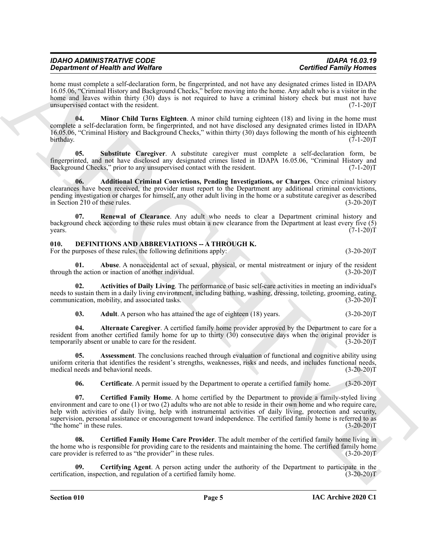| <b>IDAHO ADMINISTRATIVE CODE</b> |  |
|----------------------------------|--|
| Department of Health and Welfare |  |

home must complete a self-declaration form, be fingerprinted, and not have any designated crimes listed in IDAPA 16.05.06, "Criminal History and Background Checks," before moving into the home. Any adult who is a visitor in the home and leaves within thirty (30) days is not required to have a criminal history check but must not have unsupervised contact with the resident. (7-1-20)T

<span id="page-5-2"></span>**04. Minor Child Turns Eighteen**. A minor child turning eighteen (18) and living in the home must complete a self-declaration form, be fingerprinted, and not have disclosed any designated crimes listed in IDAPA 16.05.06, "Criminal History and Background Checks," within thirty (30) days following the month of his eighteenth  $\text{birthday.}$   $(7-1-20)$ T

<span id="page-5-4"></span>**05. Substitute Caregiver**. A substitute caregiver must complete a self-declaration form, be fingerprinted, and not have disclosed any designated crimes listed in IDAPA 16.05.06, "Criminal History and Background Checks," prior to any unsupervised contact with the resident.

<span id="page-5-1"></span>**06. Additional Criminal Convictions, Pending Investigations, or Charges**. Once criminal history clearances have been received, the provider must report to the Department any additional criminal convictions, pending investigation or charges for himself, any other adult living in the home or a substitute caregiver as described in Section 210 of these rules. (3-20-20)T

<span id="page-5-3"></span>**07. Renewal of Clearance**. Any adult who needs to clear a Department criminal history and background check according to these rules must obtain a new clearance from the Department at least every five (5)  $years.$  (7-1-20)T

# <span id="page-5-5"></span><span id="page-5-0"></span>**010. DEFINITIONS AND ABBREVIATIONS -- A THROUGH K.**

For the purposes of these rules, the following definitions apply: (3-20-20)T

<span id="page-5-6"></span>**01. Abuse**. A nonaccidental act of sexual, physical, or mental mistreatment or injury of the resident the action or inaction of another individual. (3-20-20) through the action or inaction of another individual.

**02. Activities of Daily Living**. The performance of basic self-care activities in meeting an individual's needs to sustain them in a daily living environment, including bathing, washing, dressing, toileting, grooming, eating, communication, mobility, and associated tasks. (3-20-20) communication, mobility, and associated tasks.

<span id="page-5-9"></span><span id="page-5-8"></span><span id="page-5-7"></span>**03.** Adult. A person who has attained the age of eighteen (18) years. (3-20-20)T

**04. Alternate Caregiver**. A certified family home provider approved by the Department to care for a resident from another certified family home for up to thirty (30) consecutive days when the original provider is temporarily absent or unable to care for the resident. (3-20-20)T

**05. Assessment**. The conclusions reached through evaluation of functional and cognitive ability using uniform criteria that identifies the resident's strengths, weaknesses, risks and needs, and includes functional needs, medical needs and behavioral needs. (3-20-20)T

<span id="page-5-12"></span><span id="page-5-11"></span><span id="page-5-10"></span>**06.** Certificate. A permit issued by the Department to operate a certified family home. (3-20-20)T

Graphment of Newthern declines the properties of the transformation and the mattern of the mattern of the state of the state of the state of the state of the state of the state of the state of the state of the state of th **07. Certified Family Home**. A home certified by the Department to provide a family-styled living environment and care to one (1) or two (2) adults who are not able to reside in their own home and who require care, help with activities of daily living, help with instrumental activities of daily living, protection and security, supervision, personal assistance or encouragement toward independence. The certified family home is referred to as<br>"the home" in these rules. (3-20-20) "the home" in these rules.

<span id="page-5-13"></span>**08. Certified Family Home Care Provider**. The adult member of the certified family home living in the home who is responsible for providing care to the residents and maintaining the home. The certified family home care provider is referred to as "the provider" in these rules. (3-20-20)T

<span id="page-5-14"></span>**09. Certifying Agent**. A person acting under the authority of the Department to participate in the certification, inspection, and regulation of a certified family home. (3-20-20)T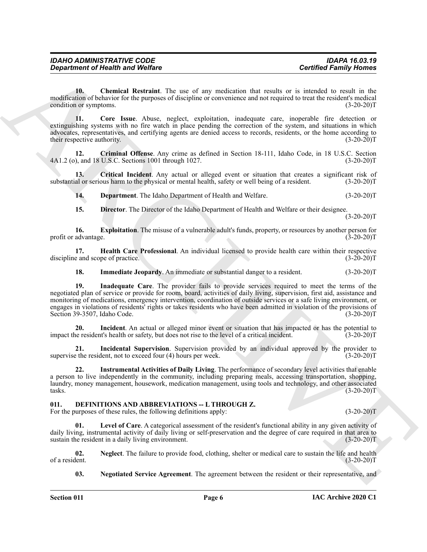*Department of Health and Welfare* 

<span id="page-6-1"></span>10. Chemical Restraint. The use of any medication that results or is intended to result in the modification of behavior for the purposes of discipline or convenience and not required to treat the resident's medical condition or symptoms. (3-20-20) condition or symptoms.

<span id="page-6-2"></span>**11. Core Issue**. Abuse, neglect, exploitation, inadequate care, inoperable fire detection or extinguishing systems with no fire watch in place pending the correction of the system, and situations in which advocates, representatives, and certifying agents are denied access to records, residents, or the home according to their respective authority. (3-20-20)T

<span id="page-6-3"></span>**12. Criminal Offense**. Any crime as defined in Section 18-111, Idaho Code, in 18 U.S.C. Section 4A1.2 (o), and 18 U.S.C. Sections 1001 through 1027.

**13. Critical Incident**. Any actual or alleged event or situation that creates a significant risk of substantial or serious harm to the physical or mental health, safety or well being of a resident. (3-20-20)T

<span id="page-6-5"></span><span id="page-6-4"></span>**14. Department**. The Idaho Department of Health and Welfare. (3-20-20)T

<span id="page-6-7"></span><span id="page-6-6"></span>**15. Director**. The Director of the Idaho Department of Health and Welfare or their designee.  $(3-20-20)T$ 

**16. Exploitation**. The misuse of a vulnerable adult's funds, property, or resources by another person for advantage. (3-20-20)T profit or advantage.

**17. Health Care Professional**. An individual licensed to provide health care within their respective e and scope of practice. (3-20-20) discipline and scope of practice.

<span id="page-6-10"></span><span id="page-6-9"></span><span id="page-6-8"></span>**18.** Immediate Jeopardy. An immediate or substantial danger to a resident.  $(3-20-20)T$ 

Generation of Nearly when Wolfare<br>
The contribution of New Yorks the realistic transfer of the material and the contribution of the material and the contribution of the contribution of the contribution of the contribution **19. Inadequate Care**. The provider fails to provide services required to meet the terms of the negotiated plan of service or provide for room, board, activities of daily living, supervision, first aid, assistance and monitoring of medications, emergency intervention, coordination of outside services or a safe living environment, or engages in violations of residents' rights or takes residents who have been admitted in violation of the provisions of Section 39-3507, Idaho Code. (3-20-20)T

<span id="page-6-11"></span>**20.** Incident. An actual or alleged minor event or situation that has impacted or has the potential to resident's health or safety, but does not rise to the level of a critical incident. (3-20-20) impact the resident's health or safety, but does not rise to the level of a critical incident.

<span id="page-6-12"></span>**21.** Incidental Supervision. Supervision provided by an individual approved by the provider to exceed four (4) hours per week. (3-20-20) supervise the resident, not to exceed four  $(4)$  hours per week.

<span id="page-6-13"></span>**22. Instrumental Activities of Daily Living**. The performance of secondary level activities that enable a person to live independently in the community, including preparing meals, accessing transportation, shopping, laundry, money management, housework, medication management, using tools and technology, and other associated  $\text{tasks.}$  (3-20-20)T

# <span id="page-6-14"></span><span id="page-6-0"></span>**011. DEFINITIONS AND ABBREVIATIONS -- L THROUGH Z.**

For the purposes of these rules, the following definitions apply: (3-20-20)T

<span id="page-6-15"></span>Level of Care. A categorical assessment of the resident's functional ability in any given activity of daily living, instrumental activity of daily living or self-preservation and the degree of care required in that area to sustain the resident in a daily living environment. (3-20-20)T

**02.** Neglect. The failure to provide food, clothing, shelter or medical care to sustain the life and health of a resident. (3-20-20) of a resident. (3-20-20)T

<span id="page-6-17"></span><span id="page-6-16"></span>**03. Negotiated Service Agreement**. The agreement between the resident or their representative, and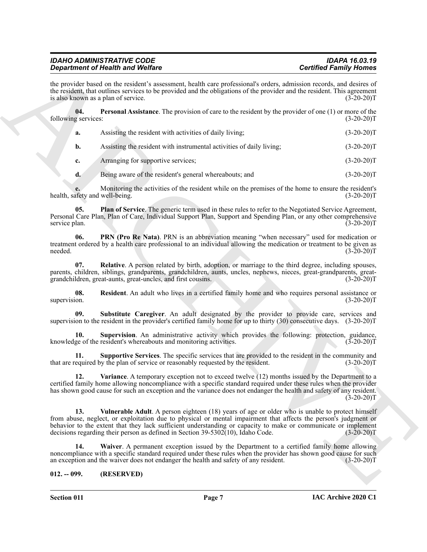<span id="page-7-4"></span><span id="page-7-3"></span><span id="page-7-2"></span><span id="page-7-1"></span>

|                                | <b>Department of Health and Welfare</b>                                                                                                                                                                                                                                                                                                                                                                                 | <b>Certified Family Homes</b> |
|--------------------------------|-------------------------------------------------------------------------------------------------------------------------------------------------------------------------------------------------------------------------------------------------------------------------------------------------------------------------------------------------------------------------------------------------------------------------|-------------------------------|
|                                | the provider based on the resident's assessment, health care professional's orders, admission records, and desires of<br>the resident, that outlines services to be provided and the obligations of the provider and the resident. This agreement<br>is also known as a plan of service.                                                                                                                                | $(3-20-20)T$                  |
| 04.<br>following services:     | <b>Personal Assistance</b> . The provision of care to the resident by the provider of one (1) or more of the                                                                                                                                                                                                                                                                                                            | $(3-20-20)T$                  |
| a.                             | Assisting the resident with activities of daily living;                                                                                                                                                                                                                                                                                                                                                                 | $(3-20-20)T$                  |
| b.                             | Assisting the resident with instrumental activities of daily living;                                                                                                                                                                                                                                                                                                                                                    | $(3-20-20)T$                  |
| c.                             | Arranging for supportive services;                                                                                                                                                                                                                                                                                                                                                                                      | $(3-20-20)T$                  |
| d.                             | Being aware of the resident's general whereabouts; and                                                                                                                                                                                                                                                                                                                                                                  | $(3-20-20)T$                  |
| health, safety and well-being. | Monitoring the activities of the resident while on the premises of the home to ensure the resident's                                                                                                                                                                                                                                                                                                                    | $(3-20-20)T$                  |
| 05.<br>service plan.           | Plan of Service. The generic term used in these rules to refer to the Negotiated Service Agreement,<br>Personal Care Plan, Plan of Care, Individual Support Plan, Support and Spending Plan, or any other comprehensive                                                                                                                                                                                                 | $(3-20-20)T$                  |
| 06.<br>needed.                 | PRN (Pro Re Nata). PRN is an abbreviation meaning "when necessary" used for medication or<br>treatment ordered by a health care professional to an individual allowing the medication or treatment to be given as                                                                                                                                                                                                       | $(3-20-20)T$                  |
| 07.                            | Relative. A person related by birth, adoption, or marriage to the third degree, including spouses,<br>parents, children, siblings, grandparents, grandchildren, aunts, uncles, nephews, nieces, great-grandparents, great-<br>grandchildren, great-aunts, great-uncles, and first cousins.                                                                                                                              | $(3-20-20)T$                  |
| 08.<br>supervision.            | Resident. An adult who lives in a certified family home and who requires personal assistance or                                                                                                                                                                                                                                                                                                                         | $(3-20-20)T$                  |
| 09.                            | Substitute Caregiver. An adult designated by the provider to provide care, services and<br>supervision to the resident in the provider's certified family home for up to thirty (30) consecutive days. (3-20-20)T                                                                                                                                                                                                       |                               |
| 10.                            | Supervision. An administrative activity which provides the following: protection, guidance,<br>knowledge of the resident's whereabouts and monitoring activities.                                                                                                                                                                                                                                                       | $(3-20-20)T$                  |
| 11.                            | Supportive Services. The specific services that are provided to the resident in the community and<br>that are required by the plan of service or reasonably requested by the resident.                                                                                                                                                                                                                                  | $(3-20-20)T$                  |
| 12.                            | Variance. A temporary exception not to exceed twelve (12) months issued by the Department to a<br>certified family home allowing noncompliance with a specific standard required under these rules when the provider<br>has shown good cause for such an exception and the variance does not endanger the health and safety of any resident.                                                                            | $(3-20-20)T$                  |
| 13.                            | Vulnerable Adult. A person eighteen (18) years of age or older who is unable to protect himself<br>from abuse, neglect, or exploitation due to physical or mental impairment that affects the person's judgment or<br>behavior to the extent that they lack sufficient understanding or capacity to make or communicate or implement<br>decisions regarding their person as defined in Section 39-5302(10), Idaho Code. | $(3-20-20)T$                  |
| 14.                            | Waiver. A permanent exception issued by the Department to a certified family home allowing<br>noncompliance with a specific standard required under these rules when the provider has shown good cause for such<br>an exception and the waiver does not endanger the health and safety of any resident.                                                                                                                 | $(3-20-20)T$                  |
|                                | (RESERVED)                                                                                                                                                                                                                                                                                                                                                                                                              |                               |

#### <span id="page-7-11"></span><span id="page-7-10"></span><span id="page-7-9"></span><span id="page-7-8"></span><span id="page-7-7"></span><span id="page-7-6"></span><span id="page-7-5"></span><span id="page-7-0"></span>**012. -- 099. (RESERVED)**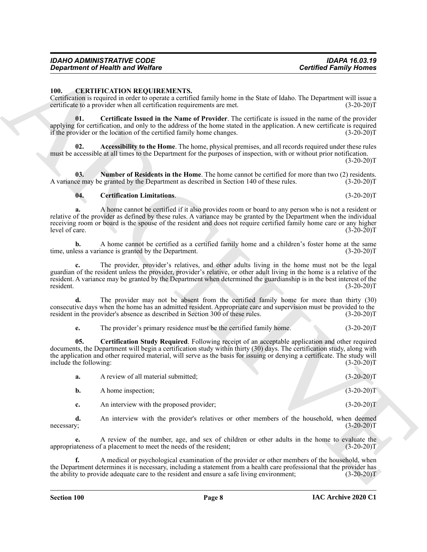### <span id="page-8-1"></span><span id="page-8-0"></span>**100. CERTIFICATION REQUIREMENTS.**

#### <span id="page-8-3"></span>Certification is required in order to operate a certified family home in the State of Idaho. The Department will issue a certificate to a provider when all certification requirements are met.

### <span id="page-8-6"></span><span id="page-8-5"></span><span id="page-8-4"></span><span id="page-8-2"></span>**04. Certification Limitations**. (3-20-20)T

|                               | <b>Department of Health and Welfare</b>                                                                                                                                                                                                                                                                                                                 | <b>Certified Family Homes</b> |
|-------------------------------|---------------------------------------------------------------------------------------------------------------------------------------------------------------------------------------------------------------------------------------------------------------------------------------------------------------------------------------------------------|-------------------------------|
| <b>100.</b>                   | <b>CERTIFICATION REQUIREMENTS.</b><br>Certification is required in order to operate a certified family home in the State of Idaho. The Department will issue a<br>certificate to a provider when all certification requirements are met.                                                                                                                | $(3-20-20)T$                  |
| 01.                           | Certificate Issued in the Name of Provider. The certificate is issued in the name of the provider<br>applying for certification, and only to the address of the home stated in the application. A new certificate is required<br>if the provider or the location of the certified family home changes.                                                  | $(3-20-20)T$                  |
| 02.                           | Accessibility to the Home. The home, physical premises, and all records required under these rules<br>must be accessible at all times to the Department for the purposes of inspection, with or without prior notification.                                                                                                                             | $(3-20-20)T$                  |
| 03.                           | Number of Residents in the Home. The home cannot be certified for more than two (2) residents.<br>A variance may be granted by the Department as described in Section 140 of these rules.                                                                                                                                                               | $(3-20-20)T$                  |
| 04.                           | <b>Certification Limitations.</b>                                                                                                                                                                                                                                                                                                                       | $(3-20-20)T$                  |
| a.<br>level of care.          | A home cannot be certified if it also provides room or board to any person who is not a resident or<br>relative of the provider as defined by these rules. A variance may be granted by the Department when the individual<br>receiving room or board is the spouse of the resident and does not require certified family home care or any higher       | $(3-20-20)T$                  |
|                               | A home cannot be certified as a certified family home and a children's foster home at the same<br>time, unless a variance is granted by the Department.                                                                                                                                                                                                 | $(3-20-20)T$                  |
| c.<br>resident.               | The provider, provider's relatives, and other adults living in the home must not be the legal<br>guardian of the resident unless the provider, provider's relative, or other adult living in the home is a relative of the<br>resident. A variance may be granted by the Department when determined the guardianship is in the best interest of the     | $(3-20-20)T$                  |
| d.                            | The provider may not be absent from the certified family home for more than thirty (30)<br>consecutive days when the home has an admitted resident. Appropriate care and supervision must be provided to the<br>resident in the provider's absence as described in Section 300 of these rules.                                                          | $(3-20-20)T$                  |
| e.                            | The provider's primary residence must be the certified family home.                                                                                                                                                                                                                                                                                     | $(3-20-20)T$                  |
| 05.<br>include the following: | Certification Study Required. Following receipt of an acceptable application and other required<br>documents, the Department will begin a certification study within thirty (30) days. The certification study, along with<br>the application and other required material, will serve as the basis for issuing or denying a certificate. The study will | $(3-20-20)T$                  |
| a.                            | A review of all material submitted;                                                                                                                                                                                                                                                                                                                     | $(3-20-20)T$                  |
| b.                            | A home inspection;                                                                                                                                                                                                                                                                                                                                      | $(3-20-20)T$                  |
| c.                            | An interview with the proposed provider;                                                                                                                                                                                                                                                                                                                | $(3-20-20)T$                  |
| d.<br>necessary;              | An interview with the provider's relatives or other members of the household, when deemed                                                                                                                                                                                                                                                               | $(3-20-20)T$                  |
| e.                            | A review of the number, age, and sex of children or other adults in the home to evaluate the<br>appropriateness of a placement to meet the needs of the resident;                                                                                                                                                                                       | $(3-20-20)T$                  |
| f.                            | A medical or psychological examination of the provider or other members of the household, when<br>the Department determines it is necessary, including a statement from a health care professional that the provider has                                                                                                                                |                               |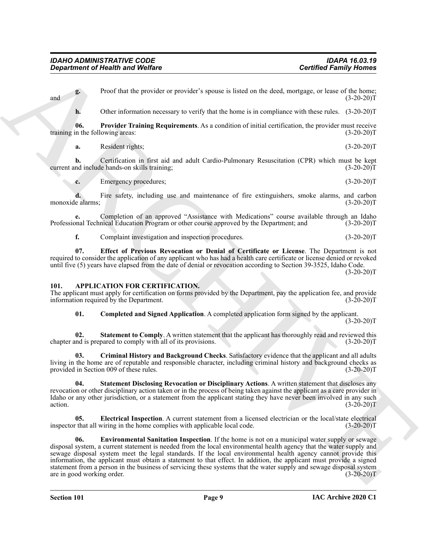**g.** Proof that the provider or provider's spouse is listed on the deed, mortgage, or lease of the home; and  $(3-20-20)T$ 

<span id="page-9-9"></span>**h.** Other information necessary to verify that the home is in compliance with these rules.  $(3-20-20)T$ 

**06. Provider Training Requirements**. As a condition of initial certification, the provider must receive in the following areas: (3-20-20) training in the following areas:

**a.** Resident rights; (3-20-20)T

**b.** Certification in first aid and adult Cardio-Pulmonary Resuscitation (CPR) which must be kept nd include hands-on skills training; (3-20-20) current and include hands-on skills training;

**c.** Emergency procedures; (3-20-20)T

**d.** Fire safety, including use and maintenance of fire extinguishers, smoke alarms, and carbon monoxide alarms; (3-20-20)T

**e.** Completion of an approved "Assistance with Medications" course available through an Idaho nal Technical Education Program or other course approved by the Department; and (3-20-20) Professional Technical Education Program or other course approved by the Department; and

<span id="page-9-8"></span>**f.** Complaint investigation and inspection procedures. (3-20-20)T

**07. Effect of Previous Revocation or Denial of Certificate or License**. The Department is not required to consider the application of any applicant who has had a health care certificate or license denied or revoked until five (5) years have elapsed from the date of denial or revocation according to Section 39-3525, Idaho Code.  $(3-20-20)T$ 

#### <span id="page-9-1"></span><span id="page-9-0"></span>**101. APPLICATION FOR CERTIFICATION.**

The applicant must apply for certification on forms provided by the Department, pay the application fee, and provide information required by the Department. (3-20-20)T

<span id="page-9-7"></span><span id="page-9-3"></span><span id="page-9-2"></span>**01. Completed and Signed Application**. A completed application form signed by the applicant.  $(3-20-20)T$ 

**02. Statement to Comply**. A written statement that the applicant has thoroughly read and reviewed this chapter and is prepared to comply with all of its provisions. (3-20-20)T

**03. Criminal History and Background Checks**. Satisfactory evidence that the applicant and all adults living in the home are of reputable and responsible character, including criminal history and background checks as provided in Section 009 of these rules. (3-20-20)T

<span id="page-9-6"></span>**04. Statement Disclosing Revocation or Disciplinary Actions**. A written statement that discloses any revocation or other disciplinary action taken or in the process of being taken against the applicant as a care provider in Idaho or any other jurisdiction, or a statement from the applicant stating they have never been involved in any such action.  $(3-20-20)T$ 

<span id="page-9-5"></span><span id="page-9-4"></span>**05. Electrical Inspection**. A current statement from a licensed electrician or the local/state electrical r that all wiring in the home complies with applicable local code. (3-20-20) inspector that all wiring in the home complies with applicable local code.

**Considerability of New York Construction**<br>
Considered From the Support of Proposition of Provider a provider a provider a proposition of the studies of the studies of the studies of the studies of the studies of the stud **06. Environmental Sanitation Inspection**. If the home is not on a municipal water supply or sewage disposal system, a current statement is needed from the local environmental health agency that the water supply and sewage disposal system meet the legal standards. If the local environmental health agency cannot provide this information, the applicant must obtain a statement to that effect. In addition, the applicant must provide a signed statement from a person in the business of servicing these systems that the water supply and sewage disposal system are in good working order. (3-20-20)T

**Section 101 Page 9**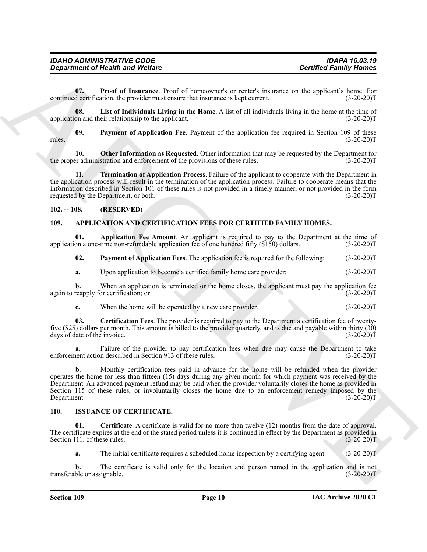<span id="page-10-10"></span>**07. Proof of Insurance**. Proof of homeowner's or renter's insurance on the applicant's home. For continued certification, the provider must ensure that insurance is kept current. (3-20-20)T

<span id="page-10-7"></span>**08. List of Individuals Living in the Home**. A list of all individuals living in the home at the time of application and their relationship to the applicant. (3-20-20)T

<span id="page-10-9"></span>**09. Payment of Application Fee**. Payment of the application fee required in Section 109 of these rules.  $(3-20-20)T$ 

<span id="page-10-8"></span>**10. Other Information as Requested**. Other information that may be requested by the Department for the proper administration and enforcement of the provisions of these rules. (3-20-20)T

<span id="page-10-11"></span>**11. Termination of Application Process**. Failure of the applicant to cooperate with the Department in the application process will result in the termination of the application process. Failure to cooperate means that the information described in Section 101 of these rules is not provided in a timely manner, or not provided in the form requested by the Department, or both. (3-20-20) requested by the Department, or both.

#### <span id="page-10-0"></span>**102. -- 108. (RESERVED)**

#### <span id="page-10-3"></span><span id="page-10-1"></span>**109. APPLICATION AND CERTIFICATION FEES FOR CERTIFIED FAMILY HOMES.**

**01. Application Fee Amount**. An applicant is required to pay to the Department at the time of application a one-time non-refundable application fee of one hundred fifty (\$150) dollars. (3-20-20)T

<span id="page-10-6"></span><span id="page-10-4"></span>**02. Payment of Application Fees**. The application fee is required for the following: (3-20-20)T

**a.** Upon application to become a certified family home care provider; (3-20-20)T

**b.** When an application is terminated or the home closes, the applicant must pay the application fee reapply for certification; or (3-20-20) again to reapply for certification; or

<span id="page-10-5"></span>**c.** When the home will be operated by a new care provider. (3-20-20)T

**03. Certification Fees**. The provider is required to pay to the Department a certification fee of twentyfive (\$25) dollars per month. This amount is billed to the provider quarterly, and is due and payable within thirty (30) days of date of the invoice.

**a.** Failure of the provider to pay certification fees when due may cause the Department to take nent action described in Section 913 of these rules. (3-20-20) enforcement action described in Section 913 of these rules.

**Contribute of Nearly was Wolfare**<br>
Contribute Theorem and Wolfare<br>
Contribute Theorem and Wolfare<br>
Contribute Theorem and the mass of the proposed of remainder and the mass of the system is  $\frac{1}{2}$ . The<br>
mass of the sy **b.** Monthly certification fees paid in advance for the home will be refunded when the provider operates the home for less than fifteen (15) days during any given month for which payment was received by the Department. An advanced payment refund may be paid when the provider voluntarily closes the home as provided in Section 115 of these rules, or involuntarily closes the home due to an enforcement remedy imposed by the Department. (3-20-20) Department.

#### <span id="page-10-12"></span><span id="page-10-2"></span>**110. ISSUANCE OF CERTIFICATE.**

**01. Certificate**. A certificate is valid for no more than twelve (12) months from the date of approval. The certificate expires at the end of the stated period unless it is continued in effect by the Department as provided in Section 111. of these rules. (3-20-20)T

<span id="page-10-13"></span>**a.** The initial certificate requires a scheduled home inspection by a certifying agent. (3-20-20)T

**b.** The certificate is valid only for the location and person named in the application and is not transferable or assignable. (3-20-20)T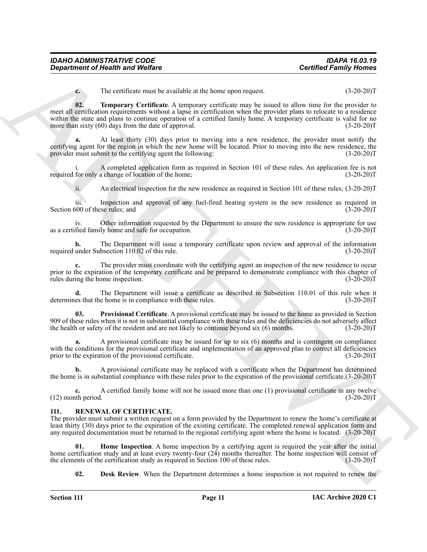| <b>IDAHO ADMINISTRATIVE CODE</b> | <b>IDAPA 16.03.19</b>         |
|----------------------------------|-------------------------------|
| Department of Health and Welfare | <b>Certified Family Homes</b> |

<span id="page-11-2"></span>**c.** The certificate must be available at the home upon request. (3-20-20)T

**Considered of New Wednes**<br>
The vertical and Wednes<br>
The vertical and wednes the statistical distance equalities are specified for the statistical consideration<br>  $\Omega$ . The vertical and the statistical considered in the st **02. Temporary Certificate**. A temporary certificate may be issued to allow time for the provider to meet all certification requirements without a lapse in certification when the provider plans to relocate to a residence within the state and plans to continue operation of a certified family home. A temporary certificate is valid for no<br>more than sixty (60) days from the date of approval. (3-20-20) more than sixty  $(60)$  days from the date of approval.

**a.** At least thirty (30) days prior to moving into a new residence, the provider must notify the certifying agent for the region in which the new home will be located. Prior to moving into the new residence, the provider must submit to the certifying agent the following: (3-20-20)T

i. A completed application form as required in Section 101 of these rules. An application fee is not required for only a change of location of the home; (3-20-20)T

ii. An electrical inspection for the new residence as required in Section 101 of these rules; (3-20-20)T

iii. Inspection and approval of any fuel-fired heating system in the new residence as required in Section 600 of these rules; and (3-20-20)T

iv. Other information requested by the Department to ensure the new residence is appropriate for use fied family home and safe for occupation. (3-20-20) as a certified family home and safe for occupation.

**b.** The Department will issue a temporary certificate upon review and approval of the information under Subsection 110.02 of this rule.  $(3-20-20)T$ required under Subsection 110.02 of this rule.

**c.** The provider must coordinate with the certifying agent an inspection of the new residence to occur prior to the expiration of the temporary certificate and be prepared to demonstrate compliance with this chapter of rules during the home inspection. (3-20-20) rules during the home inspection.

**d.** The Department will issue a certificate as described in Subsection 110.01 of this rule when it les that the home is in compliance with these rules. (3-20-20) determines that the home is in compliance with these rules.

<span id="page-11-1"></span>**03. Provisional Certificate**. A provisional certificate may be issued to the home as provided in Section 909 of these rules when it is not in substantial compliance with these rules and the deficiencies do not adversely affect the health or safety of the resident and are not likely to continue beyond six (6) months. (3-20-20)T

**a.** A provisional certificate may be issued for up to six (6) months and is contingent on compliance with the conditions for the provisional certificate and implementation of an approved plan to correct all deficiencies prior to the expiration of the provisional certificate. (3-20-20) prior to the expiration of the provisional certificate.

**b.** A provisional certificate may be replaced with a certificate when the Department has determined the home is in substantial compliance with these rules prior to the expiration of the provisional certificate.(3-20-20)T

**c.** A certified family home will not be issued more than one (1) provisional certificate in any twelve the period. (3-20-20)  $(12)$  month period.

#### <span id="page-11-3"></span><span id="page-11-0"></span>**111. RENEWAL OF CERTIFICATE.**

The provider must submit a written request on a form provided by the Department to renew the home's certificate at least thirty (30) days prior to the expiration of the existing certificate. The completed renewal application form and any required documentation must be returned to the regional certifying agent where the home is located. (3-20-20)T

**01. Home Inspection**. A home inspection by a certifying agent is required the year after the initial home certification study and at least every twenty-four  $(24)$  months thereafter. The home inspection will consist of the elements of the certification study as required in Section 100 of these rules.  $(3-20-20)$ the elements of the certification study as required in Section 100 of these rules.

<span id="page-11-5"></span><span id="page-11-4"></span>**02. Desk Review**. When the Department determines a home inspection is not required to renew the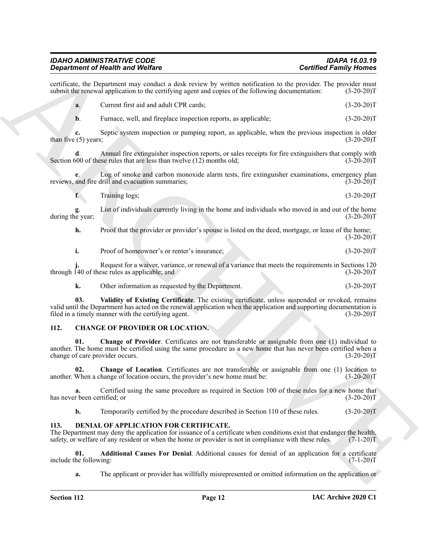**Considered Trivianal Weblace<br>
Scaling the Vietner Constant and Constant and Constant and Constant and Constant and Constant and Constant and Constant and Constant and Constant and Constant and Constant and Constant and C** certificate, the Department may conduct a desk review by written notification to the provider. The provider must<br>submit the renewal application to the certifying agent and copies of the following documentation: (3-20-20)T submit the renewal application to the certifying agent and copies of the following documentation: **a**. Current first aid and adult CPR cards; (3-20-20)T **b**. Furnace, well, and fireplace inspection reports, as applicable;  $(3-20-20)T$ **c.** Septic system inspection or pumping report, as applicable, when the previous inspection is older than five (5) years;  $(3-20-20)T$ **d**. Annual fire extinguisher inspection reports, or sales receipts for fire extinguishers that comply with 500 of these rules that are less than twelve (12) months old; (3-20-20)<sup>T</sup> Section 600 of these rules that are less than twelve  $(12)$  months old; Log of smoke and carbon monoxide alarm tests, fire extinguisher examinations, emergency plan reviews, and fire drill and evacuation summaries; (3-20-20)T **f**. Training logs; (3-20-20)T **g**. List of individuals currently living in the home and individuals who moved in and out of the home during the year; **h.** Proof that the provider or provider's spouse is listed on the deed, mortgage, or lease of the home;  $(3-20-20)T$ **i.** Proof of homeowner's or renter's insurance; (3-20-20)T Request for a waiver, variance, or renewal of a variance that meets the requirements in Sections 120 ese rules as applicable; and (3-20-20)<sup>T</sup> through  $140$  of these rules as applicable; and **k.** Other information as requested by the Department. (3-20-20)T **03.** Validity of Existing Certificate. The existing certificate, unless suspended or revoked, remains valid until the Department has acted on the renewal application when the application and supporting documentation is filed in a timely manner with the certifying agent. (3-20-20)T **112. CHANGE OF PROVIDER OR LOCATION. 01. Change of Provider**. Certificates are not transferable or assignable from one (1) individual to another. The home must be certified using the same procedure as a new home that has never been certified when a change of care provider occurs. (3-20-20) change of care provider occurs.

<span id="page-12-7"></span><span id="page-12-4"></span><span id="page-12-3"></span><span id="page-12-2"></span><span id="page-12-0"></span>**Change of Location**. Certificates are not transferable or assignable from one (1) location to hange of location occurs, the provider's new home must be: (3-20-20)<sup>T</sup> another. When a change of location occurs, the provider's new home must be:

**a.** Certified using the same procedure as required in Section 100 of these rules for a new home that r been certified; or  $(3-20-20)T$ has never been certified; or

<span id="page-12-5"></span>**b.** Temporarily certified by the procedure described in Section 110 of these rules. (3-20-20)T

#### <span id="page-12-1"></span>**113. DENIAL OF APPLICATION FOR CERTIFICATE.**

The Department may deny the application for issuance of a certificate when conditions exist that endanger the health, safety, or welfare of any resident or when the home or provider is not in compliance with these rules. (7-1-20) T

**01. Additional Causes For Denial**. Additional causes for denial of an application for a certificate the following:  $(7-1-20)T$ include the following:

<span id="page-12-6"></span>**a.** The applicant or provider has willfully misrepresented or omitted information on the application or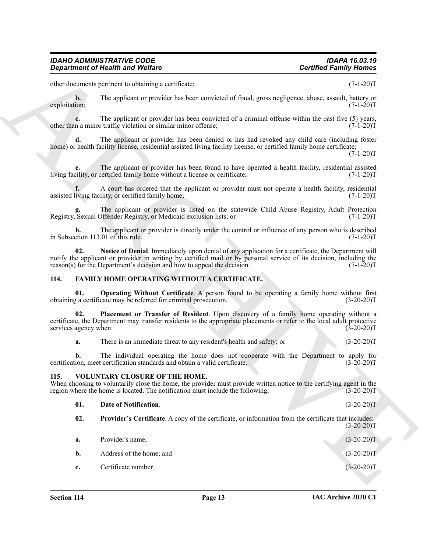other documents pertinent to obtaining a certificate; (7-1-20)T

**b.** The applicant or provider has been convicted of fraud, gross negligence, abuse, assault, battery or exploitation;  $(7-1-20)T$  $\exp$ loitation; (7-1-20)T

**c.** The applicant or provider has been convicted of a criminal offense within the past five (5) years, n a minor traffic violation or similar minor offense;  $(7-1-20)$ other than a minor traffic violation or similar minor offense;

**d.** The applicant or provider has been denied or has had revoked any child care (including foster home) or health facility license, residential assisted living facility license, or certified family home certificate;

 $(7-1-20)T$ 

**e.** The applicant or provider has been found to have operated a health facility, residential assisted living facility, or certified family home without a license or certificate; (7-1-20)T

A court has ordered that the applicant or provider must not operate a health facility, residential ility, or certified family home; assisted living facility, or certified family home;

The applicant or provider is listed on the statewide Child Abuse Registry, Adult Protection<br>Offender Registry, or Medicaid exclusion lists: or  $(7-1-20)T$ Registry, Sexual Offender Registry, or Medicaid exclusion lists; or

**h.** The applicant or provider is directly under the control or influence of any person who is described estion 113.01 of this rule.  $(7-1-20)T$ in Subsection  $113.01$  of this rule.

<span id="page-13-2"></span>**02. Notice of Denial**. Immediately upon denial of any application for a certificate, the Department will notify the applicant or provider in writing by certified mail or by personal service of its decision, including the reason(s) for the Department's decision and how to appeal the decision. (7-1-20)T

#### <span id="page-13-3"></span><span id="page-13-0"></span>**114. FAMILY HOME OPERATING WITHOUT A CERTIFICATE.**

<span id="page-13-4"></span>**01. Operating Without Certificate**. A person found to be operating a family home without first g a certificate may be referred for criminal prosecution. (3-20-20) obtaining a certificate may be referred for criminal prosecution.

Genuitene en Health werd Welfare<br>
University contributes the contribute of the set of the set of the set of the set of the set of the set of the set of the set of the set of the set of the set of the set of the set of the **02. Placement or Transfer of Resident**. Upon discovery of a family home operating without a certificate, the Department may transfer residents to the appropriate placements or refer to the local adult protective services agency when: (3-20-20)T (3-20-20)T

<span id="page-13-5"></span>**a.** There is an immediate threat to any resident's health and safety; or (3-20-20)T

**b.** The individual operating the home does not cooperate with the Department to apply for ion, meet certification standards and obtain a valid certificate. (3-20-20) certification, meet certification standards and obtain a valid certificate.

#### <span id="page-13-6"></span><span id="page-13-1"></span>**115. VOLUNTARY CLOSURE OF THE HOME.**

When choosing to voluntarily close the home, the provider must provide written notice to the certifying agent in the region where the home is located. The notification must include the following: (3-20-20)T

#### <span id="page-13-7"></span>**01. Date of Notification**. (3-20-20)T

- <span id="page-13-8"></span>**02. Provider's Certificate**. A copy of the certificate, or information from the certificate that includes:  $(3-20-20)T$
- **a.** Provider's name; (3-20-20)T **b.** Address of the home; and (3-20-20)T
- **c.** Certificate number. (3-20-20)T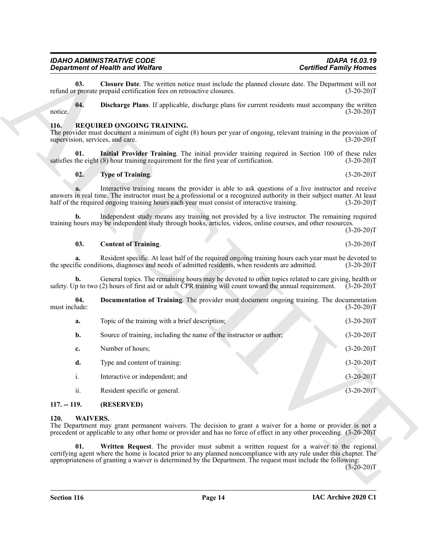# <span id="page-14-8"></span>*IDAHO ADMINISTRATIVE CODE IDAPA 16.03.19*

#### <span id="page-14-9"></span><span id="page-14-3"></span><span id="page-14-0"></span>**116. REQUIRED ONGOING TRAINING.**

#### <span id="page-14-7"></span><span id="page-14-6"></span><span id="page-14-5"></span><span id="page-14-4"></span>**02. Type of Training**. (3-20-20)T

|                                                 | <b>Department of Health and Welfare</b>                                                                                                                                                                                                                                                                                          | <b>Certified Family Homes</b> |
|-------------------------------------------------|----------------------------------------------------------------------------------------------------------------------------------------------------------------------------------------------------------------------------------------------------------------------------------------------------------------------------------|-------------------------------|
| 03.                                             | Closure Date. The written notice must include the planned closure date. The Department will not<br>refund or prorate prepaid certification fees on retroactive closures.                                                                                                                                                         | $(3-20-20)T$                  |
| 04.<br>notice.                                  | Discharge Plans. If applicable, discharge plans for current residents must accompany the written                                                                                                                                                                                                                                 | $(3-20-20)T$                  |
| <b>116.</b><br>supervision, services, and care. | REQUIRED ONGOING TRAINING.<br>The provider must document a minimum of eight (8) hours per year of ongoing, relevant training in the provision of                                                                                                                                                                                 | $(3-20-20)T$                  |
| 01.                                             | Initial Provider Training. The initial provider training required in Section 100 of these rules<br>satisfies the eight (8) hour training requirement for the first year of certification.                                                                                                                                        | $(3-20-20)T$                  |
| 02.                                             | <b>Type of Training.</b>                                                                                                                                                                                                                                                                                                         | $(3-20-20)T$                  |
|                                                 | Interactive training means the provider is able to ask questions of a live instructor and receive<br>answers in real time. The instructor must be a professional or a recognized authority in their subject matter. At least<br>half of the required ongoing training hours each year must consist of interactive training.      | $(3-20-20)T$                  |
| $\mathbf{b}$ .                                  | Independent study means any training not provided by a live instructor. The remaining required<br>training hours may be independent study through books, articles, videos, online courses, and other resources.                                                                                                                  | $(3-20-20)T$                  |
| 03.                                             | <b>Content of Training.</b>                                                                                                                                                                                                                                                                                                      | $(3-20-20)T$                  |
| a.                                              | Resident specific. At least half of the required ongoing training hours each year must be devoted to<br>the specific conditions, diagnoses and needs of admitted residents, when residents are admitted.                                                                                                                         | $(3-20-20)T$                  |
| b.                                              | General topics. The remaining hours may be devoted to other topics related to care giving, health or<br>safety. Up to two (2) hours of first aid or adult CPR training will count toward the annual requirement.                                                                                                                 | $(3-20-20)T$                  |
| 04.<br>must include:                            | Documentation of Training. The provider must document ongoing training. The documentation                                                                                                                                                                                                                                        | $(3-20-20)T$                  |
| a.                                              | Topic of the training with a brief description;                                                                                                                                                                                                                                                                                  | $(3-20-20)T$                  |
| b.                                              | Source of training, including the name of the instructor or author;                                                                                                                                                                                                                                                              | $(3-20-20)T$                  |
| c.                                              | Number of hours;                                                                                                                                                                                                                                                                                                                 | $(3-20-20)T$                  |
| d.                                              | Type and content of training:                                                                                                                                                                                                                                                                                                    | $(3-20-20)T$                  |
| 1.                                              | Interactive or independent; and                                                                                                                                                                                                                                                                                                  | $(3-20-20)T$                  |
| ii.                                             | Resident specific or general.                                                                                                                                                                                                                                                                                                    | $(3-20-20)T$                  |
| $117. - 119.$                                   | (RESERVED)                                                                                                                                                                                                                                                                                                                       |                               |
| 120.<br><b>WAIVERS.</b>                         | The Department may grant permanent waivers. The decision to grant a waiver for a home or provider is not a<br>precedent or applicable to any other home or provider and has no force of effect in any other proceeding. (3-20-20)T                                                                                               |                               |
| 01.                                             | Written Request. The provider must submit a written request for a waiver to the regional<br>certifying agent where the home is located prior to any planned noncompliance with any rule under this chapter. The<br>appropriateness of granting a waiver is determined by the Department. The request must include the following: | $(3-20-20)T$                  |
|                                                 |                                                                                                                                                                                                                                                                                                                                  |                               |

# <span id="page-14-11"></span><span id="page-14-10"></span><span id="page-14-2"></span><span id="page-14-1"></span>**120. WAIVERS.**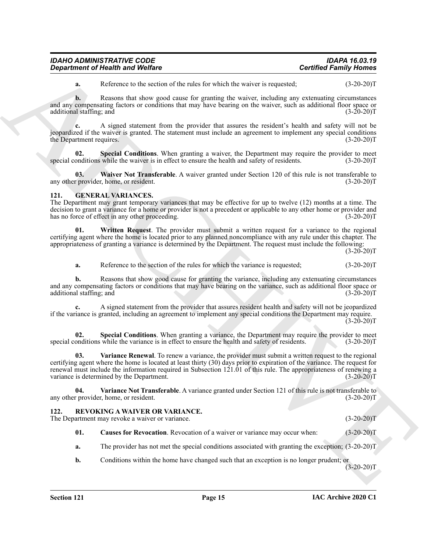| <b>IDAHO ADMINISTRATIVE CODE</b>        | <b>IDAPA 16.03.19</b>         |
|-----------------------------------------|-------------------------------|
| <b>Department of Health and Welfare</b> | <b>Certified Family Homes</b> |

**a.** Reference to the section of the rules for which the waiver is requested; (3-20-20)T

**b.** Reasons that show good cause for granting the waiver, including any extenuating circumstances and any compensating factors or conditions that may have bearing on the waiver, such as additional floor space or additional staffing; and (3-20-20)T

**c.** A signed statement from the provider that assures the resident's health and safety will not be jeopardized if the waiver is granted. The statement must include an agreement to implement any special conditions the Department requires. (3-20-20)T

<span id="page-15-9"></span>**02.** Special Conditions. When granting a waiver, the Department may require the provider to meet onditions while the waiver is in effect to ensure the health and safety of residents. (3-20-20) special conditions while the waiver is in effect to ensure the health and safety of residents.

<span id="page-15-10"></span>**03. Waiver Not Transferable**. A waiver granted under Section 120 of this rule is not transferable to any other provider, home, or resident. (3-20-20)<sup>T</sup> (3-20-20)<sup>T</sup>

#### <span id="page-15-2"></span><span id="page-15-0"></span>**121. GENERAL VARIANCES.**

The Department may grant temporary variances that may be effective for up to twelve (12) months at a time. The decision to grant a variance for a home or provider is not a precedent or applicable to any other home or provider and has no force of effect in any other proceeding. (3-20-20)T

**01. Written Request**. The provider must submit a written request for a variance to the regional certifying agent where the home is located prior to any planned noncompliance with any rule under this chapter. The appropriateness of granting a variance is determined by the Department. The request must include the following:

 $(3-20-20)T$ 

<span id="page-15-6"></span>**a.** Reference to the section of the rules for which the variance is requested;  $(3-20-20)T$ 

**b.** Reasons that show good cause for granting the variance, including any extenuating circumstances and any compensating factors or conditions that may have bearing on the variance, such as additional floor space or additional staffing; and (3-20-20) additional staffing; and

**c.** A signed statement from the provider that assures resident health and safety will not be jeopardized if the variance is granted, including an agreement to implement any special conditions the Department may require.  $(3-20-20)$ T

<span id="page-15-5"></span><span id="page-15-3"></span>**02. Special Conditions**. When granting a variance, the Department may require the provider to meet special conditions while the variance is in effect to ensure the health and safety of residents. (3-20-20)T

**Contribute of Newton WebFace**<br>
Research that several the relation between the presentation of the several temperature of the second of the second of the second of the second of the second of the second of the second of t **03. Variance Renewal**. To renew a variance, the provider must submit a written request to the regional certifying agent where the home is located at least thirty (30) days prior to expiration of the variance. The request for renewal must include the information required in Subsection 121.01 of this rule. The appropriateness of renewing a variance is determined by the Department. (3-20-20)T

<span id="page-15-4"></span>**04.** Variance Not Transferable. A variance granted under Section 121 of this rule is not transferable to resident. (3-20-20) any other provider, home, or resident.

#### <span id="page-15-7"></span><span id="page-15-1"></span>**122. REVOKING A WAIVER OR VARIANCE.**

The Department may revoke a waiver or variance. (3-20-20) (3-20-20) T

<span id="page-15-8"></span>**01.** Causes for Revocation. Revocation of a waiver or variance may occur when: (3-20-20)T

**a.** The provider has not met the special conditions associated with granting the exception;  $(3-20-20)$ T

**b.** Conditions within the home have changed such that an exception is no longer prudent; or

 $(3-20-20)T$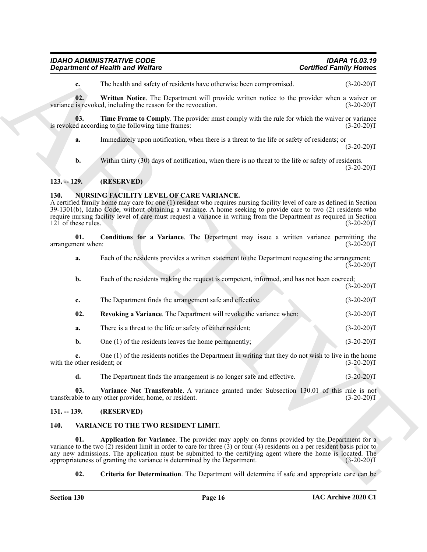<span id="page-16-10"></span><span id="page-16-9"></span>

| <b>IDAHO ADMINISTRATIVE CODE</b>        | <b>IDAPA 16.03.19</b>         |
|-----------------------------------------|-------------------------------|
| <b>Department of Health and Welfare</b> | <b>Certified Family Homes</b> |

#### <span id="page-16-0"></span>**123. -- 129. (RESERVED)**

#### <span id="page-16-6"></span><span id="page-16-5"></span><span id="page-16-1"></span>**130. NURSING FACILITY LEVEL OF CARE VARIANCE.**

| <b>Department of Health and Welfare</b> |     | <b>Certified Family Homes</b>                                                                                                                                                                                                                                                                                                                                                                                               |              |
|-----------------------------------------|-----|-----------------------------------------------------------------------------------------------------------------------------------------------------------------------------------------------------------------------------------------------------------------------------------------------------------------------------------------------------------------------------------------------------------------------------|--------------|
|                                         | c.  | The health and safety of residents have otherwise been compromised.                                                                                                                                                                                                                                                                                                                                                         | $(3-20-20)T$ |
|                                         | 02. | Written Notice. The Department will provide written notice to the provider when a waiver or<br>variance is revoked, including the reason for the revocation.                                                                                                                                                                                                                                                                | $(3-20-20)T$ |
|                                         | 03. | Time Frame to Comply. The provider must comply with the rule for which the waiver or variance<br>is revoked according to the following time frames:                                                                                                                                                                                                                                                                         | $(3-20-20)T$ |
|                                         | a.  | Immediately upon notification, when there is a threat to the life or safety of residents; or                                                                                                                                                                                                                                                                                                                                | $(3-20-20)T$ |
|                                         | b.  | Within thirty (30) days of notification, when there is no threat to the life or safety of residents.                                                                                                                                                                                                                                                                                                                        | $(3-20-20)T$ |
| $123. - 129.$                           |     | (RESERVED)                                                                                                                                                                                                                                                                                                                                                                                                                  |              |
| 130.<br>121 of these rules.             |     | <b>NURSING FACILITY LEVEL OF CARE VARIANCE.</b><br>A certified family home may care for one (1) resident who requires nursing facility level of care as defined in Section<br>39-1301(b), Idaho Code, without obtaining a variance. A home seeking to provide care to two (2) residents who<br>require nursing facility level of care must request a variance in writing from the Department as required in Section         | $(3-20-20)T$ |
| arrangement when:                       | 01. | Conditions for a Variance. The Department may issue a written variance permitting the                                                                                                                                                                                                                                                                                                                                       | $(3-20-20)T$ |
|                                         | a.  | Each of the residents provides a written statement to the Department requesting the arrangement;                                                                                                                                                                                                                                                                                                                            | $(3-20-20)T$ |
|                                         | b.  | Each of the residents making the request is competent, informed, and has not been coerced;                                                                                                                                                                                                                                                                                                                                  | $(3-20-20)T$ |
|                                         | c.  | The Department finds the arrangement safe and effective.                                                                                                                                                                                                                                                                                                                                                                    | $(3-20-20)T$ |
|                                         | 02. | Revoking a Variance. The Department will revoke the variance when:                                                                                                                                                                                                                                                                                                                                                          | $(3-20-20)T$ |
|                                         | a.  | There is a threat to the life or safety of either resident;                                                                                                                                                                                                                                                                                                                                                                 | $(3-20-20)T$ |
|                                         | b.  | One (1) of the residents leaves the home permanently;                                                                                                                                                                                                                                                                                                                                                                       | $(3-20-20)T$ |
| with the other resident; or             | c.  | One $(1)$ of the residents notifies the Department in writing that they do not wish to live in the home                                                                                                                                                                                                                                                                                                                     | $(3-20-20)T$ |
|                                         | d.  | The Department finds the arrangement is no longer safe and effective.                                                                                                                                                                                                                                                                                                                                                       | $(3-20-20)T$ |
|                                         | 03. | Variance Not Transferable. A variance granted under Subsection 130.01 of this rule is not<br>transferable to any other provider, home, or resident.                                                                                                                                                                                                                                                                         | $(3-20-20)T$ |
| $131. - 139.$                           |     | (RESERVED)                                                                                                                                                                                                                                                                                                                                                                                                                  |              |
| 140.                                    |     | VARIANCE TO THE TWO RESIDENT LIMIT.                                                                                                                                                                                                                                                                                                                                                                                         |              |
|                                         | 01. | Application for Variance. The provider may apply on forms provided by the Department for a<br>variance to the two $(2)$ resident limit in order to care for three $(3)$ or four (4) residents on a per resident basis prior to<br>any new admissions. The application must be submitted to the certifying agent where the home is located. The<br>appropriateness of granting the variance is determined by the Department. | $(3-20-20)T$ |
|                                         | 02. | <b>Criteria for Determination</b> . The Department will determine if safe and appropriate care can be                                                                                                                                                                                                                                                                                                                       |              |

#### <span id="page-16-8"></span><span id="page-16-7"></span><span id="page-16-2"></span>**131. -- 139. (RESERVED)**

#### <span id="page-16-12"></span><span id="page-16-11"></span><span id="page-16-4"></span><span id="page-16-3"></span>**140. VARIANCE TO THE TWO RESIDENT LIMIT.**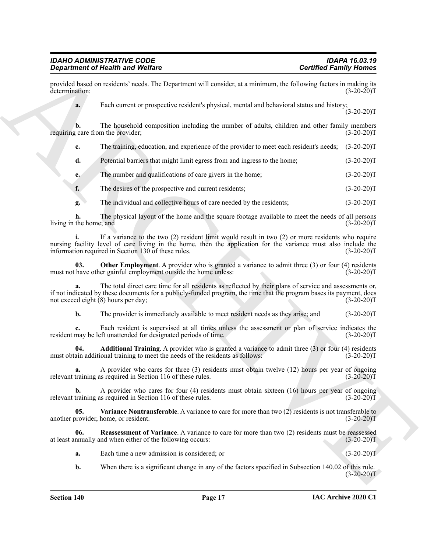provided based on residents' needs. The Department will consider, at a minimum, the following factors in making its determination: (3-20-20) determination: (3-20-20)T

**a.** Each current or prospective resident's physical, mental and behavioral status and history;  $(3-20-20)T$ 

**b.** The household composition including the number of adults, children and other family members g care from the provider; (3-20-20) requiring care from the provider;

**c.** The training, education, and experience of the provider to meet each resident's needs; (3-20-20)T

**d.** Potential barriers that might limit egress from and ingress to the home; (3-20-20)T

**e.** The number and qualifications of care givers in the home; (3-20-20)T

**f.** The desires of the prospective and current residents; (3-20-20)T

**g.** The individual and collective hours of care needed by the residents; (3-20-20)T

**h.** The physical layout of the home and the square footage available to meet the needs of all persons living in the home; and (3-20-20)T

**Experiment of Newthern Solutions**<br> **Experiment on West Constitution Properties and Constitution Constitution Constitution Constitution Constitution**<br> **A Constitution Constitution Constitution Constitution Constitution Co i.** If a variance to the two (2) resident limit would result in two (2) or more residents who require nursing facility level of care living in the home, then the application for the variance must also include the information required in Section 130 of these rules. (3-20-20)T

<span id="page-17-1"></span>**03. Other Employment**. A provider who is granted a variance to admit three (3) or four (4) residents have other gainful employment outside the home unless: (3-20-20) must not have other gainful employment outside the home unless:

**a.** The total direct care time for all residents as reflected by their plans of service and assessments or, if not indicated by these documents for a publicly-funded program, the time that the program bases its payment, does not exceed eight (8) hours per day; (3-20-20) not exceed eight  $(8)$  hours per day;

<span id="page-17-0"></span>**b.** The provider is immediately available to meet resident needs as they arise; and  $(3-20-20)T$ 

**c.** Each resident is supervised at all times unless the assessment or plan of service indicates the may be left unattended for designated periods of time. (3-20-20) resident may be left unattended for designated periods of time.

**04. Additional Training**. A provider who is granted a variance to admit three (3) or four (4) residents as in additional training to meet the needs of the residents as follows: (3-20-20) must obtain additional training to meet the needs of the residents as follows:

**a.** A provider who cares for three (3) residents must obtain twelve (12) hours per year of ongoing training as required in Section 116 of these rules. (3-20-20) relevant training as required in Section 116 of these rules.

**b.** A provider who cares for four (4) residents must obtain sixteen (16) hours per year of ongoing training as required in Section 116 of these rules. (3-20-20) relevant training as required in Section 116 of these rules.

<span id="page-17-3"></span>**05. Variance Nontransferable**. A variance to care for more than two (2) residents is not transferable to another provider, home, or resident. (3-20-20)T

**06. Reassessment of Variance**. A variance to care for more than two (2) residents must be reassessed at least annually and when either of the following occurs: (3-20-20)T

<span id="page-17-2"></span>**a.** Each time a new admission is considered; or (3-20-20)T

**b.** When there is a significant change in any of the factors specified in Subsection 140.02 of this rule.  $(3-20-20)T$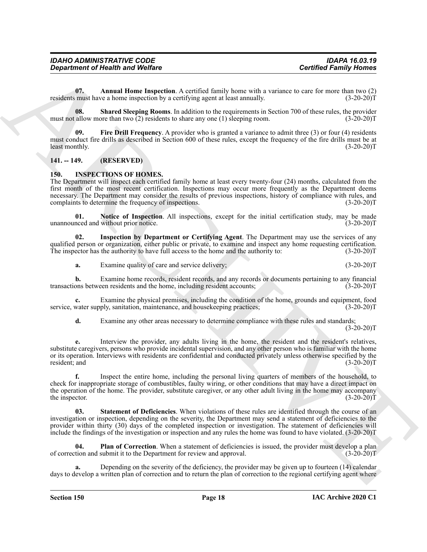| <b>IDAHO ADMINISTRATIVE CODE</b>        | <b>IDAPA 16.03.19</b>         |
|-----------------------------------------|-------------------------------|
| <b>Department of Health and Welfare</b> | <b>Certified Family Homes</b> |

<span id="page-18-7"></span>**07. Annual Home Inspection**. A certified family home with a variance to care for more than two (2) residents must have a home inspection by a certifying agent at least annually. (3-20-20)T

<span id="page-18-9"></span>**08. Shared Sleeping Rooms**. In addition to the requirements in Section 700 of these rules, the provider must not allow more than two (2) residents to share any one (1) sleeping room.  $(3-20-20)T$ 

<span id="page-18-8"></span>**09. Fire Drill Frequency**. A provider who is granted a variance to admit three (3) or four (4) residents must conduct fire drills as described in Section 600 of these rules, except the frequency of the fire drills must be at least monthly.  $(3-20-20)T$ 

#### <span id="page-18-0"></span>**141. -- 149. (RESERVED)**

#### <span id="page-18-2"></span><span id="page-18-1"></span>**150. INSPECTIONS OF HOMES.**

The Department will inspect each certified family home at least every twenty-four (24) months, calculated from the first month of the most recent certification. Inspections may occur more frequently as the Department deems necessary. The Department may consider the results of previous inspections, history of compliance with rules, and complaints to determine the frequency of inspections. (3-20-20)T

<span id="page-18-4"></span>**01. Notice of Inspection**. All inspections, except for the initial certification study, may be made unannounced and without prior notice. (3-20-20)T

**02. Inspection by Department or Certifying Agent**. The Department may use the services of any qualified person or organization, either public or private, to examine and inspect any home requesting certification. The inspector has the authority to have full access to the home and the authority to: (3-20-20)T

<span id="page-18-3"></span>**a.** Examine quality of care and service delivery; (3-20-20)T

**b.** Examine home records, resident records, and any records or documents pertaining to any financial transactions between residents and the home, including resident accounts; (3-20-20)T

**c.** Examine the physical premises, including the condition of the home, grounds and equipment, food service, water supply, sanitation, maintenance, and housekeeping practices; (3-20-20)T

**d.** Examine any other areas necessary to determine compliance with these rules and standards;  $(3-20-20)T$ 

**e.** Interview the provider, any adults living in the home, the resident and the resident's relatives, substitute caregivers, persons who provide incidental supervision, and any other person who is familiar with the home or its operation. Interviews with residents are confidential and conducted privately unless otherwise specified by the resident; and (3-20-20)T

**Considered of New York Constraints** of Wolfare<br>
One of the same Host and Wolfare<br>
The Constraint of the same Host and Architect state and the same Host and the same Host and the same Host and<br>
The Constraint of the Same **f.** Inspect the entire home, including the personal living quarters of members of the household, to check for inappropriate storage of combustibles, faulty wiring, or other conditions that may have a direct impact on the operation of the home. The provider, substitute caregiver, or any other adult living in the home may accompany<br>the inspector. (3-20-20)T the inspector.

<span id="page-18-6"></span>**Statement of Deficiencies**. When violations of these rules are identified through the course of an investigation or inspection, depending on the severity, the Department may send a statement of deficiencies to the provider within thirty (30) days of the completed inspection or investigation. The statement of deficiencies will include the findings of the investigation or inspection and any rules the home was found to have violated. (3-20-20)T

<span id="page-18-5"></span>**04. Plan of Correction**. When a statement of deficiencies is issued, the provider must develop a plan of correction and submit it to the Department for review and approval. (3-20-20)T

Depending on the severity of the deficiency, the provider may be given up to fourteen (14) calendar days to develop a written plan of correction and to return the plan of correction to the regional certifying agent where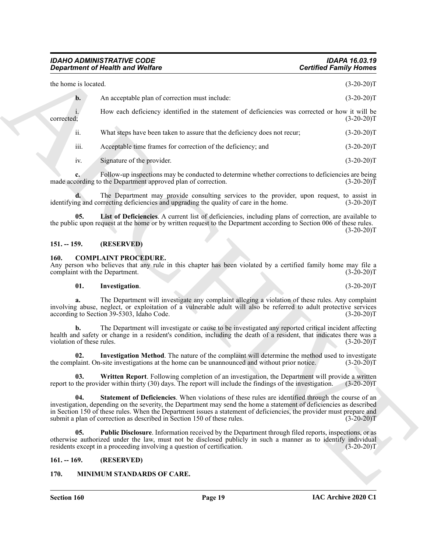|                           | <b>Department of Health and Welfare</b>                                                                                                                                                                                                                                                                                                                                                                                     | <b>Certified Family Homes</b> |
|---------------------------|-----------------------------------------------------------------------------------------------------------------------------------------------------------------------------------------------------------------------------------------------------------------------------------------------------------------------------------------------------------------------------------------------------------------------------|-------------------------------|
| the home is located.      |                                                                                                                                                                                                                                                                                                                                                                                                                             | $(3-20-20)T$                  |
| $\mathbf{b}$ .            | An acceptable plan of correction must include:                                                                                                                                                                                                                                                                                                                                                                              | $(3-20-20)T$                  |
| corrected;                | How each deficiency identified in the statement of deficiencies was corrected or how it will be                                                                                                                                                                                                                                                                                                                             | $(3-20-20)T$                  |
| ii.                       | What steps have been taken to assure that the deficiency does not recur;                                                                                                                                                                                                                                                                                                                                                    | $(3-20-20)T$                  |
| iii.                      | Acceptable time frames for correction of the deficiency; and                                                                                                                                                                                                                                                                                                                                                                | $(3-20-20)T$                  |
| iv.                       | Signature of the provider.                                                                                                                                                                                                                                                                                                                                                                                                  | $(3-20-20)T$                  |
|                           | Follow-up inspections may be conducted to determine whether corrections to deficiencies are being<br>made according to the Department approved plan of correction.                                                                                                                                                                                                                                                          | $(3-20-20)T$                  |
|                           | The Department may provide consulting services to the provider, upon request, to assist in<br>identifying and correcting deficiencies and upgrading the quality of care in the home.                                                                                                                                                                                                                                        | $(3-20-20)T$                  |
| 05.                       | List of Deficiencies. A current list of deficiencies, including plans of correction, are available to<br>the public upon request at the home or by written request to the Department according to Section 006 of these rules.                                                                                                                                                                                               | $(3-20-20)T$                  |
| $151. - 159.$             | (RESERVED)                                                                                                                                                                                                                                                                                                                                                                                                                  |                               |
| 160.                      | <b>COMPLAINT PROCEDURE.</b><br>Any person who believes that any rule in this chapter has been violated by a certified family home may file a<br>complaint with the Department.                                                                                                                                                                                                                                              | $(3-20-20)T$                  |
| 01.                       | Investigation.                                                                                                                                                                                                                                                                                                                                                                                                              | $(3-20-20)T$                  |
| a.                        | The Department will investigate any complaint alleging a violation of these rules. Any complaint<br>involving abuse, neglect, or exploitation of a vulnerable adult will also be referred to adult protective services<br>according to Section 39-5303, Idaho Code.                                                                                                                                                         | $(3-20-20)T$                  |
| violation of these rules. | The Department will investigate or cause to be investigated any reported critical incident affecting<br>health and safety or change in a resident's condition, including the death of a resident, that indicates there was a                                                                                                                                                                                                | $(3-20-20)T$                  |
| 02.                       | Investigation Method. The nature of the complaint will determine the method used to investigate<br>the complaint. On-site investigations at the home can be unannounced and without prior notice.                                                                                                                                                                                                                           | $(3-20-20)T$                  |
| 03.                       | Written Report. Following completion of an investigation, the Department will provide a written<br>report to the provider within thirty (30) days. The report will include the findings of the investigation.                                                                                                                                                                                                               | $(3-20-20)T$                  |
| 04.                       | Statement of Deficiencies. When violations of these rules are identified through the course of an<br>investigation, depending on the severity, the Department may send the home a statement of deficiencies as described<br>in Section 150 of these rules. When the Department issues a statement of deficiencies, the provider must prepare and<br>submit a plan of correction as described in Section 150 of these rules. | $(3-20-20)T$                  |
| 05.                       | <b>Public Disclosure.</b> Information received by the Department through filed reports, inspections, or as<br>otherwise authorized under the law, must not be disclosed publicly in such a manner as to identify individual<br>residents except in a proceeding involving a question of certification.                                                                                                                      | $(3-20-20)T$                  |
|                           |                                                                                                                                                                                                                                                                                                                                                                                                                             |                               |
| $161. - 169.$             | (RESERVED)                                                                                                                                                                                                                                                                                                                                                                                                                  |                               |

#### <span id="page-19-10"></span><span id="page-19-0"></span>**151. -- 159. (RESERVED)**

#### <span id="page-19-4"></span><span id="page-19-1"></span>**160. COMPLAINT PROCEDURE.**

#### <span id="page-19-9"></span><span id="page-19-6"></span><span id="page-19-5"></span>**01. Investigation**. (3-20-20)T

#### <span id="page-19-8"></span><span id="page-19-7"></span><span id="page-19-2"></span>**161. -- 169. (RESERVED)**

#### <span id="page-19-11"></span><span id="page-19-3"></span>**170. MINIMUM STANDARDS OF CARE.**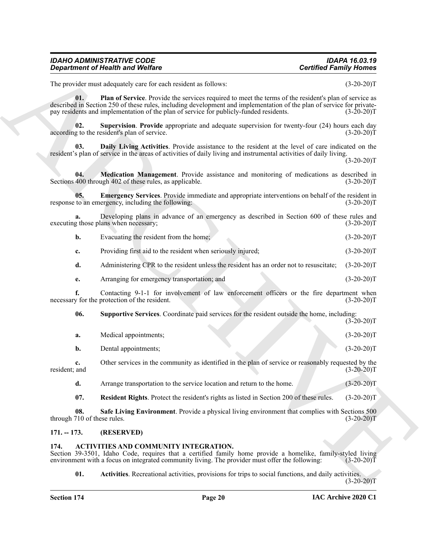<span id="page-20-10"></span><span id="page-20-7"></span><span id="page-20-4"></span>

| <b>IDAHO ADMINISTRATIVE CODE</b>        | <b>IDAPA 16.03.19</b>         |
|-----------------------------------------|-------------------------------|
| <b>Department of Health and Welfare</b> | <b>Certified Family Homes</b> |

<span id="page-20-11"></span><span id="page-20-6"></span><span id="page-20-5"></span>

| Evacuating the resident from the home; | $(3-20-20)T$ |
|----------------------------------------|--------------|
|                                        |              |

| The provider must adequately care for each resident as follows:<br>$(3-20-20)T$<br>01.<br>Plan of Service. Provide the services required to meet the terms of the resident's plan of service as<br>described in Section 250 of these rules, including development and implementation of the plan of service for private-<br>pay residents and implementation of the plan of service for publicly-funded residents.<br>$(3-20-20)T$<br>02.<br>Supervision. Provide appropriate and adequate supervision for twenty-four (24) hours each day<br>according to the resident's plan of service.<br>$(3-20-20)T$<br>Daily Living Activities. Provide assistance to the resident at the level of care indicated on the<br>03.<br>resident's plan of service in the areas of activities of daily living and instrumental activities of daily living.<br>$(3-20-20)T$<br>Medication Management. Provide assistance and monitoring of medications as described in<br>04.<br>Sections 400 through 402 of these rules, as applicable.<br>$(3-20-20)T$<br><b>Emergency Services.</b> Provide immediate and appropriate interventions on behalf of the resident in<br>05.<br>response to an emergency, including the following:<br>$(3-20-20)T$<br>Developing plans in advance of an emergency as described in Section 600 of these rules and<br>a.<br>executing those plans when necessary;<br>$(3-20-20)T$<br>Evacuating the resident from the home;<br>b.<br>$(3-20-20)T$<br>Providing first aid to the resident when seriously injured;<br>$(3-20-20)T$<br>c.<br>d.<br>Administering CPR to the resident unless the resident has an order not to resuscitate;<br>$(3-20-20)T$<br>Arranging for emergency transportation; and<br>$(3-20-20)T$<br>е.<br>f.<br>Contacting 9-1-1 for involvement of law enforcement officers or the fire department when<br>necessary for the protection of the resident.<br>$(3-20-20)T$<br>Supportive Services. Coordinate paid services for the resident outside the home, including:<br>06.<br>$(3-20-20)T$<br>Medical appointments;<br>$(3-20-20)T$<br>a.<br>Dental appointments;<br>$(3-20-20)T$<br>b.<br>Other services in the community as identified in the plan of service or reasonably requested by the<br>c.<br>resident; and<br>$(3-20-20)T$<br>d.<br>Arrange transportation to the service location and return to the home.<br>$(3-20-20)T$<br>07.<br>Resident Rights. Protect the resident's rights as listed in Section 200 of these rules.<br>$(3-20-20)T$<br>Safe Living Environment. Provide a physical living environment that complies with Sections 500<br>08.<br>through 710 of these rules.<br>$(3-20-20)T$<br>$171. - 173.$<br>(RESERVED)<br>ACTIVITIES AND COMMUNITY INTEGRATION.<br>174.<br>Section 39-3501, Idaho Code, requires that a certified family home provide a homelike, family-styled living<br>environment with a focus on integrated community living. The provider must offer the following:<br>$(3-20-20)T$<br>01.<br>Activities. Recreational activities, provisions for trips to social functions, and daily activities.<br>$(3-20-20)T$ | <b>Department of Health and Welfare</b> | <b>Certified Family Homes</b> |
|---------------------------------------------------------------------------------------------------------------------------------------------------------------------------------------------------------------------------------------------------------------------------------------------------------------------------------------------------------------------------------------------------------------------------------------------------------------------------------------------------------------------------------------------------------------------------------------------------------------------------------------------------------------------------------------------------------------------------------------------------------------------------------------------------------------------------------------------------------------------------------------------------------------------------------------------------------------------------------------------------------------------------------------------------------------------------------------------------------------------------------------------------------------------------------------------------------------------------------------------------------------------------------------------------------------------------------------------------------------------------------------------------------------------------------------------------------------------------------------------------------------------------------------------------------------------------------------------------------------------------------------------------------------------------------------------------------------------------------------------------------------------------------------------------------------------------------------------------------------------------------------------------------------------------------------------------------------------------------------------------------------------------------------------------------------------------------------------------------------------------------------------------------------------------------------------------------------------------------------------------------------------------------------------------------------------------------------------------------------------------------------------------------------------------------------------------------------------------------------------------------------------------------------------------------------------------------------------------------------------------------------------------------------------------------------------------------------------------------------------------------------------------------------------------------------------------------------------------------------------------------------------------------------------------------------------------------------------------------------------------------------------------------------------------------------------------------------------------------|-----------------------------------------|-------------------------------|
|                                                                                                                                                                                                                                                                                                                                                                                                                                                                                                                                                                                                                                                                                                                                                                                                                                                                                                                                                                                                                                                                                                                                                                                                                                                                                                                                                                                                                                                                                                                                                                                                                                                                                                                                                                                                                                                                                                                                                                                                                                                                                                                                                                                                                                                                                                                                                                                                                                                                                                                                                                                                                                                                                                                                                                                                                                                                                                                                                                                                                                                                                                         |                                         |                               |
|                                                                                                                                                                                                                                                                                                                                                                                                                                                                                                                                                                                                                                                                                                                                                                                                                                                                                                                                                                                                                                                                                                                                                                                                                                                                                                                                                                                                                                                                                                                                                                                                                                                                                                                                                                                                                                                                                                                                                                                                                                                                                                                                                                                                                                                                                                                                                                                                                                                                                                                                                                                                                                                                                                                                                                                                                                                                                                                                                                                                                                                                                                         |                                         |                               |
|                                                                                                                                                                                                                                                                                                                                                                                                                                                                                                                                                                                                                                                                                                                                                                                                                                                                                                                                                                                                                                                                                                                                                                                                                                                                                                                                                                                                                                                                                                                                                                                                                                                                                                                                                                                                                                                                                                                                                                                                                                                                                                                                                                                                                                                                                                                                                                                                                                                                                                                                                                                                                                                                                                                                                                                                                                                                                                                                                                                                                                                                                                         |                                         |                               |
|                                                                                                                                                                                                                                                                                                                                                                                                                                                                                                                                                                                                                                                                                                                                                                                                                                                                                                                                                                                                                                                                                                                                                                                                                                                                                                                                                                                                                                                                                                                                                                                                                                                                                                                                                                                                                                                                                                                                                                                                                                                                                                                                                                                                                                                                                                                                                                                                                                                                                                                                                                                                                                                                                                                                                                                                                                                                                                                                                                                                                                                                                                         |                                         |                               |
|                                                                                                                                                                                                                                                                                                                                                                                                                                                                                                                                                                                                                                                                                                                                                                                                                                                                                                                                                                                                                                                                                                                                                                                                                                                                                                                                                                                                                                                                                                                                                                                                                                                                                                                                                                                                                                                                                                                                                                                                                                                                                                                                                                                                                                                                                                                                                                                                                                                                                                                                                                                                                                                                                                                                                                                                                                                                                                                                                                                                                                                                                                         |                                         |                               |
|                                                                                                                                                                                                                                                                                                                                                                                                                                                                                                                                                                                                                                                                                                                                                                                                                                                                                                                                                                                                                                                                                                                                                                                                                                                                                                                                                                                                                                                                                                                                                                                                                                                                                                                                                                                                                                                                                                                                                                                                                                                                                                                                                                                                                                                                                                                                                                                                                                                                                                                                                                                                                                                                                                                                                                                                                                                                                                                                                                                                                                                                                                         |                                         |                               |
|                                                                                                                                                                                                                                                                                                                                                                                                                                                                                                                                                                                                                                                                                                                                                                                                                                                                                                                                                                                                                                                                                                                                                                                                                                                                                                                                                                                                                                                                                                                                                                                                                                                                                                                                                                                                                                                                                                                                                                                                                                                                                                                                                                                                                                                                                                                                                                                                                                                                                                                                                                                                                                                                                                                                                                                                                                                                                                                                                                                                                                                                                                         |                                         |                               |
|                                                                                                                                                                                                                                                                                                                                                                                                                                                                                                                                                                                                                                                                                                                                                                                                                                                                                                                                                                                                                                                                                                                                                                                                                                                                                                                                                                                                                                                                                                                                                                                                                                                                                                                                                                                                                                                                                                                                                                                                                                                                                                                                                                                                                                                                                                                                                                                                                                                                                                                                                                                                                                                                                                                                                                                                                                                                                                                                                                                                                                                                                                         |                                         |                               |
|                                                                                                                                                                                                                                                                                                                                                                                                                                                                                                                                                                                                                                                                                                                                                                                                                                                                                                                                                                                                                                                                                                                                                                                                                                                                                                                                                                                                                                                                                                                                                                                                                                                                                                                                                                                                                                                                                                                                                                                                                                                                                                                                                                                                                                                                                                                                                                                                                                                                                                                                                                                                                                                                                                                                                                                                                                                                                                                                                                                                                                                                                                         |                                         |                               |
|                                                                                                                                                                                                                                                                                                                                                                                                                                                                                                                                                                                                                                                                                                                                                                                                                                                                                                                                                                                                                                                                                                                                                                                                                                                                                                                                                                                                                                                                                                                                                                                                                                                                                                                                                                                                                                                                                                                                                                                                                                                                                                                                                                                                                                                                                                                                                                                                                                                                                                                                                                                                                                                                                                                                                                                                                                                                                                                                                                                                                                                                                                         |                                         |                               |
|                                                                                                                                                                                                                                                                                                                                                                                                                                                                                                                                                                                                                                                                                                                                                                                                                                                                                                                                                                                                                                                                                                                                                                                                                                                                                                                                                                                                                                                                                                                                                                                                                                                                                                                                                                                                                                                                                                                                                                                                                                                                                                                                                                                                                                                                                                                                                                                                                                                                                                                                                                                                                                                                                                                                                                                                                                                                                                                                                                                                                                                                                                         |                                         |                               |
|                                                                                                                                                                                                                                                                                                                                                                                                                                                                                                                                                                                                                                                                                                                                                                                                                                                                                                                                                                                                                                                                                                                                                                                                                                                                                                                                                                                                                                                                                                                                                                                                                                                                                                                                                                                                                                                                                                                                                                                                                                                                                                                                                                                                                                                                                                                                                                                                                                                                                                                                                                                                                                                                                                                                                                                                                                                                                                                                                                                                                                                                                                         |                                         |                               |
|                                                                                                                                                                                                                                                                                                                                                                                                                                                                                                                                                                                                                                                                                                                                                                                                                                                                                                                                                                                                                                                                                                                                                                                                                                                                                                                                                                                                                                                                                                                                                                                                                                                                                                                                                                                                                                                                                                                                                                                                                                                                                                                                                                                                                                                                                                                                                                                                                                                                                                                                                                                                                                                                                                                                                                                                                                                                                                                                                                                                                                                                                                         |                                         |                               |
|                                                                                                                                                                                                                                                                                                                                                                                                                                                                                                                                                                                                                                                                                                                                                                                                                                                                                                                                                                                                                                                                                                                                                                                                                                                                                                                                                                                                                                                                                                                                                                                                                                                                                                                                                                                                                                                                                                                                                                                                                                                                                                                                                                                                                                                                                                                                                                                                                                                                                                                                                                                                                                                                                                                                                                                                                                                                                                                                                                                                                                                                                                         |                                         |                               |
|                                                                                                                                                                                                                                                                                                                                                                                                                                                                                                                                                                                                                                                                                                                                                                                                                                                                                                                                                                                                                                                                                                                                                                                                                                                                                                                                                                                                                                                                                                                                                                                                                                                                                                                                                                                                                                                                                                                                                                                                                                                                                                                                                                                                                                                                                                                                                                                                                                                                                                                                                                                                                                                                                                                                                                                                                                                                                                                                                                                                                                                                                                         |                                         |                               |
|                                                                                                                                                                                                                                                                                                                                                                                                                                                                                                                                                                                                                                                                                                                                                                                                                                                                                                                                                                                                                                                                                                                                                                                                                                                                                                                                                                                                                                                                                                                                                                                                                                                                                                                                                                                                                                                                                                                                                                                                                                                                                                                                                                                                                                                                                                                                                                                                                                                                                                                                                                                                                                                                                                                                                                                                                                                                                                                                                                                                                                                                                                         |                                         |                               |
|                                                                                                                                                                                                                                                                                                                                                                                                                                                                                                                                                                                                                                                                                                                                                                                                                                                                                                                                                                                                                                                                                                                                                                                                                                                                                                                                                                                                                                                                                                                                                                                                                                                                                                                                                                                                                                                                                                                                                                                                                                                                                                                                                                                                                                                                                                                                                                                                                                                                                                                                                                                                                                                                                                                                                                                                                                                                                                                                                                                                                                                                                                         |                                         |                               |
|                                                                                                                                                                                                                                                                                                                                                                                                                                                                                                                                                                                                                                                                                                                                                                                                                                                                                                                                                                                                                                                                                                                                                                                                                                                                                                                                                                                                                                                                                                                                                                                                                                                                                                                                                                                                                                                                                                                                                                                                                                                                                                                                                                                                                                                                                                                                                                                                                                                                                                                                                                                                                                                                                                                                                                                                                                                                                                                                                                                                                                                                                                         |                                         |                               |
|                                                                                                                                                                                                                                                                                                                                                                                                                                                                                                                                                                                                                                                                                                                                                                                                                                                                                                                                                                                                                                                                                                                                                                                                                                                                                                                                                                                                                                                                                                                                                                                                                                                                                                                                                                                                                                                                                                                                                                                                                                                                                                                                                                                                                                                                                                                                                                                                                                                                                                                                                                                                                                                                                                                                                                                                                                                                                                                                                                                                                                                                                                         |                                         |                               |
|                                                                                                                                                                                                                                                                                                                                                                                                                                                                                                                                                                                                                                                                                                                                                                                                                                                                                                                                                                                                                                                                                                                                                                                                                                                                                                                                                                                                                                                                                                                                                                                                                                                                                                                                                                                                                                                                                                                                                                                                                                                                                                                                                                                                                                                                                                                                                                                                                                                                                                                                                                                                                                                                                                                                                                                                                                                                                                                                                                                                                                                                                                         |                                         |                               |
|                                                                                                                                                                                                                                                                                                                                                                                                                                                                                                                                                                                                                                                                                                                                                                                                                                                                                                                                                                                                                                                                                                                                                                                                                                                                                                                                                                                                                                                                                                                                                                                                                                                                                                                                                                                                                                                                                                                                                                                                                                                                                                                                                                                                                                                                                                                                                                                                                                                                                                                                                                                                                                                                                                                                                                                                                                                                                                                                                                                                                                                                                                         |                                         |                               |
|                                                                                                                                                                                                                                                                                                                                                                                                                                                                                                                                                                                                                                                                                                                                                                                                                                                                                                                                                                                                                                                                                                                                                                                                                                                                                                                                                                                                                                                                                                                                                                                                                                                                                                                                                                                                                                                                                                                                                                                                                                                                                                                                                                                                                                                                                                                                                                                                                                                                                                                                                                                                                                                                                                                                                                                                                                                                                                                                                                                                                                                                                                         |                                         |                               |

#### <span id="page-20-9"></span><span id="page-20-8"></span><span id="page-20-2"></span><span id="page-20-0"></span>**171. -- 173. (RESERVED)**

#### <span id="page-20-3"></span><span id="page-20-1"></span>**174. ACTIVITIES AND COMMUNITY INTEGRATION.**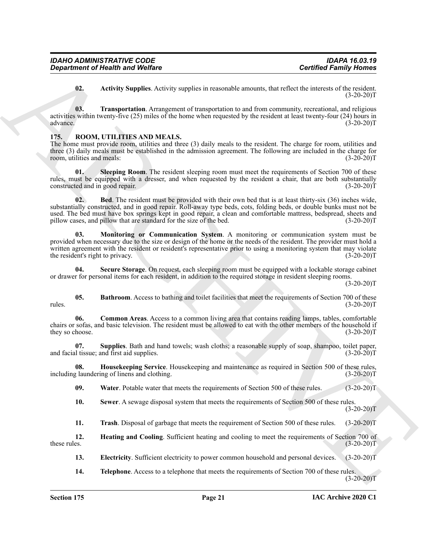<span id="page-21-2"></span><span id="page-21-1"></span>**02. Activity Supplies**. Activity supplies in reasonable amounts, that reflect the interests of the resident.  $(3-20-20)T$ 

**03. Transportation**. Arrangement of transportation to and from community, recreational, and religious activities within twenty-five (25) miles of the home when requested by the resident at least twenty-four (24) hours in advance.  $(3-20-20)T$ advance. (3-20-20)T

#### <span id="page-21-3"></span><span id="page-21-0"></span>**175. ROOM, UTILITIES AND MEALS.**

The home must provide room, utilities and three (3) daily meals to the resident. The charge for room, utilities and three (3) daily meals must be established in the admission agreement. The following are included in the charge for room, utilities and meals: (3-20-20)T

<span id="page-21-13"></span><span id="page-21-5"></span>**01.** Sleeping Room. The resident sleeping room must meet the requirements of Section 700 of these rules, must be equipped with a dresser, and when requested by the resident a chair, that are both substantially constructed and in good repair. (3-20-20) constructed and in good repair.

**Contribute of New York Contribute contribute the contribute of the set of the set of the set of the set of the set of the set of the set of the set of the set of the set of the set of the set of the set of the set of the 02. Bed**. The resident must be provided with their own bed that is at least thirty-six (36) inches wide, substantially constructed, and in good repair. Roll-away type beds, cots, folding beds, or double bunks must not be used. The bed must have box springs kept in good repair, a clean and comfortable mattress, bedspread, sheets and pillow cases, and pillow that are standard for the size of the bed. (3-20-20)T

<span id="page-21-10"></span>**03. Monitoring or Communication System**. A monitoring or communication system must be provided when necessary due to the size or design of the home or the needs of the resident. The provider must hold a written agreement with the resident or resident's representative prior to using a monitoring system that may violate<br>the resident's right to privacy. (3-20-20) the resident's right to privacy.

<span id="page-21-11"></span>**04. Secure Storage**. On request, each sleeping room must be equipped with a lockable storage cabinet or drawer for personal items for each resident, in addition to the required storage in resident sleeping rooms.

 $(3-20-20)T$ 

<span id="page-21-4"></span>**05. Bathroom**. Access to bathing and toilet facilities that meet the requirements of Section 700 of these rules.  $(3-20-20)T$ 

<span id="page-21-6"></span>**06. Common Areas**. Access to a common living area that contains reading lamps, tables, comfortable chairs or sofas, and basic television. The resident must be allowed to eat with the other members of the household if they so choose. (3-20-20) they so choose.

<span id="page-21-14"></span>**07. Supplies**. Bath and hand towels; wash cloths; a reasonable supply of soap, shampoo, toilet paper, il tissue; and first aid supplies. (3-20-20) and facial tissue; and first aid supplies.

**08. Housekeeping Service**. Housekeeping and maintenance as required in Section 500 of these rules, (3-20-20)T including laundering of linens and clothing.

<span id="page-21-17"></span><span id="page-21-9"></span>**09.** Water. Potable water that meets the requirements of Section 500 of these rules. (3-20-20)T

<span id="page-21-12"></span>**10. Sewer**. A sewage disposal system that meets the requirements of Section 500 of these rules.  $(3-20-20)T$ 

<span id="page-21-16"></span><span id="page-21-8"></span>**11. Trash**. Disposal of garbage that meets the requirement of Section 500 of these rules. (3-20-20)T

**12. 12. Heating and Cooling**. Sufficient heating and cooling to meet the requirements of Section 700 of these rules. (3-20-20)T these rules.  $(3-20-20)T$ 

<span id="page-21-7"></span>**13. Electricity.** Sufficient electricity to power common household and personal devices. (3-20-20)T

<span id="page-21-15"></span>**14. Telephone**. Access to a telephone that meets the requirements of Section 700 of these rules.  $(3-20-20)T$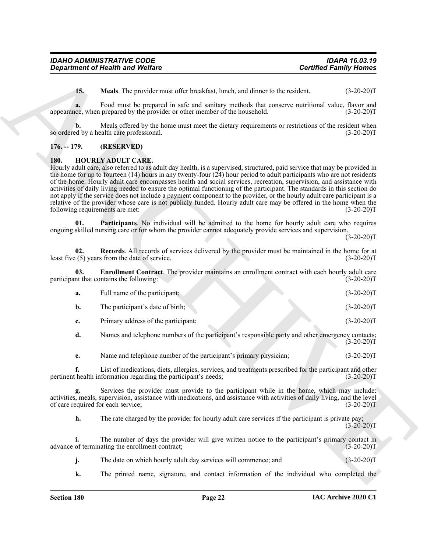| <b>IDAHO ADMINISTRATIVE CODE</b>        | <b>IDAPA 16.03.19</b>         |
|-----------------------------------------|-------------------------------|
| <b>Department of Health and Welfare</b> | <b>Certified Family Homes</b> |

<span id="page-22-6"></span>**15. Meals**. The provider must offer breakfast, lunch, and dinner to the resident. (3-20-20)T

**a.** Food must be prepared in safe and sanitary methods that conserve nutritional value, flavor and appearance, when prepared by the provider or other member of the household. (3-20-20)T

**b.** Meals offered by the home must meet the dietary requirements or restrictions of the resident when ed by a health care professional. (3-20-20) so ordered by a health care professional.

#### <span id="page-22-0"></span>**176. -- 179. (RESERVED)**

#### <span id="page-22-2"></span><span id="page-22-1"></span>**180. HOURLY ADULT CARE.**

**Exparament of Health wave Wolfare**<br>
15. March Task Provider and democration of the reaction of the reaction of the content of the content of the property of the specific property of the specific property of the reaction Hourly adult care, also referred to as adult day health, is a supervised, structured, paid service that may be provided in the home for up to fourteen  $(14)$  hours in any twenty-four  $(24)$  hour period to adult participants who are not residents of the home. Hourly adult care encompasses health and social services, recreation, supervision, and assistance with activities of daily living needed to ensure the optimal functioning of the participant. The standards in this section do not apply if the service does not include a payment component to the provider, or the hourly adult care participant is a relative of the provider whose care is not publicly funded. Hourly adult care may be offered in the home when the following requirements are met: (3-20-20)T

<span id="page-22-4"></span>**01. Participants**. No individual will be admitted to the home for hourly adult care who requires ongoing skilled nursing care or for whom the provider cannot adequately provide services and supervision.

 $(3-20-20)T$ 

<span id="page-22-5"></span>**02.** Records. All records of services delivered by the provider must be maintained in the home for at  $(5)$  years from the date of service. (3-20-20) least five  $(5)$  years from the date of service.

**03. Enrollment Contract**. The provider maintains an enrollment contract with each hourly adult care participant that contains the following: (3-20-20)T

<span id="page-22-3"></span>

| а. | Full name of the participant;       | $(3-20-20)T$ |
|----|-------------------------------------|--------------|
|    | The participant's date of birth;    | $(3-20-20)T$ |
|    | Primary address of the participant; | $(3-20-20)T$ |

**d.** Names and telephone numbers of the participant's responsible party and other emergency contacts;  $(3-20-20)T$ 

**e.** Name and telephone number of the participant's primary physician; (3-20-20)T

**f.** List of medications, diets, allergies, services, and treatments prescribed for the participant and other pertinent health information regarding the participant's needs; (3-20-20)T

**g.** Services the provider must provide to the participant while in the home, which may include: activities, meals, supervision, assistance with medications, and assistance with activities of daily living, and the level of care required for each service; (3-20-20)T

**h.** The rate charged by the provider for hourly adult care services if the participant is private pay;  $(3-20-20)T$ 

**i.** The number of days the provider will give written notice to the participant's primary contact in advance of terminating the enrollment contract; (3-20-20)T

**j.** The date on which hourly adult day services will commence; and  $(3-20-20)$ T

**k.** The printed name, signature, and contact information of the individual who completed the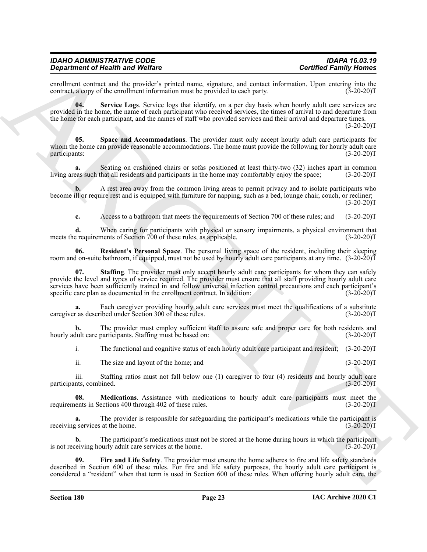enrollment contract and the provider's printed name, signature, and contact information. Upon entering into the contract, a copy of the enrollment information must be provided to each party. (3-20-20) contract, a copy of the enrollment information must be provided to each party.

<span id="page-23-3"></span>**04. Service Logs**. Service logs that identify, on a per day basis when hourly adult care services are provided in the home, the name of each participant who received services, the times of arrival to and departure from the home for each participant, and the names of staff who provided services and their arrival and departure times. (3-20-20)T

<span id="page-23-4"></span>**05. Space and Accommodations**. The provider must only accept hourly adult care participants for whom the home can provide reasonable accommodations. The home must provide the following for hourly adult care participants: (3-20-20)T

**a.** Seating on cushioned chairs or sofas positioned at least thirty-two (32) inches apart in common living areas such that all residents and participants in the home may comfortably enjoy the space; (3-20-20)T

**b.** A rest area away from the common living areas to permit privacy and to isolate participants who become ill or require rest and is equipped with furniture for napping, such as a bed, lounge chair, couch, or recliner;  $(3-20-20)T$ 

<span id="page-23-2"></span>**c.** Access to a bathroom that meets the requirements of Section 700 of these rules; and (3-20-20)T

**d.** When caring for participants with physical or sensory impairments, a physical environment that e requirements of Section 700 of these rules, as applicable. (3-20-20) meets the requirements of Section  $700$  of these rules, as applicable.

<span id="page-23-5"></span>**06. Resident's Personal Space**. The personal living space of the resident, including their sleeping room and on-suite bathroom, if equipped, must not be used by hourly adult care participants at any time. (3-20-20)T

Generalized or Hostelwards (Neurolas Contribute Studies of Law English and West Contribute Studies of Law English and West Contribute Studies of Law English and the Contribute Studies of Law English and the Contribute Stu **07. Staffing**. The provider must only accept hourly adult care participants for whom they can safely provide the level and types of service required. The provider must ensure that all staff providing hourly adult care services have been sufficiently trained in and follow universal infection control precautions and each participant's specific care plan as documented in the enrollment contract. In addition: (3-20-20) specific care plan as documented in the enrollment contract. In addition:

**a.** Each caregiver providing hourly adult care services must meet the qualifications of a substitute caregiver as described under Section 300 of these rules. (3-20-20)T

**b.** The provider must employ sufficient staff to assure safe and proper care for both residents and dult care participants. Staffing must be based on: (3-20-20) hourly adult care participants. Staffing must be based on:

i. The functional and cognitive status of each hourly adult care participant and resident; (3-20-20)T

<span id="page-23-1"></span>ii. The size and layout of the home; and (3-20-20)T

iii. Staffing ratios must not fall below one (1) caregiver to four (4) residents and hourly adult care nts, combined.  $(3-20-20)T$ participants, combined.

**08. Medications**. Assistance with medications to hourly adult care participants must meet the requirements in Sections 400 through 402 of these rules. (3-20-20)T

**a.** The provider is responsible for safeguarding the participant's medications while the participant is g services at the home. (3-20-20) receiving services at the home.

**b.** The participant's medications must not be stored at the home during hours in which the participant is not receiving hourly adult care services at the home. (3-20-20)T

<span id="page-23-0"></span>**09. Fire and Life Safety**. The provider must ensure the home adheres to fire and life safety standards described in Section 600 of these rules. For fire and life safety purposes, the hourly adult care participant is considered a "resident" when that term is used in Section 600 of these rules. When offering hourly adult care, the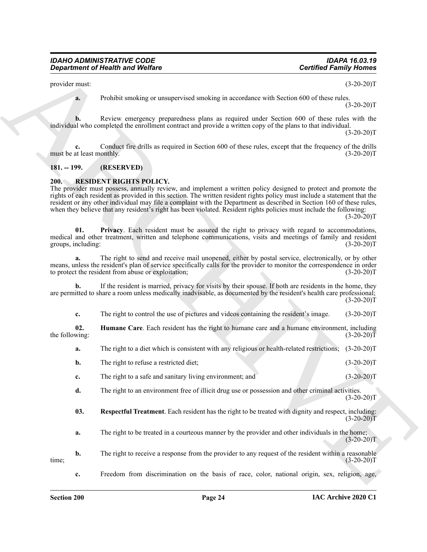provider must: (3-20-20)T

**a.** Prohibit smoking or unsupervised smoking in accordance with Section 600 of these rules.  $(3-20-20)T$ 

**b.** Review emergency preparedness plans as required under Section 600 of these rules with the individual who completed the enrollment contract and provide a written copy of the plans to that individual.  $(3-20-20)T$ 

Conduct fire drills as required in Section 600 of these rules, except that the frequency of the drills onthly. (3-20-20)<sup>T</sup> must be at least monthly.

#### <span id="page-24-0"></span>**181. -- 199. (RESERVED)**

#### <span id="page-24-2"></span><span id="page-24-1"></span>**200. RESIDENT RIGHTS POLICY.**

**Equivariant of Health word Welfare**<br>
Specified Facinity Health specified Facinity Health control of the specified Facinity (18) (19) 2003<br>
The complete the control of the specified Facinity (18) and the specified Facinit The provider must possess, annually review, and implement a written policy designed to protect and promote the rights of each resident as provided in this section. The written resident rights policy must include a statement that the resident or any other individual may file a complaint with the Department as described in Section 160 of these rules, when they believe that any resident's right has been violated. Resident rights policies must include the following:  $(3-20-20)T$ 

<span id="page-24-4"></span>**01. Privacy**. Each resident must be assured the right to privacy with regard to accommodations, medical and other treatment, written and telephone communications, visits and meetings of family and resident groups, including: (3-20-20)T (3-20-20)T

**a.** The right to send and receive mail unopened, either by postal service, electronically, or by other means, unless the resident's plan of service specifically calls for the provider to monitor the correspondence in order<br>to protect the resident from abuse or exploitation;<br>(3-20-20) to protect the resident from abuse or exploitation;

**b.** If the resident is married, privacy for visits by their spouse. If both are residents in the home, they are permitted to share a room unless medically inadvisable, as documented by the resident's health care professional;  $(3-20-20)T$ 

<span id="page-24-3"></span>**c.** The right to control the use of pictures and videos containing the resident's image. (3-20-20)T

**02. Humane Care**. Each resident has the right to humane care and a humane environment, including wing: (3-20-20) the following:

- **a.** The right to a diet which is consistent with any religious or health-related restrictions;  $(3-20-20)T$
- **b.** The right to refuse a restricted diet; (3-20-20)T
- **c.** The right to a safe and sanitary living environment; and (3-20-20)T
- **d.** The right to an environment free of illicit drug use or possession and other criminal activities.  $(3-20-20)T$

<span id="page-24-5"></span>**03. Respectful Treatment**. Each resident has the right to be treated with dignity and respect, including:  $(3-20-20)T$ 

**a.** The right to be treated in a courteous manner by the provider and other individuals in the home;  $(3-20-20)T$ 

**b.** The right to receive a response from the provider to any request of the resident within a reasonable (3-20-20) time; (3-20-20)T

**c.** Freedom from discrimination on the basis of race, color, national origin, sex, religion, age,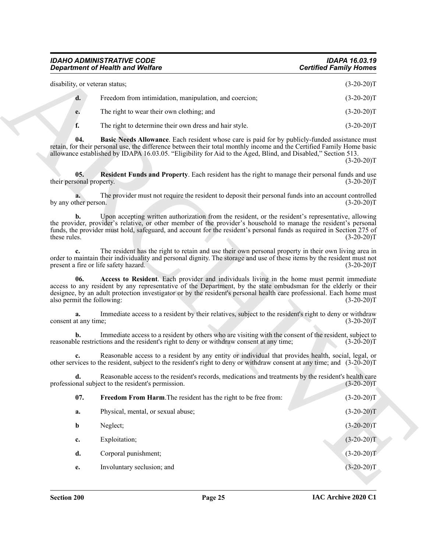<span id="page-25-3"></span><span id="page-25-2"></span><span id="page-25-1"></span><span id="page-25-0"></span>

| disability, or veteran status; |                                                        | $(3-20-20)T$                                           |              |
|--------------------------------|--------------------------------------------------------|--------------------------------------------------------|--------------|
| $\mathbf{d}$ .                 | Freedom from intimidation, manipulation, and coercion; | $(3-20-20)T$                                           |              |
|                                | e.                                                     | The right to wear their own clothing; and              | $(3-20-20)T$ |
|                                |                                                        | The right to determine their own dress and hair style. | $(3-20-20)T$ |

|                                   | <b>Department of Health and Welfare</b>                                                                                                                                                                                                                                                                                                         | <b>Certified Family Homes</b> |
|-----------------------------------|-------------------------------------------------------------------------------------------------------------------------------------------------------------------------------------------------------------------------------------------------------------------------------------------------------------------------------------------------|-------------------------------|
| disability, or veteran status;    |                                                                                                                                                                                                                                                                                                                                                 | $(3-20-20)T$                  |
| d.                                | Freedom from intimidation, manipulation, and coercion;                                                                                                                                                                                                                                                                                          | $(3-20-20)T$                  |
| e.                                | The right to wear their own clothing; and                                                                                                                                                                                                                                                                                                       | $(3-20-20)T$                  |
| f.                                | The right to determine their own dress and hair style.                                                                                                                                                                                                                                                                                          | $(3-20-20)T$                  |
| 04.                               | Basic Needs Allowance. Each resident whose care is paid for by publicly-funded assistance must<br>retain, for their personal use, the difference between their total monthly income and the Certified Family Home basic<br>allowance established by IDAPA 16.03.05. "Eligibility for Aid to the Aged, Blind, and Disabled," Section 513.        | $(3-20-20)T$                  |
| 05.<br>their personal property.   | Resident Funds and Property. Each resident has the right to manage their personal funds and use                                                                                                                                                                                                                                                 | $(3-20-20)T$                  |
| by any other person.              | The provider must not require the resident to deposit their personal funds into an account controlled                                                                                                                                                                                                                                           | $(3-20-20)T$                  |
| b.<br>these rules.                | Upon accepting written authorization from the resident, or the resident's representative, allowing<br>the provider, provider's relative, or other member of the provider's household to manage the resident's personal<br>funds, the provider must hold, safeguard, and account for the resident's personal funds as required in Section 275 of | $(3-20-20)T$                  |
|                                   | The resident has the right to retain and use their own personal property in their own living area in<br>order to maintain their individuality and personal dignity. The storage and use of these items by the resident must not<br>present a fire or life safety hazard.                                                                        | $(3-20-20)T$                  |
| 06.<br>also permit the following: | Access to Resident. Each provider and individuals living in the home must permit immediate<br>access to any resident by any representative of the Department, by the state ombudsman for the elderly or their<br>designee, by an adult protection investigator or by the resident's personal health care professional. Each home must           | $(3-20-20)T$                  |
| a.<br>consent at any time;        | Immediate access to a resident by their relatives, subject to the resident's right to deny or withdraw                                                                                                                                                                                                                                          | $(3-20-20)T$                  |
| b.                                | Immediate access to a resident by others who are visiting with the consent of the resident, subject to<br>reasonable restrictions and the resident's right to deny or withdraw consent at any time;                                                                                                                                             | $(3-20-20)T$                  |
|                                   | Reasonable access to a resident by any entity or individual that provides health, social, legal, or<br>other services to the resident, subject to the resident's right to deny or withdraw consent at any time; and (3-20-20)T                                                                                                                  |                               |
|                                   | Reasonable access to the resident's records, medications and treatments by the resident's health care<br>professional subject to the resident's permission.                                                                                                                                                                                     | $(3-20-20)T$                  |
| 07.                               | Freedom From Harm. The resident has the right to be free from:                                                                                                                                                                                                                                                                                  | $(3-20-20)T$                  |
| a.                                | Physical, mental, or sexual abuse;                                                                                                                                                                                                                                                                                                              | $(3-20-20)T$                  |
| b                                 | Neglect;                                                                                                                                                                                                                                                                                                                                        | $(3-20-20)T$                  |
|                                   | Exploitation;                                                                                                                                                                                                                                                                                                                                   | $(3-20-20)T$                  |
| c.                                |                                                                                                                                                                                                                                                                                                                                                 |                               |
| d.                                | Corporal punishment;                                                                                                                                                                                                                                                                                                                            | $(3-20-20)T$                  |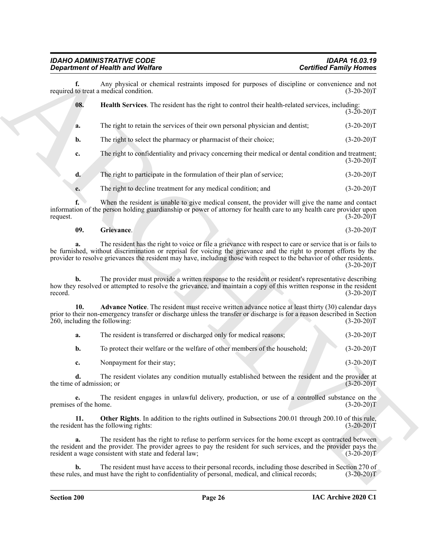<span id="page-26-2"></span>

|                                      | <b>Department of Health and Welfare</b>                                                                                                                                                                                                                                                                                                                    | <b>Certified Family Homes</b> |
|--------------------------------------|------------------------------------------------------------------------------------------------------------------------------------------------------------------------------------------------------------------------------------------------------------------------------------------------------------------------------------------------------------|-------------------------------|
| f.                                   | Any physical or chemical restraints imposed for purposes of discipline or convenience and not<br>required to treat a medical condition.                                                                                                                                                                                                                    | $(3-20-20)T$                  |
| 08.                                  | Health Services. The resident has the right to control their health-related services, including:                                                                                                                                                                                                                                                           | $(3-20-20)T$                  |
| a.                                   | The right to retain the services of their own personal physician and dentist;                                                                                                                                                                                                                                                                              | $(3-20-20)T$                  |
| b.                                   | The right to select the pharmacy or pharmacist of their choice;                                                                                                                                                                                                                                                                                            | $(3-20-20)T$                  |
| c.                                   | The right to confidentiality and privacy concerning their medical or dental condition and treatment;                                                                                                                                                                                                                                                       | $(3-20-20)T$                  |
| d.                                   | The right to participate in the formulation of their plan of service;                                                                                                                                                                                                                                                                                      | $(3-20-20)T$                  |
| e.                                   | The right to decline treatment for any medical condition; and                                                                                                                                                                                                                                                                                              | $(3-20-20)T$                  |
| request.                             | When the resident is unable to give medical consent, the provider will give the name and contact<br>information of the person holding guardianship or power of attorney for health care to any health care provider upon                                                                                                                                   | $(3-20-20)T$                  |
| 09.                                  | Grievance.                                                                                                                                                                                                                                                                                                                                                 | $(3-20-20)T$                  |
|                                      | The resident has the right to voice or file a grievance with respect to care or service that is or fails to<br>be furnished, without discrimination or reprisal for voicing the grievance and the right to prompt efforts by the<br>provider to resolve grievances the resident may have, including those with respect to the behavior of other residents. | $(3-20-20)T$                  |
| b.<br>record.                        | The provider must provide a written response to the resident or resident's representative describing<br>how they resolved or attempted to resolve the grievance, and maintain a copy of this written response in the resident                                                                                                                              | $(3-20-20)T$                  |
| 10.<br>260, including the following: | <b>Advance Notice.</b> The resident must receive written advance notice at least thirty (30) calendar days<br>prior to their non-emergency transfer or discharge unless the transfer or discharge is for a reason described in Section                                                                                                                     | $(3-20-20)T$                  |
| a.                                   | The resident is transferred or discharged only for medical reasons;                                                                                                                                                                                                                                                                                        | $(3-20-20)T$                  |
| b.                                   | To protect their welfare or the welfare of other members of the household;                                                                                                                                                                                                                                                                                 | $(3-20-20)T$                  |
| c.                                   | Nonpayment for their stay;                                                                                                                                                                                                                                                                                                                                 | $(3-20-20)T$                  |
| the time of admission; or            | The resident violates any condition mutually established between the resident and the provider at                                                                                                                                                                                                                                                          | $(3-20-20)T$                  |
| e.<br>premises of the home.          | The resident engages in unlawful delivery, production, or use of a controlled substance on the                                                                                                                                                                                                                                                             | $(3-20-20)T$                  |
| 11.                                  | Other Rights. In addition to the rights outlined in Subsections 200.01 through 200.10 of this rule,<br>the resident has the following rights:                                                                                                                                                                                                              | $(3-20-20)T$                  |
| a.                                   | The resident has the right to refuse to perform services for the home except as contracted between<br>the resident and the provider. The provider agrees to pay the resident for such services, and the provider pays the<br>resident a wage consistent with state and federal law;                                                                        | $(3-20-20)T$                  |
|                                      | The resident must have access to their personal records, including those described in Section 270 of                                                                                                                                                                                                                                                       |                               |

#### <span id="page-26-1"></span>**09. Grievance**. (3-20-20)T

<span id="page-26-3"></span><span id="page-26-0"></span>

| a. | The resident is transferred or discharged only for medical reasons;        | $(3-20-20)T$ |
|----|----------------------------------------------------------------------------|--------------|
| b. | To protect their welfare or the welfare of other members of the household; | $(3-20-20)T$ |
|    | Nonpayment for their stay;                                                 | $(3-20-20)T$ |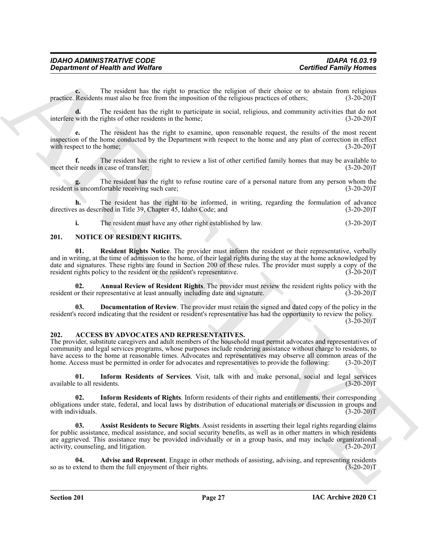| <b>IDAPA 16.03.19</b>         |
|-------------------------------|
| <b>Certified Family Homes</b> |
|                               |

**c.** The resident has the right to practice the religion of their choice or to abstain from religious practice. Residents must also be free from the imposition of the religious practices of others; (3-20-20)T

**d.** The resident has the right to participate in social, religious, and community activities that do not interfere with the rights of other residents in the home; (3-20-20)T

**e.** The resident has the right to examine, upon reasonable request, the results of the most recent inspection of the home conducted by the Department with respect to the home and any plan of correction in effect with respect to the home; (3-20-20)T

**f.** The resident has the right to review a list of other certified family homes that may be available to ir needs in case of transfer; (3-20-20) meet their needs in case of transfer;

**g.** The resident has the right to refuse routine care of a personal nature from any person whom the is uncomfortable receiving such care; (3-20-20) resident is uncomfortable receiving such care;

**h.** The resident has the right to be informed, in writing, regarding the formulation of advance directives as described in Title 39, Chapter 45, Idaho Code; and (3-20-20)T

<span id="page-27-10"></span><span id="page-27-7"></span>**i.** The resident must have any other right established by law. (3-20-20)T

#### <span id="page-27-0"></span>**201. NOTICE OF RESIDENT RIGHTS.**

**Contribute of Newth hand Welfare**<br>
The resulted hand the right to provide the right of the right of the right of the sign of the sign of the sign of the sign of the sign of the sign of the sign of the sign of the sign of **01. Resident Rights Notice**. The provider must inform the resident or their representative, verbally and in writing, at the time of admission to the home, of their legal rights during the stay at the home acknowledged by date and signatures. These rights are found in Section 200 of these rules. The provider must supply a copy of the resident rights policy to the resident or the resident's representative.  $(3-20-20)$ resident rights policy to the resident or the resident's representative.

<span id="page-27-8"></span>**02.** Annual Review of Resident Rights. The provider must review the resident rights policy with the or their representative at least annually including date and signature. (3-20-20) resident or their representative at least annually including date and signature.

<span id="page-27-9"></span>**Documentation of Review**. The provider must retain the signed and dated copy of the policy in the resident's record indicating that the resident or resident's representative has had the opportunity to review the policy.  $(3-20-20)T$ 

#### <span id="page-27-2"></span><span id="page-27-1"></span>**202. ACCESS BY ADVOCATES AND REPRESENTATIVES.**

The provider, substitute caregivers and adult members of the household must permit advocates and representatives of community and legal services programs, whose purposes include rendering assistance without charge to residents, to have access to the home at reasonable times. Advocates and representatives may observe all common areas of the home. Access must be permitted in order for advocates and representatives to provide the following: (3-20-20)T

<span id="page-27-6"></span>**01. Inform Residents of Services**. Visit, talk with and make personal, social and legal services available to all residents. (3-20-20)T

<span id="page-27-5"></span>**02. Inform Residents of Rights**. Inform residents of their rights and entitlements, their corresponding obligations under state, federal, and local laws by distribution of educational materials or discussion in groups and with individuals. (3-20-20)T

<span id="page-27-4"></span>**03. Assist Residents to Secure Rights**. Assist residents in asserting their legal rights regarding claims for public assistance, medical assistance, and social security benefits, as well as in other matters in which residents are aggrieved. This assistance may be provided individually or in a group basis, and may include organizational activity, counseling, and litigation. (3-20-20)T

<span id="page-27-3"></span>**04.** Advise and Represent. Engage in other methods of assisting, advising, and representing residents extend to them the full enjoyment of their rights. (3-20-20) so as to extend to them the full enjoyment of their rights.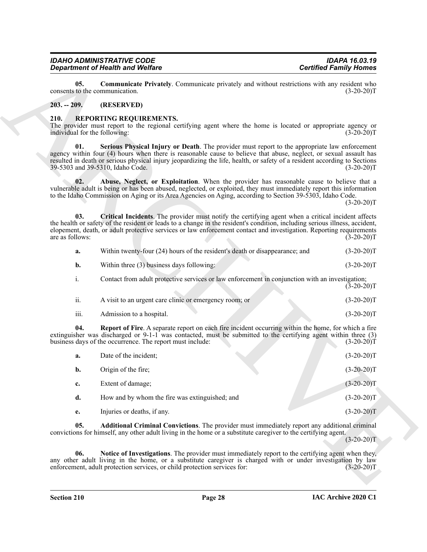#### <span id="page-28-2"></span><span id="page-28-0"></span>**203. -- 209. (RESERVED)**

#### <span id="page-28-9"></span><span id="page-28-4"></span><span id="page-28-3"></span><span id="page-28-1"></span>**210. REPORTING REQUIREMENTS.**

<span id="page-28-6"></span>

| a.             | Within twenty-four (24) hours of the resident's death or disappearance; and                     | $(3-20-20)T$ |
|----------------|-------------------------------------------------------------------------------------------------|--------------|
| b.             | Within three (3) business days following:                                                       | $(3-20-20)T$ |
| $\mathbf{1}$ . | Contact from adult protective services or law enforcement in conjunction with an investigation; | $(3-20-20)T$ |
| ii.            | A visit to an urgent care clinic or emergency room; or                                          | $(3-20-20)T$ |

<span id="page-28-8"></span><span id="page-28-7"></span><span id="page-28-5"></span>

| $\cdots$<br>- 111. | Admission to a hospital. |  | $(3-20-20)T$ |
|--------------------|--------------------------|--|--------------|

|                                       | <b>Department of Health and Welfare</b>                                                                                                                                                                                                                                                                                                                                             | <b>Certified Family Homes</b> |
|---------------------------------------|-------------------------------------------------------------------------------------------------------------------------------------------------------------------------------------------------------------------------------------------------------------------------------------------------------------------------------------------------------------------------------------|-------------------------------|
| 05.                                   | Communicate Privately. Communicate privately and without restrictions with any resident who<br>consents to the communication.                                                                                                                                                                                                                                                       | $(3-20-20)T$                  |
| $203. - 209.$                         | (RESERVED)                                                                                                                                                                                                                                                                                                                                                                          |                               |
| 210.<br>individual for the following: | REPORTING REQUIREMENTS.<br>The provider must report to the regional certifying agent where the home is located or appropriate agency or                                                                                                                                                                                                                                             | $(3-20-20)T$                  |
| 01.                                   | Serious Physical Injury or Death. The provider must report to the appropriate law enforcement<br>agency within four (4) hours when there is reasonable cause to believe that abuse, neglect, or sexual assault has<br>resulted in death or serious physical injury jeopardizing the life, health, or safety of a resident according to Sections<br>39-5303 and 39-5310, Idaho Code. | $(3-20-20)T$                  |
| 02.                                   | Abuse, Neglect, or Exploitation. When the provider has reasonable cause to believe that a<br>vulnerable adult is being or has been abused, neglected, or exploited, they must immediately report this information<br>to the Idaho Commission on Aging or its Area Agencies on Aging, according to Section 39-5303, Idaho Code.                                                      | $(3-20-20)T$                  |
| 03.<br>are as follows:                | Critical Incidents. The provider must notify the certifying agent when a critical incident affects<br>the health or safety of the resident or leads to a change in the resident's condition, including serious illness, accident,<br>elopement, death, or adult protective services or law enforcement contact and investigation. Reporting requirements                            | $(3-20-20)T$                  |
| a.                                    | Within twenty-four (24) hours of the resident's death or disappearance; and                                                                                                                                                                                                                                                                                                         | $(3-20-20)T$                  |
| b.                                    | Within three (3) business days following:                                                                                                                                                                                                                                                                                                                                           | $(3-20-20)T$                  |
| i.                                    | Contact from adult protective services or law enforcement in conjunction with an investigation;                                                                                                                                                                                                                                                                                     | $(3-20-20)T$                  |
| ii.                                   | A visit to an urgent care clinic or emergency room; or                                                                                                                                                                                                                                                                                                                              | $(3-20-20)T$                  |
| iii.                                  | Admission to a hospital.                                                                                                                                                                                                                                                                                                                                                            | $(3-20-20)T$                  |
| 04.                                   | Report of Fire. A separate report on each fire incident occurring within the home, for which a fire<br>extinguisher was discharged or 9-1-1 was contacted, must be submitted to the certifying agent within three (3)<br>business days of the occurrence. The report must include:                                                                                                  | $(3-20-20)T$                  |
| a.                                    | Date of the incident;                                                                                                                                                                                                                                                                                                                                                               | $(3-20-20)T$                  |
| b.                                    | Origin of the fire;                                                                                                                                                                                                                                                                                                                                                                 | $(3-20-20)T$                  |
| c.                                    | Extent of damage;                                                                                                                                                                                                                                                                                                                                                                   | $(3-20-20)T$                  |
| d.                                    | How and by whom the fire was extinguished; and                                                                                                                                                                                                                                                                                                                                      | $(3-20-20)T$                  |
| e.                                    | Injuries or deaths, if any.                                                                                                                                                                                                                                                                                                                                                         | $(3-20-20)T$                  |
| 05.                                   | Additional Criminal Convictions. The provider must immediately report any additional criminal<br>convictions for himself, any other adult living in the home or a substitute caregiver to the certifying agent.                                                                                                                                                                     | $(3-20-20)T$                  |
|                                       |                                                                                                                                                                                                                                                                                                                                                                                     |                               |
| 06.                                   | Notice of Investigations. The provider must immediately report to the certifying agent when they,<br>any other adult living in the home, or a substitute caregiver is charged with or under investigation by law<br>enforcement, adult protection services, or child protection services for:                                                                                       | $(3-20-20)T$                  |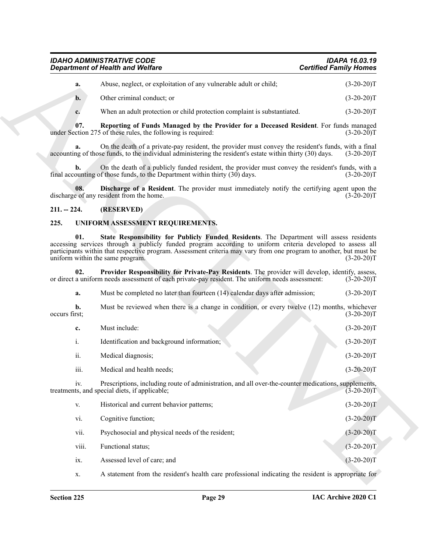| <b>IDAHO ADMINISTRATIVE CODE</b>        | <b>IDAPA 16.03.19</b>         |
|-----------------------------------------|-------------------------------|
| <b>Department of Health and Welfare</b> | <b>Certified Family Homes</b> |
|                                         |                               |

<span id="page-29-3"></span>

| Abuse, neglect, or exploitation of any vulnerable adult or child; | $(3-20-20)T$ |
|-------------------------------------------------------------------|--------------|
| Other criminal conduct: or                                        | $(3-20-20)T$ |

#### <span id="page-29-2"></span><span id="page-29-0"></span>**211. -- 224. (RESERVED)**

#### <span id="page-29-6"></span><span id="page-29-5"></span><span id="page-29-4"></span><span id="page-29-1"></span>**225. UNIFORM ASSESSMENT REQUIREMENTS.**

|                     | <b>Department of Health and Welfare</b>                                                                                                                                                                                                                                                                                                                          | <b>Certified Family Homes</b> |
|---------------------|------------------------------------------------------------------------------------------------------------------------------------------------------------------------------------------------------------------------------------------------------------------------------------------------------------------------------------------------------------------|-------------------------------|
| a.                  | Abuse, neglect, or exploitation of any vulnerable adult or child;                                                                                                                                                                                                                                                                                                | $(3-20-20)T$                  |
| $\mathbf{b}$ .      | Other criminal conduct; or                                                                                                                                                                                                                                                                                                                                       | $(3-20-20)T$                  |
| c.                  | When an adult protection or child protection complaint is substantiated.                                                                                                                                                                                                                                                                                         | $(3-20-20)T$                  |
| 07.                 | Reporting of Funds Managed by the Provider for a Deceased Resident. For funds managed<br>under Section 275 of these rules, the following is required:                                                                                                                                                                                                            | $(3-20-20)T$                  |
| а.                  | On the death of a private-pay resident, the provider must convey the resident's funds, with a final<br>accounting of those funds, to the individual administering the resident's estate within thirty (30) days.                                                                                                                                                 | $(3-20-20)T$                  |
| b.                  | On the death of a publicly funded resident, the provider must convey the resident's funds, with a<br>final accounting of those funds, to the Department within thirty (30) days.                                                                                                                                                                                 | $(3-20-20)T$                  |
| 08.                 | Discharge of a Resident. The provider must immediately notify the certifying agent upon the<br>discharge of any resident from the home.                                                                                                                                                                                                                          | $(3-20-20)T$                  |
| $211. - 224.$       | (RESERVED)                                                                                                                                                                                                                                                                                                                                                       |                               |
| 225.                | UNIFORM ASSESSMENT REQUIREMENTS.                                                                                                                                                                                                                                                                                                                                 |                               |
| 01.                 | State Responsibility for Publicly Funded Residents. The Department will assess residents<br>accessing services through a publicly funded program according to uniform criteria developed to assess all<br>participants within that respective program. Assessment criteria may vary from one program to another, but must be<br>uniform within the same program. | $(3-20-20)T$                  |
|                     |                                                                                                                                                                                                                                                                                                                                                                  |                               |
| 02.                 | Provider Responsibility for Private-Pay Residents. The provider will develop, identify, assess,<br>or direct a uniform needs assessment of each private-pay resident. The uniform needs assessment:                                                                                                                                                              | $(3-20-20)T$                  |
| a.                  | Must be completed no later than fourteen (14) calendar days after admission;                                                                                                                                                                                                                                                                                     | $(3-20-20)T$                  |
| b.<br>occurs first; | Must be reviewed when there is a change in condition, or every twelve (12) months, whichever                                                                                                                                                                                                                                                                     |                               |
| c.                  | Must include:                                                                                                                                                                                                                                                                                                                                                    | $(3-20-20)T$<br>$(3-20-20)T$  |
| i.                  | Identification and background information;                                                                                                                                                                                                                                                                                                                       | $(3-20-20)T$                  |
| ii.                 | Medical diagnosis;                                                                                                                                                                                                                                                                                                                                               | $(3-20-20)T$                  |
| iii.                | Medical and health needs;                                                                                                                                                                                                                                                                                                                                        | $(3-20-20)T$                  |
| iv.                 | Prescriptions, including route of administration, and all over-the-counter medications, supplements,<br>treatments, and special diets, if applicable;                                                                                                                                                                                                            |                               |
| V.                  | Historical and current behavior patterns;                                                                                                                                                                                                                                                                                                                        | $(3-20-20)T$<br>$(3-20-20)T$  |
| vi.                 | Cognitive function;                                                                                                                                                                                                                                                                                                                                              | $(3-20-20)T$                  |
| vii.                | Psychosocial and physical needs of the resident;                                                                                                                                                                                                                                                                                                                 | $(3-20-20)T$                  |
| viii.               | Functional status;                                                                                                                                                                                                                                                                                                                                               | $(3-20-20)T$                  |
| ix.                 | Assessed level of care; and                                                                                                                                                                                                                                                                                                                                      | $(3-20-20)T$                  |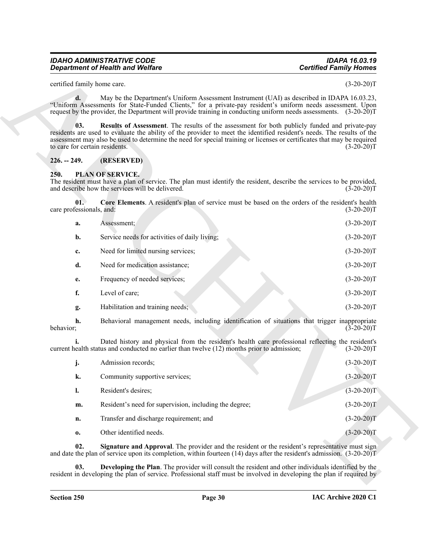#### <span id="page-30-6"></span><span id="page-30-0"></span>**226. -- 249. (RESERVED)**

#### <span id="page-30-3"></span><span id="page-30-2"></span><span id="page-30-1"></span>**250. PLAN OF SERVICE.**

|                                       | <b>Department of Health and Welfare</b>                                                                                                                                                                                                                                                                                                                    | <b>Certified Family Homes</b> |
|---------------------------------------|------------------------------------------------------------------------------------------------------------------------------------------------------------------------------------------------------------------------------------------------------------------------------------------------------------------------------------------------------------|-------------------------------|
| certified family home care.           |                                                                                                                                                                                                                                                                                                                                                            | $(3-20-20)T$                  |
| d.                                    | May be the Department's Uniform Assessment Instrument (UAI) as described in IDAPA 16.03.23,<br>"Uniform Assessments for State-Funded Clients," for a private-pay resident's uniform needs assessment. Upon<br>request by the provider, the Department will provide training in conducting uniform needs assessments. (3-20-20)T                            |                               |
| 03.<br>to care for certain residents. | <b>Results of Assessment</b> . The results of the assessment for both publicly funded and private-pay<br>residents are used to evaluate the ability of the provider to meet the identified resident's needs. The results of the<br>assessment may also be used to determine the need for special training or licenses or certificates that may be required | $(3-20-20)T$                  |
| $226. - 249.$                         | (RESERVED)                                                                                                                                                                                                                                                                                                                                                 |                               |
| 250.                                  | <b>PLAN OF SERVICE.</b><br>The resident must have a plan of service. The plan must identify the resident, describe the services to be provided,<br>and describe how the services will be delivered.                                                                                                                                                        | $(3-20-20)T$                  |
| 01.<br>care professionals, and:       | Core Elements. A resident's plan of service must be based on the orders of the resident's health                                                                                                                                                                                                                                                           | $(3-20-20)T$                  |
| a.                                    | Assessment;                                                                                                                                                                                                                                                                                                                                                | $(3-20-20)T$                  |
| b.                                    | Service needs for activities of daily living;                                                                                                                                                                                                                                                                                                              | $(3-20-20)T$                  |
| c.                                    | Need for limited nursing services;                                                                                                                                                                                                                                                                                                                         | $(3-20-20)T$                  |
| d.                                    | Need for medication assistance;                                                                                                                                                                                                                                                                                                                            | $(3-20-20)T$                  |
| е.                                    | Frequency of needed services;                                                                                                                                                                                                                                                                                                                              | $(3-20-20)T$                  |
| f.                                    | Level of care;                                                                                                                                                                                                                                                                                                                                             | $(3-20-20)T$                  |
| g.                                    | Habilitation and training needs;                                                                                                                                                                                                                                                                                                                           | $(3-20-20)T$                  |
| h.<br>behavior;                       | Behavioral management needs, including identification of situations that trigger inappropriate                                                                                                                                                                                                                                                             | $(3-20-20)T$                  |
|                                       | Dated history and physical from the resident's health care professional reflecting the resident's<br>current health status and conducted no earlier than twelve (12) months prior to admission;                                                                                                                                                            | $(3-20-20)T$                  |
| j.                                    | Admission records;                                                                                                                                                                                                                                                                                                                                         | $(3-20-20)T$                  |
| k.                                    | Community supportive services;                                                                                                                                                                                                                                                                                                                             | $(3-20-20)T$                  |
| $\mathbf{l}$ .                        | Resident's desires;                                                                                                                                                                                                                                                                                                                                        | $(3-20-20)T$                  |
| m.                                    | Resident's need for supervision, including the degree;                                                                                                                                                                                                                                                                                                     | $(3-20-20)T$                  |
| n.                                    | Transfer and discharge requirement; and                                                                                                                                                                                                                                                                                                                    | $(3-20-20)T$                  |
| 0.                                    | Other identified needs.                                                                                                                                                                                                                                                                                                                                    | $(3-20-20)T$                  |
| 02.                                   | <b>Signature and Approval.</b> The provider and the resident or the resident's representative must sign<br>and date the plan of service upon its completion, within fourteen $(14)$ days after the resident's admission. $(3-20-20)T$                                                                                                                      |                               |
| 03.                                   | Developing the Plan. The provider will consult the resident and other individuals identified by the<br>resident in developing the plan of service. Professional staff must be involved in developing the plan if required by                                                                                                                               |                               |

<span id="page-30-5"></span><span id="page-30-4"></span>

|    | Admission records;                                     | $(3-20-20)T$ |
|----|--------------------------------------------------------|--------------|
| k. | Community supportive services;                         | $(3-20-20)T$ |
|    | Resident's desires;                                    | $(3-20-20)T$ |
| m. | Resident's need for supervision, including the degree; | $(3-20-20)T$ |
| n. | Transfer and discharge requirement; and                | $(3-20-20)T$ |
| 0. | Other identified needs.                                | $(3-20-20)T$ |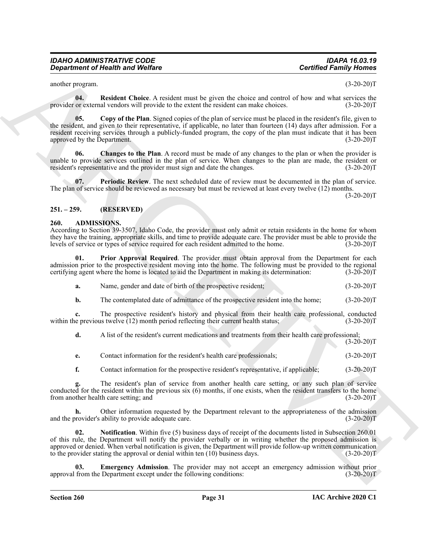<span id="page-31-9"></span>another program. (3-20-20)T

<span id="page-31-7"></span>**04. Resident Choice**. A resident must be given the choice and control of how and what services the or external vendors will provide to the extent the resident can make choices. (3-20-20) provider or external vendors will provide to the extent the resident can make choices.

**Contribute of Nearly was Wedfare<br>
Contribute Charles Contribute the system of the system of the system of the system of the system of the system of the system of the system of the system of the system of the system of th 05. Copy of the Plan**. Signed copies of the plan of service must be placed in the resident's file, given to the resident, and given to their representative, if applicable, no later than fourteen (14) days after admission. For a resident receiving services through a publicly-funded program, the copy of the plan must indicate that it has been approved by the Department. (3-20-20)T

<span id="page-31-6"></span>**06. Changes to the Plan**. A record must be made of any changes to the plan or when the provider is unable to provide services outlined in the plan of service. When changes to the plan are made, the resident or<br>resident's representative and the provider must sign and date the changes. (3-20-20) resident's representative and the provider must sign and date the changes.

<span id="page-31-8"></span>**07.** Periodic Review. The next scheduled date of review must be documented in the plan of service. The plan of service should be reviewed as necessary but must be reviewed at least every twelve (12) months.

 $(3-20-20)T$ 

#### <span id="page-31-0"></span>**251. – 259. (RESERVED)**

#### <span id="page-31-2"></span><span id="page-31-1"></span>**260. ADMISSIONS.**

According to Section 39-3507, Idaho Code, the provider must only admit or retain residents in the home for whom they have the training, appropriate skills, and time to provide adequate care. The provider must be able to provide the levels of service or types of service required for each resident admitted to the home. (3-20-20)T

**01. Prior Approval Required**. The provider must obtain approval from the Department for each admission prior to the prospective resident moving into the home. The following must be provided to the regional certifying agent where the home is located to aid the Department in making its determination: (3-20-20)T certifying agent where the home is located to aid the Department in making its determination:

<span id="page-31-5"></span>

| Name, gender and date of birth of the prospective resident;<br>а. | $(3-20-20)T$ |
|-------------------------------------------------------------------|--------------|
|-------------------------------------------------------------------|--------------|

**b.** The contemplated date of admittance of the prospective resident into the home;  $(3-20-20)T$ 

**c.** The prospective resident's history and physical from their health care professional, conducted is previous twelve (12) month period reflecting their current health status; (3-20-20) within the previous twelve  $(12)$  month period reflecting their current health status;

**d.** A list of the resident's current medications and treatments from their health care professional;  $(3-20-20)T$ 

**e.** Contact information for the resident's health care professionals; (3-20-20)T

**f.** Contact information for the prospective resident's representative, if applicable; (3-20-20)T

**g.** The resident's plan of service from another health care setting, or any such plan of service conducted for the resident within the previous six (6) months, if one exists, when the resident transfers to the home<br>from another health care setting; and (3-20-20) from another health care setting; and

Other information requested by the Department relevant to the appropriateness of the admission ability to provide adequate care.  $(3-20-20)$ T and the provider's ability to provide adequate care.

<span id="page-31-4"></span>**02.** Notification. Within five (5) business days of receipt of the documents listed in Subsection 260.01 of this rule, the Department will notify the provider verbally or in writing whether the proposed admission is approved or denied. When verbal notification is given, the Department will provide follow-up written communication to the provider stating the approval or denial within ten (10) business days. (3-20-20)T

<span id="page-31-3"></span>**Emergency Admission**. The provider may not accept an emergency admission without prior approval from the Department except under the following conditions: (3-20-20)T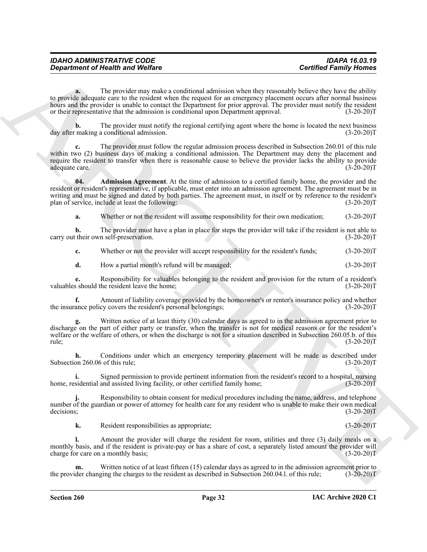| <b>IDAHO ADMINISTRATIVE CODE</b>        | <b>IDAPA 16.03.19</b>         |
|-----------------------------------------|-------------------------------|
| <b>Department of Health and Welfare</b> | <b>Certified Family Homes</b> |

**a.** The provider may make a conditional admission when they reasonably believe they have the ability to provide adequate care to the resident when the request for an emergency placement occurs after normal business hours and the provider is unable to contact the Department for prior approval. The provider must notify the resident or their representative that the admission is conditional upon Department approval. (3-20-20)T

**b.** The provider must notify the regional certifying agent where the home is located the next business making a conditional admission. (3-20-20) day after making a conditional admission.

**c.** The provider must follow the regular admission process described in Subsection 260.01 of this rule within two (2) business days of making a conditional admission. The Department may deny the placement and require the resident to transfer when there is reasonable cause to believe the provider lacks the ability to provide adequate care. (3-20-20) adequate care.

General relations of the provide mass are consistent about the the provide mass are consistent about the stationary of the stationary in the stationary of the stationary of the stationary of the stationary of the stationa **04. Admission Agreement**. At the time of admission to a certified family home, the provider and the resident or resident's representative, if applicable, must enter into an admission agreement. The agreement must be in writing and must be signed and dated by both parties. The agreement must, in itself or by reference to the resident's plan of service, include at least the following: (3-20-20)T

<span id="page-32-0"></span>**a.** Whether or not the resident will assume responsibility for their own medication; (3-20-20)T

**b.** The provider must have a plan in place for steps the provider will take if the resident is not able to their own self-preservation. (3-20-20) carry out their own self-preservation.

**c.** Whether or not the provider will accept responsibility for the resident's funds;  $(3-20-20)T$ 

**d.** How a partial month's refund will be managed; (3-20-20)T

**e.** Responsibility for valuables belonging to the resident and provision for the return of a resident's valuables should the resident leave the home; (3-20-20)T

**f.** Amount of liability coverage provided by the homeowner's or renter's insurance policy and whether the insurance policy covers the resident's personal belongings; (3-20-20)T

Written notice of at least thirty (30) calendar days as agreed to in the admission agreement prior to discharge on the part of either party or transfer, when the transfer is not for medical reasons or for the resident's welfare or the welfare of others, or when the discharge is not for a situation described in Subsection 260.05.b. of this rule; (3-20-20)T

**h.** Conditions under which an emergency temporary placement will be made as described under on 260.06 of this rule: (3-20-20) Subsection 260.06 of this rule;

Signed permission to provide pertinent information from the resident's record to a hospital, nursing and assisted living facility, or other certified family home; (3-20-20)<sup>T</sup> home, residential and assisted living facility, or other certified family home;

**j.** Responsibility to obtain consent for medical procedures including the name, address, and telephone number of the guardian or power of attorney for health care for any resident who is unable to make their own medical decisions; (3-20-20)T

**k.** Resident responsibilities as appropriate; (3-20-20)T

**l.** Amount the provider will charge the resident for room, utilities and three (3) daily meals on a monthly basis, and if the resident is private-pay or has a share of cost, a separately listed amount the provider will charge for care on a monthly basis; (3-20-20)T

Written notice of at least fifteen (15) calendar days as agreed to in the admission agreement prior to the provider changing the charges to the resident as described in Subsection 260.04.l. of this rule; (3-20-20)T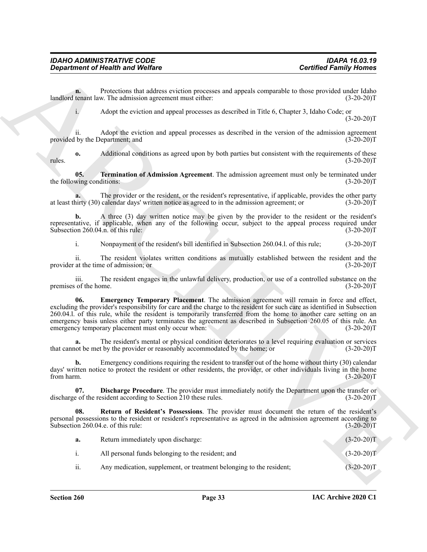<span id="page-33-3"></span><span id="page-33-2"></span><span id="page-33-1"></span><span id="page-33-0"></span>

|                                  | <b>Department of Health and Welfare</b>                                                                                                                                                                                                                                                                                                                                                                                                                                                                             | <b>Certified Family Homes</b> |
|----------------------------------|---------------------------------------------------------------------------------------------------------------------------------------------------------------------------------------------------------------------------------------------------------------------------------------------------------------------------------------------------------------------------------------------------------------------------------------------------------------------------------------------------------------------|-------------------------------|
| n.                               | Protections that address eviction processes and appeals comparable to those provided under Idaho<br>landlord tenant law. The admission agreement must either:                                                                                                                                                                                                                                                                                                                                                       | $(3-20-20)T$                  |
| $\mathbf{i}$ .                   | Adopt the eviction and appeal processes as described in Title 6, Chapter 3, Idaho Code; or                                                                                                                                                                                                                                                                                                                                                                                                                          | $(3-20-20)T$                  |
| 11.                              | Adopt the eviction and appeal processes as described in the version of the admission agreement<br>provided by the Department; and                                                                                                                                                                                                                                                                                                                                                                                   | $(3-20-20)T$                  |
| $\mathbf{0}$<br>rules.           | Additional conditions as agreed upon by both parties but consistent with the requirements of these                                                                                                                                                                                                                                                                                                                                                                                                                  | $(3-20-20)T$                  |
| 05.<br>the following conditions: | Termination of Admission Agreement. The admission agreement must only be terminated under                                                                                                                                                                                                                                                                                                                                                                                                                           | $(3-20-20)T$                  |
|                                  | The provider or the resident, or the resident's representative, if applicable, provides the other party<br>at least thirty (30) calendar days' written notice as agreed to in the admission agreement; or                                                                                                                                                                                                                                                                                                           | $(3-20-20)T$                  |
| b.                               | A three (3) day written notice may be given by the provider to the resident or the resident's<br>representative, if applicable, when any of the following occur, subject to the appeal process required under<br>Subsection 260.04.n. of this rule:                                                                                                                                                                                                                                                                 | $(3-20-20)T$                  |
| i.                               | Nonpayment of the resident's bill identified in Subsection 260.04.1. of this rule;                                                                                                                                                                                                                                                                                                                                                                                                                                  | $(3-20-20)T$                  |
| ii.                              | The resident violates written conditions as mutually established between the resident and the<br>provider at the time of admission; or                                                                                                                                                                                                                                                                                                                                                                              | $(3-20-20)T$                  |
| iii.<br>premises of the home.    | The resident engages in the unlawful delivery, production, or use of a controlled substance on the                                                                                                                                                                                                                                                                                                                                                                                                                  | $(3-20-20)T$                  |
| 06.                              | Emergency Temporary Placement. The admission agreement will remain in force and effect,<br>excluding the provider's responsibility for care and the charge to the resident for such care as identified in Subsection<br>260.04.1. of this rule, while the resident is temporarily transferred from the home to another care setting on an<br>emergency basis unless either party terminates the agreement as described in Subsection 260.05 of this rule. An<br>emergency temporary placement must only occur when: | $(3-20-20)T$                  |
| a.                               | The resident's mental or physical condition deteriorates to a level requiring evaluation or services<br>that cannot be met by the provider or reasonably accommodated by the home; or                                                                                                                                                                                                                                                                                                                               | $(3-20-20)T$                  |
| b.<br>trom harm.                 | Emergency conditions requiring the resident to transfer out of the home without thirty (30) calendar<br>days' written notice to protect the resident or other residents, the provider, or other individuals living in the home                                                                                                                                                                                                                                                                                      | $(3-20-20)T$                  |
| 07.                              | <b>Discharge Procedure</b> . The provider must immediately notify the Department upon the transfer or<br>discharge of the resident according to Section 210 these rules.                                                                                                                                                                                                                                                                                                                                            | $(3-20-20)T$                  |
| 08.                              | Return of Resident's Possessions. The provider must document the return of the resident's<br>personal possessions to the resident or resident's representative as agreed in the admission agreement according to<br>Subsection 260.04.e. of this rule:                                                                                                                                                                                                                                                              | $(3-20-20)T$                  |
| a.                               | Return immediately upon discharge:                                                                                                                                                                                                                                                                                                                                                                                                                                                                                  | $(3-20-20)T$                  |
| i.                               | All personal funds belonging to the resident; and                                                                                                                                                                                                                                                                                                                                                                                                                                                                   | $(3-20-20)T$                  |
| ii.                              | Any medication, supplement, or treatment belonging to the resident;                                                                                                                                                                                                                                                                                                                                                                                                                                                 | $(3-20-20)T$                  |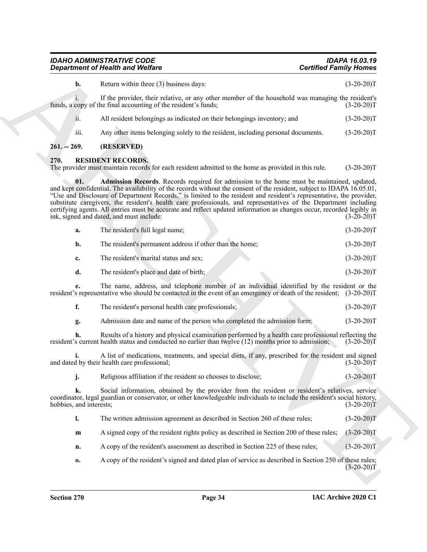|                               | <b>IDAHO ADMINISTRATIVE CODE</b><br><b>Department of Health and Welfare</b>                                                                                                                                                                                                                                                                                                                                                                                                                                                                                                                                                          | <b>IDAPA 16.03.19</b><br><b>Certified Family Homes</b> |
|-------------------------------|--------------------------------------------------------------------------------------------------------------------------------------------------------------------------------------------------------------------------------------------------------------------------------------------------------------------------------------------------------------------------------------------------------------------------------------------------------------------------------------------------------------------------------------------------------------------------------------------------------------------------------------|--------------------------------------------------------|
| b.                            | Return within three (3) business days:                                                                                                                                                                                                                                                                                                                                                                                                                                                                                                                                                                                               | $(3-20-20)T$                                           |
|                               | If the provider, their relative, or any other member of the household was managing the resident's<br>funds, a copy of the final accounting of the resident's funds;                                                                                                                                                                                                                                                                                                                                                                                                                                                                  | $(3-20-20)T$                                           |
| ii.                           | All resident belongings as indicated on their belongings inventory; and                                                                                                                                                                                                                                                                                                                                                                                                                                                                                                                                                              | $(3-20-20)T$                                           |
| iii.                          | Any other items belonging solely to the resident, including personal documents.                                                                                                                                                                                                                                                                                                                                                                                                                                                                                                                                                      | $(3-20-20)T$                                           |
| $261. - 269.$                 | (RESERVED)                                                                                                                                                                                                                                                                                                                                                                                                                                                                                                                                                                                                                           |                                                        |
| 270.                          | <b>RESIDENT RECORDS.</b><br>The provider must maintain records for each resident admitted to the home as provided in this rule.                                                                                                                                                                                                                                                                                                                                                                                                                                                                                                      | $(3-20-20)T$                                           |
| 01.                           | Admission Records. Records required for admission to the home must be maintained, updated,<br>and kept confidential. The availability of the records without the consent of the resident, subject to IDAPA 16.05.01,<br>"Use and Disclosure of Department Records," is limited to the resident and resident's representative, the provider,<br>substitute caregivers, the resident's health care professionals, and representatives of the Department including<br>certifying agents. All entries must be accurate and reflect updated information as changes occur, recorded legibly in<br>ink, signed and dated, and must include: | $(3-20-20)T$                                           |
| a.                            | The resident's full legal name;                                                                                                                                                                                                                                                                                                                                                                                                                                                                                                                                                                                                      | $(3-20-20)T$                                           |
| b.                            | The resident's permanent address if other than the home;                                                                                                                                                                                                                                                                                                                                                                                                                                                                                                                                                                             | $(3-20-20)T$                                           |
| c.                            | The resident's marital status and sex;                                                                                                                                                                                                                                                                                                                                                                                                                                                                                                                                                                                               | $(3-20-20)T$                                           |
| d.                            | The resident's place and date of birth;                                                                                                                                                                                                                                                                                                                                                                                                                                                                                                                                                                                              | $(3-20-20)T$                                           |
| e.                            | The name, address, and telephone number of an individual identified by the resident or the<br>resident's representative who should be contacted in the event of an emergency or death of the resident; (3-20-20)T                                                                                                                                                                                                                                                                                                                                                                                                                    |                                                        |
| f.                            | The resident's personal health care professionals;                                                                                                                                                                                                                                                                                                                                                                                                                                                                                                                                                                                   | $(3-20-20)T$                                           |
| g.                            | Admission date and name of the person who completed the admission form;                                                                                                                                                                                                                                                                                                                                                                                                                                                                                                                                                              | $(3-20-20)T$                                           |
| h.                            | Results of a history and physical examination performed by a health care professional reflecting the<br>resident's current health status and conducted no earlier than twelve (12) months prior to admission;                                                                                                                                                                                                                                                                                                                                                                                                                        | $(3-20-20)T$                                           |
|                               | A list of medications, treatments, and special diets, if any, prescribed for the resident and signed<br>and dated by their health care professional;                                                                                                                                                                                                                                                                                                                                                                                                                                                                                 | $(3-20-20)T$                                           |
| j.                            | Religious affiliation if the resident so chooses to disclose;                                                                                                                                                                                                                                                                                                                                                                                                                                                                                                                                                                        | $(3-20-20)T$                                           |
| k.<br>hobbies, and interests; | Social information, obtained by the provider from the resident or resident's relatives, service<br>coordinator, legal guardian or conservator, or other knowledgeable individuals to include the resident's social history,                                                                                                                                                                                                                                                                                                                                                                                                          | $(3-20-20)T$                                           |
| 1.                            | The written admission agreement as described in Section 260 of these rules;                                                                                                                                                                                                                                                                                                                                                                                                                                                                                                                                                          | $(3-20-20)T$                                           |
| $\mathbf{m}$                  | A signed copy of the resident rights policy as described in Section 200 of these rules;                                                                                                                                                                                                                                                                                                                                                                                                                                                                                                                                              | $(3-20-20)T$                                           |
| n.                            | A copy of the resident's assessment as described in Section 225 of these rules;                                                                                                                                                                                                                                                                                                                                                                                                                                                                                                                                                      | $(3-20-20)T$                                           |
| 0.                            | A copy of the resident's signed and dated plan of service as described in Section 250 of these rules;                                                                                                                                                                                                                                                                                                                                                                                                                                                                                                                                | $(3-20-20)T$                                           |
|                               |                                                                                                                                                                                                                                                                                                                                                                                                                                                                                                                                                                                                                                      |                                                        |

<span id="page-34-3"></span><span id="page-34-2"></span><span id="page-34-1"></span><span id="page-34-0"></span>

| а. | The resident's full legal name;                          | $(3-20-20)T$ |
|----|----------------------------------------------------------|--------------|
| b. | The resident's permanent address if other than the home; | $(3-20-20)T$ |
| c. | The resident's marital status and sex;                   | $(3-20-20)T$ |
|    | The resident's place and date of birth;                  | $(3-20-20)T$ |

|  | The resident's personal health care professionals: |  |  |  | $(3-20-20)T$ |
|--|----------------------------------------------------|--|--|--|--------------|
|--|----------------------------------------------------|--|--|--|--------------|

| Admission date and name of the person who completed the admission form: | $(3-20-20)T$ |
|-------------------------------------------------------------------------|--------------|
|-------------------------------------------------------------------------|--------------|

|  | The written admission agreement as described in Section 260 of these rules; | $(3-20-20)T$ |
|--|-----------------------------------------------------------------------------|--------------|
|  |                                                                             |              |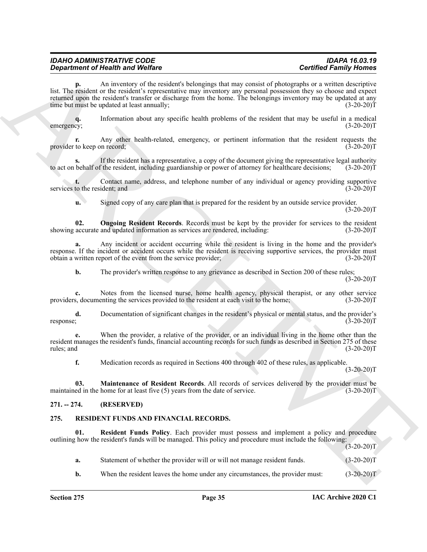| <b>IDAHO ADMINISTRATIVE CODE</b>        | <b>IDAPA 16.03.19</b>         |
|-----------------------------------------|-------------------------------|
| <b>Department of Health and Welfare</b> | <b>Certified Family Homes</b> |

**p.** An inventory of the resident's belongings that may consist of photographs or a written descriptive list. The resident or the resident's representative may inventory any personal possession they so choose and expect returned upon the resident's transfer or discharge from the home. The belongings inventory may be updated at any time but must be updated at least annually; (3-20-20)T

**q.** Information about any specific health problems of the resident that may be useful in a medical  $cy$ ; (3-20-20) emergency; (3-20-20)T

**r.** Any other health-related, emergency, or pertinent information that the resident requests the to keep on record; (3-20-20) provider to keep on record;

If the resident has a representative, a copy of the document giving the representative legal authority f the resident, including guardianship or power of attorney for healthcare decisions; (3-20-20)<sup>T</sup> to act on behalf of the resident, including guardianship or power of attorney for healthcare decisions;

**t.** Contact name, address, and telephone number of any individual or agency providing supportive to the resident; and  $(3-20-20)T$ services to the resident; and

<span id="page-35-5"></span>**u.** Signed copy of any care plan that is prepared for the resident by an outside service provider.

 $(3-20-20)T$ 

**02. Ongoing Resident Records**. Records must be kept by the provider for services to the resident accurate and updated information as services are rendered, including: (3-20-20) showing accurate and updated information as services are rendered, including:

**a.** Any incident or accident occurring while the resident is living in the home and the provider's response. If the incident or accident occurs while the resident is receiving supportive services, the provider must obtain a written report of the event from the service provider; (3-20-20) obtain a written report of the event from the service provider;

**b.** The provider's written response to any grievance as described in Section 200 of these rules;  $(3-20-20)T$ 

**c.** Notes from the licensed nurse, home health agency, physical therapist, or any other service s, documenting the services provided to the resident at each visit to the home; (3-20-20) providers, documenting the services provided to the resident at each visit to the home;

**d.** Documentation of significant changes in the resident's physical or mental status, and the provider's  $(3-20-20)T$ response; (3-20-20)T

**e.** When the provider, a relative of the provider, or an individual living in the home other than the resident manages the resident's funds, financial accounting records for such funds as described in Section 275 of these rules; and  $(3-20-20)T$ 

<span id="page-35-4"></span>**f.** Medication records as required in Sections 400 through 402 of these rules, as applicable.

 $(3-20-20)T$ 

**03. Maintenance of Resident Records**. All records of services delivered by the provider must be maintained in the home for at least five (5) years from the date of service. (3-20-20)T

#### <span id="page-35-0"></span>**271. -- 274. (RESERVED)**

#### <span id="page-35-2"></span><span id="page-35-1"></span>**275. RESIDENT FUNDS AND FINANCIAL RECORDS.**

<span id="page-35-3"></span>**01. Resident Funds Policy**. Each provider must possess and implement a policy and procedure outlining how the resident's funds will be managed. This policy and procedure must include the following:

Gegardment of Health with Wolfers<br>
and Northern Street Health with the space of the space of the space of the space of the space of the space of<br>
the space of the space of the space of the space of the space of the space  $(3-20-20)T$ **a.** Statement of whether the provider will or will not manage resident funds.  $(3-20-20)T$ **b.** When the resident leaves the home under any circumstances, the provider must:  $(3-20-20)T$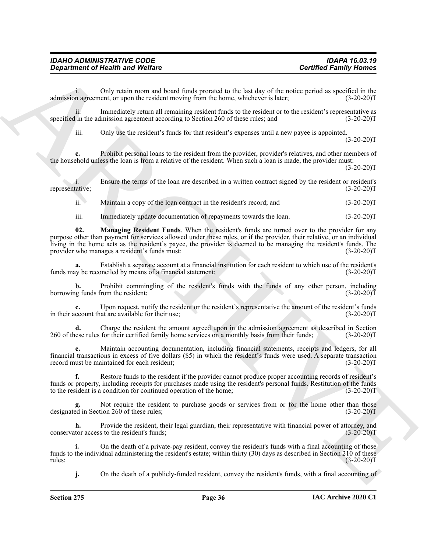i. Only retain room and board funds prorated to the last day of the notice period as specified in the admission agreement, or upon the resident moving from the home, whichever is later; (3-20-20)T

ii. Immediately return all remaining resident funds to the resident or to the resident's representative as specified in the admission agreement according to Section 260 of these rules; and  $(3{\text -}20{\text -}20)$ T

iii. Only use the resident's funds for that resident's expenses until a new payee is appointed.

 $(3-20-20)T$ 

**c.** Prohibit personal loans to the resident from the provider, provider's relatives, and other members of the household unless the loan is from a relative of the resident. When such a loan is made, the provider must:

 $(3-20-20)T$ 

i. Ensure the terms of the loan are described in a written contract signed by the resident or resident's (3-20-20) representative;

ii. Maintain a copy of the loan contract in the resident's record; and (3-20-20)T

<span id="page-36-0"></span>iii. Immediately update documentation of repayments towards the loan. (3-20-20)T

**Contribute of Newthern Solution** and Wedlfare<br>
Contribute Solution and beach process to the last of states process of the context process of the contribute of the states process of the context process of the context proc **02. Managing Resident Funds**. When the resident's funds are turned over to the provider for any purpose other than payment for services allowed under these rules, or if the provider, their relative, or an individual living in the home acts as the resident's payee, the provider is deemed to be managing the resident's funds. The provider who manages a resident's funds must: (3-20-20)T

**a.** Establish a separate account at a financial institution for each resident to which use of the resident's (3-20-20) T<br>(3-20-20) funds may be reconciled by means of a financial statement;

**b.** Prohibit commingling of the resident's funds with the funds of any other person, including funds from the resident; (3-20-20) borrowing funds from the resident;

**c.** Upon request, notify the resident or the resident's representative the amount of the resident's funds in their account that are available for their use; (3-20-20)T

**d.** Charge the resident the amount agreed upon in the admission agreement as described in Section ese rules for their certified family home services on a monthly basis from their funds: (3-20-20) 260 of these rules for their certified family home services on a monthly basis from their funds;

**e.** Maintain accounting documentation, including financial statements, receipts and ledgers, for all financial transactions in excess of five dollars (\$5) in which the resident's funds were used. A separate transaction record must be maintained for each resident; (3-20-20) T

**f.** Restore funds to the resident if the provider cannot produce proper accounting records of resident's funds or property, including receipts for purchases made using the resident's personal funds. Restitution of the funds to the resident is a condition for continued operation of the home; (3-20-20)T

Not require the resident to purchase goods or services from or for the home other than those designated in Section 260 of these rules; (3-20-20)T

**h.** Provide the resident, their legal guardian, their representative with financial power of attorney, and conservator access to the resident's funds; (3-20-20)T

**i.** On the death of a private-pay resident, convey the resident's funds with a final accounting of those funds to the individual administering the resident's estate; within thirty (30) days as described in Section 210 of these rules; (3-20-20) rules;  $(3-20-20)T$ 

**j.** On the death of a publicly-funded resident, convey the resident's funds, with a final accounting of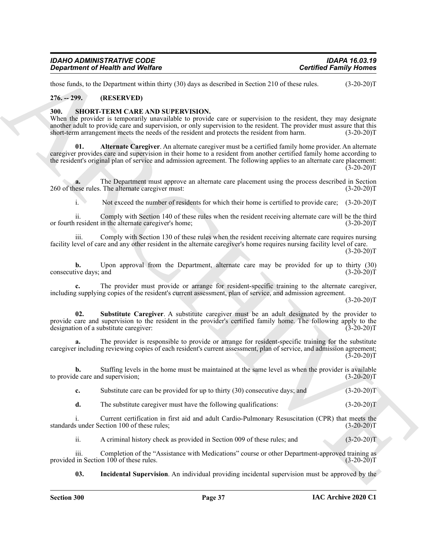| <b>IDAHO ADMINISTRATIVE CODE</b>        | <b>IDAPA 16.03.19</b>         |
|-----------------------------------------|-------------------------------|
| <b>Department of Health and Welfare</b> | <b>Certified Family Homes</b> |

those funds, to the Department within thirty (30) days as described in Section 210 of these rules. (3-20-20)T

#### <span id="page-37-0"></span>**276. -- 299. (RESERVED)**

#### <span id="page-37-2"></span><span id="page-37-1"></span>**300. SHORT-TERM CARE AND SUPERVISION.**

<span id="page-37-3"></span>When the provider is temporarily unavailable to provide care or supervision to the resident, they may designate another adult to provide care and supervision, or only supervision to the resident. The provider must assure that this short-term arrangement meets the needs of the resident and protects the resident from harm. (3-20-20)T

**Contribute of Newton Wolfres**<br>
Resp. 40. Because when the transmission of the state of the state of the state of the state of the state of the state of the state of the state of the state of the state of the state of the **01. Alternate Caregiver**. An alternate caregiver must be a certified family home provider. An alternate caregiver provides care and supervision in their home to a resident from another certified family home according to the resident's original plan of service and admission agreement. The following applies to an alternate care placement:  $(3-20-20)$ T

**a.** The Department must approve an alternate care placement using the process described in Section ese rules. The alternate caregiver must:  $(3-20-20)T$ 260 of these rules. The alternate caregiver must:

i. Not exceed the number of residents for which their home is certified to provide care; (3-20-20)T

ii. Comply with Section 140 of these rules when the resident receiving alternate care will be the third or fourth resident in the alternate caregiver's home; (3-20-20)T

iii. Comply with Section 130 of these rules when the resident receiving alternate care requires nursing facility level of care and any other resident in the alternate caregiver's home requires nursing facility level of care.  $(3-20-20)T$ 

**b.** Upon approval from the Department, alternate care may be provided for up to thirty (30) ive days; and (3-20-20) consecutive days; and

**c.** The provider must provide or arrange for resident-specific training to the alternate caregiver, including supplying copies of the resident's current assessment, plan of service, and admission agreement.

 $(3-20-20)T$ 

<span id="page-37-5"></span>**02. Substitute Caregiver**. A substitute caregiver must be an adult designated by the provider to provide care and supervision to the resident in the provider's certified family home. The following apply to the designation of a substitute caregiver: (3-20-20)T

**a.** The provider is responsible to provide or arrange for resident-specific training for the substitute caregiver including reviewing copies of each resident's current assessment, plan of service, and admission agreement;  $(3-20-20)T$ 

**b.** Staffing levels in the home must be maintained at the same level as when the provider is available to provide care and supervision; (3-20-20)T

**c.** Substitute care can be provided for up to thirty (30) consecutive days; and (3-20-20)T

**d.** The substitute caregiver must have the following qualifications: (3-20-20)T

i. Current certification in first aid and adult Cardio-Pulmonary Resuscitation (CPR) that meets the sunder Section 100 of these rules; (3-20-20) standards under Section 100 of these rules;

ii. A criminal history check as provided in Section 009 of these rules; and (3-20-20)T

iii. Completion of the "Assistance with Medications" course or other Department-approved training as in Section 100 of these rules. (3-20-20) provided in Section  $100$  of these rules.

<span id="page-37-4"></span>**03. Incidental Supervision**. An individual providing incidental supervision must be approved by the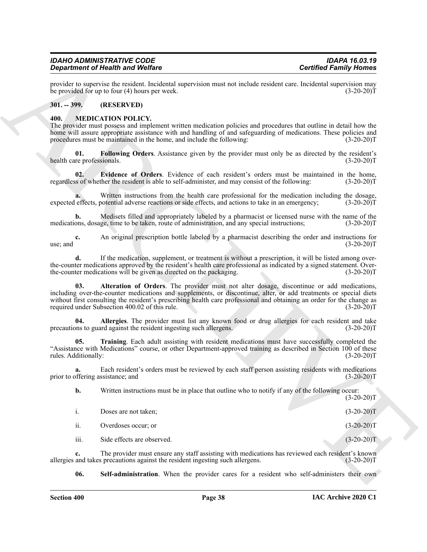#### <span id="page-38-0"></span>**301. -- 399. (RESERVED)**

#### <span id="page-38-8"></span><span id="page-38-7"></span><span id="page-38-6"></span><span id="page-38-5"></span><span id="page-38-4"></span><span id="page-38-3"></span><span id="page-38-2"></span><span id="page-38-1"></span>**400. MEDICATION POLICY.**

|                                   | <b>Department of Health and Welfare</b>                                                                                                                                                                                                                                                                                                                                                   | <b>Certified Family Homes</b> |
|-----------------------------------|-------------------------------------------------------------------------------------------------------------------------------------------------------------------------------------------------------------------------------------------------------------------------------------------------------------------------------------------------------------------------------------------|-------------------------------|
|                                   | provider to supervise the resident. Incidental supervision must not include resident care. Incidental supervision may<br>be provided for up to four $(4)$ hours per week.                                                                                                                                                                                                                 | $(3-20-20)T$                  |
| $301. - 399.$                     | (RESERVED)                                                                                                                                                                                                                                                                                                                                                                                |                               |
| 400.                              | <b>MEDICATION POLICY.</b><br>The provider must possess and implement written medication policies and procedures that outline in detail how the<br>home will assure appropriate assistance with and handling of and safeguarding of medications. These policies and<br>procedures must be maintained in the home, and include the following:                                               | $(3-20-20)T$                  |
| 01.<br>health care professionals. | Following Orders. Assistance given by the provider must only be as directed by the resident's                                                                                                                                                                                                                                                                                             | $(3-20-20)T$                  |
| 02.                               | Evidence of Orders. Evidence of each resident's orders must be maintained in the home,<br>regardless of whether the resident is able to self-administer, and may consist of the following:                                                                                                                                                                                                | $(3-20-20)T$                  |
|                                   | Written instructions from the health care professional for the medication including the dosage,<br>expected effects, potential adverse reactions or side effects, and actions to take in an emergency;                                                                                                                                                                                    | $(3-20-20)T$                  |
| $\mathbf{b}$ .                    | Medisets filled and appropriately labeled by a pharmacist or licensed nurse with the name of the<br>medications, dosage, time to be taken, route of administration, and any special instructions;                                                                                                                                                                                         | $(3-20-20)T$                  |
| c.<br>use; and                    | An original prescription bottle labeled by a pharmacist describing the order and instructions for                                                                                                                                                                                                                                                                                         | $(3-20-20)T$                  |
| d.                                | If the medication, supplement, or treatment is without a prescription, it will be listed among over-<br>the counter medications approved by the resident's health care professional as indicated by a signed statement. Over-<br>the-counter medications will be given as directed on the packaging.                                                                                      | $(3-20-20)T$                  |
| 03.                               | Alteration of Orders. The provider must not alter dosage, discontinue or add medications,<br>including over-the-counter medications and supplements, or discontinue, alter, or add treatments or special diets<br>without first consulting the resident's prescribing health care professional and obtaining an order for the change as<br>required under Subsection 400.02 of this rule. | $(3-20-20)T$                  |
| 04.                               | Allergies. The provider must list any known food or drug allergies for each resident and take<br>precautions to guard against the resident ingesting such allergens.                                                                                                                                                                                                                      | $(3-20-20)T$                  |
| 05.<br>rules. Additionally:       | Training. Each adult assisting with resident medications must have successfully completed the<br>"Assistance with Medications" course, or other Department-approved training as described in Section 100 of these                                                                                                                                                                         | $(3-20-20)T$                  |
| a.                                | Each resident's orders must be reviewed by each staff person assisting residents with medications<br>prior to offering assistance; and                                                                                                                                                                                                                                                    | $(3-20-20)T$                  |
| b.                                | Written instructions must be in place that outline who to notify if any of the following occur:                                                                                                                                                                                                                                                                                           | $(3-20-20)T$                  |
| i.                                | Doses are not taken;                                                                                                                                                                                                                                                                                                                                                                      | $(3-20-20)T$                  |
| ii.                               | Overdoses occur; or                                                                                                                                                                                                                                                                                                                                                                       | $(3-20-20)T$                  |
| iii.                              | Side effects are observed.                                                                                                                                                                                                                                                                                                                                                                | $(3-20-20)T$                  |
| c.                                | The provider must ensure any staff assisting with medications has reviewed each resident's known<br>allergies and takes precautions against the resident ingesting such allergens.                                                                                                                                                                                                        | $(3-20-20)T$                  |
| 06.                               | Self-administration. When the provider cares for a resident who self-administers their own                                                                                                                                                                                                                                                                                                |                               |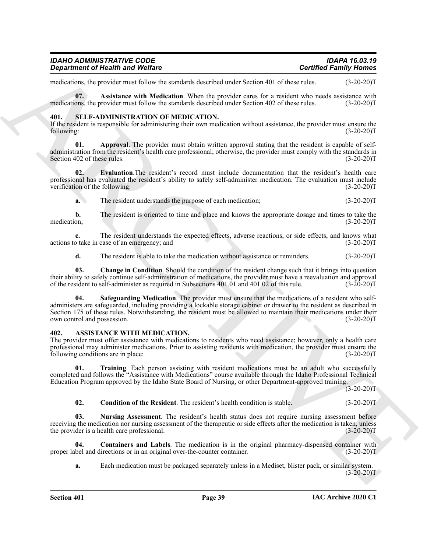| <b>IDAHO ADMINISTRATIVE CODE</b>        | <b>IDAPA 16.03.19</b>         |
|-----------------------------------------|-------------------------------|
| <b>Department of Health and Welfare</b> | <b>Certified Family Homes</b> |

<span id="page-39-7"></span>medications, the provider must follow the standards described under Section 401 of these rules. (3-20-20)T

**07. Assistance with Medication**. When the provider cares for a resident who needs assistance with medications, the provider must follow the standards described under Section 402 of these rules. (3-20-20)T

#### <span id="page-39-8"></span><span id="page-39-0"></span>**401. SELF-ADMINISTRATION OF MEDICATION.**

If the resident is responsible for administering their own medication without assistance, the provider must ensure the following: (3-20-20) following: (3-20-20)T

<span id="page-39-9"></span>**01. Approval**. The provider must obtain written approval stating that the resident is capable of selfadministration from the resident's health care professional; otherwise, the provider must comply with the standards in Section 402 of these rules. (3-20-20) Section 402 of these rules.

**02. Evaluation**.The resident's record must include documentation that the resident's health care professional has evaluated the resident's ability to safely self-administer medication. The evaluation must include verification of the following: (3-20-20)T

<span id="page-39-11"></span>**a.** The resident understands the purpose of each medication: (3-20-20)T

**b.** The resident is oriented to time and place and knows the appropriate dosage and times to take the medication; (3-20-20)T medication; (3-20-20)T

**c.** The resident understands the expected effects, adverse reactions, or side effects, and knows what actions to take in case of an emergency; and (3-20-20)T

<span id="page-39-12"></span><span id="page-39-10"></span>**d.** The resident is able to take the medication without assistance or reminders. (3-20-20)T

**03. Change in Condition**. Should the condition of the resident change such that it brings into question their ability to safely continue self-administration of medications, the provider must have a reevaluation and approval of the resident to self-administer as required in Subsections 401.01 and 401.02 of this rule. (3-20-20 of the resident to self-administer as required in Subsections 401.01 and 401.02 of this rule.

**Experimental New Worlds Constraints and the second straints vector and relations are the second of the second straints and the second of the second of the second of the second of the second of the second of the second of 04. Safeguarding Medication**. The provider must ensure that the medications of a resident who selfadministers are safeguarded, including providing a lockable storage cabinet or drawer to the resident as described in Section 175 of these rules. Notwithstanding, the resident must be allowed to maintain their medications under their own control and possession. (3-20-20) own control and possession.

#### <span id="page-39-2"></span><span id="page-39-1"></span>**402. ASSISTANCE WITH MEDICATION.**

The provider must offer assistance with medications to residents who need assistance; however, only a health care professional may administer medications. Prior to assisting residents with medication, the provider must ensure the following conditions are in place: (3-20-20)T

**01. Training**. Each person assisting with resident medications must be an adult who successfully completed and follows the "Assistance with Medications" course available through the Idaho Professional Technical Education Program approved by the Idaho State Board of Nursing, or other Department-approved training.  $(3-20-20)T$ 

<span id="page-39-6"></span><span id="page-39-5"></span><span id="page-39-3"></span>**02.** Condition of the Resident. The resident's health condition is stable. (3-20-20)T

**03. Nursing Assessment**. The resident's health status does not require nursing assessment before receiving the medication nor nursing assessment of the therapeutic or side effects after the medication is taken, unless<br>the provider is a health care professional. (3-20-20) the provider is a health care professional.

**04.** Containers and Labels. The medication is in the original pharmacy-dispensed container with bel and directions or in an original over-the-counter container. (3-20-20) proper label and directions or in an original over-the-counter container.

<span id="page-39-4"></span>**a.** Each medication must be packaged separately unless in a Mediset, blister pack, or similar system.  $(3-20-20)T$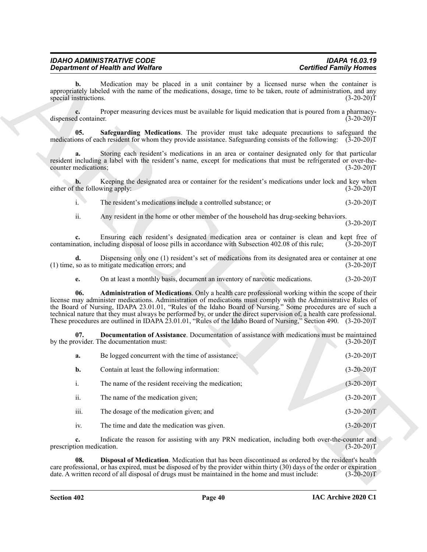<span id="page-40-3"></span><span id="page-40-2"></span><span id="page-40-1"></span><span id="page-40-0"></span>

|                                         | <b>Department of Health and Welfare</b>                                                                                                                                                                                                                                                                                                                                                                                                                                                                                                                                        | <b>Certified Family Homes</b> |
|-----------------------------------------|--------------------------------------------------------------------------------------------------------------------------------------------------------------------------------------------------------------------------------------------------------------------------------------------------------------------------------------------------------------------------------------------------------------------------------------------------------------------------------------------------------------------------------------------------------------------------------|-------------------------------|
| $\mathbf{b}$ .<br>special instructions. | Medication may be placed in a unit container by a licensed nurse when the container is<br>appropriately labeled with the name of the medications, dosage, time to be taken, route of administration, and any                                                                                                                                                                                                                                                                                                                                                                   | $(3-20-20)T$                  |
| dispensed container.                    | Proper measuring devices must be available for liquid medication that is poured from a pharmacy-                                                                                                                                                                                                                                                                                                                                                                                                                                                                               | $(3-20-20)T$                  |
| 05.                                     | Safeguarding Medications. The provider must take adequate precautions to safeguard the<br>medications of each resident for whom they provide assistance. Safeguarding consists of the following: (3-20-20)T                                                                                                                                                                                                                                                                                                                                                                    |                               |
| a.<br>counter medications;              | Storing each resident's medications in an area or container designated only for that particular<br>resident including a label with the resident's name, except for medications that must be refrigerated or over-the-                                                                                                                                                                                                                                                                                                                                                          | $(3-20-20)T$                  |
| b.<br>either of the following apply:    | Keeping the designated area or container for the resident's medications under lock and key when                                                                                                                                                                                                                                                                                                                                                                                                                                                                                | $(3-20-20)T$                  |
| i.                                      | The resident's medications include a controlled substance; or                                                                                                                                                                                                                                                                                                                                                                                                                                                                                                                  | $(3-20-20)T$                  |
| ii.                                     | Any resident in the home or other member of the household has drug-seeking behaviors.                                                                                                                                                                                                                                                                                                                                                                                                                                                                                          | $(3-20-20)T$                  |
| c.                                      | Ensuring each resident's designated medication area or container is clean and kept free of<br>contamination, including disposal of loose pills in accordance with Subsection 402.08 of this rule;                                                                                                                                                                                                                                                                                                                                                                              | $(3-20-20)T$                  |
| d.                                      | Dispensing only one (1) resident's set of medications from its designated area or container at one<br>(1) time, so as to mitigate medication errors; and                                                                                                                                                                                                                                                                                                                                                                                                                       | $(3-20-20)T$                  |
| e.                                      | On at least a monthly basis, document an inventory of narcotic medications.                                                                                                                                                                                                                                                                                                                                                                                                                                                                                                    | $(3-20-20)T$                  |
| 06.                                     | Administration of Medications. Only a health care professional working within the scope of their<br>license may administer medications. Administration of medications must comply with the Administrative Rules of<br>the Board of Nursing, IDAPA 23.01.01, "Rules of the Idaho Board of Nursing." Some procedures are of such a<br>technical nature that they must always be performed by, or under the direct supervision of, a health care professional.<br>These procedures are outlined in IDAPA 23.01.01, "Rules of the Idaho Board of Nursing," Section 490. (3-20-20)T |                               |
| 07.                                     | Documentation of Assistance. Documentation of assistance with medications must be maintained<br>by the provider. The documentation must:                                                                                                                                                                                                                                                                                                                                                                                                                                       | $(3-20-20)T$                  |
| a.                                      | Be logged concurrent with the time of assistance;                                                                                                                                                                                                                                                                                                                                                                                                                                                                                                                              | $(3-20-20)T$                  |
| b.                                      | Contain at least the following information:                                                                                                                                                                                                                                                                                                                                                                                                                                                                                                                                    | $(3-20-20)T$                  |
| $\rm i.$                                | The name of the resident receiving the medication;                                                                                                                                                                                                                                                                                                                                                                                                                                                                                                                             | $(3-20-20)T$                  |
| ii.                                     | The name of the medication given;                                                                                                                                                                                                                                                                                                                                                                                                                                                                                                                                              | $(3-20-20)T$                  |
| iii.                                    | The dosage of the medication given; and                                                                                                                                                                                                                                                                                                                                                                                                                                                                                                                                        | $(3-20-20)T$                  |
| iv.                                     | The time and date the medication was given.                                                                                                                                                                                                                                                                                                                                                                                                                                                                                                                                    | $(3-20-20)T$                  |
| c.<br>prescription medication.          | Indicate the reason for assisting with any PRN medication, including both over-the-counter and                                                                                                                                                                                                                                                                                                                                                                                                                                                                                 | $(3-20-20)T$                  |
| 08.                                     | Disposal of Medication. Medication that has been discontinued as ordered by the resident's health<br>care professional, or has expired, must be disposed of by the provider within thirty (30) days of the order or expiration<br>date. A written record of all disposal of drugs must be maintained in the home and must include:                                                                                                                                                                                                                                             | $(3-20-20)T$                  |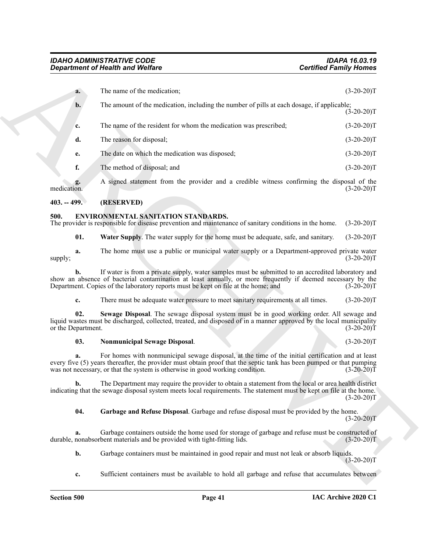|               |                           | <b>Department of Health and Welfare</b>                                                                                                                                                                                                                                                                     | <b>Certified Family Homes</b> |
|---------------|---------------------------|-------------------------------------------------------------------------------------------------------------------------------------------------------------------------------------------------------------------------------------------------------------------------------------------------------------|-------------------------------|
|               | a.                        | The name of the medication;                                                                                                                                                                                                                                                                                 | $(3-20-20)T$                  |
|               | $\mathbf{b}$ .            | The amount of the medication, including the number of pills at each dosage, if applicable;                                                                                                                                                                                                                  | $(3-20-20)T$                  |
|               | c.                        | The name of the resident for whom the medication was prescribed;                                                                                                                                                                                                                                            | $(3-20-20)T$                  |
|               | d.                        | The reason for disposal;                                                                                                                                                                                                                                                                                    | $(3-20-20)T$                  |
|               | e.                        | The date on which the medication was disposed;                                                                                                                                                                                                                                                              | $(3-20-20)T$                  |
|               | f.                        | The method of disposal; and                                                                                                                                                                                                                                                                                 | $(3-20-20)T$                  |
| medication.   | g.                        | A signed statement from the provider and a credible witness confirming the disposal of the                                                                                                                                                                                                                  | $(3-20-20)T$                  |
| $403. - 499.$ |                           | (RESERVED)                                                                                                                                                                                                                                                                                                  |                               |
| 500.          |                           | ENVIRONMENTAL SANITATION STANDARDS.<br>The provider is responsible for disease prevention and maintenance of sanitary conditions in the home.                                                                                                                                                               | $(3-20-20)T$                  |
|               | 01.                       | <b>Water Supply.</b> The water supply for the home must be adequate, safe, and sanitary.                                                                                                                                                                                                                    | $(3-20-20)T$                  |
| supply;       | a.                        | The home must use a public or municipal water supply or a Department-approved private water                                                                                                                                                                                                                 | $(3-20-20)T$                  |
|               | b.                        | If water is from a private supply, water samples must be submitted to an accredited laboratory and<br>show an absence of bacterial contamination at least annually, or more frequently if deemed necessary by the<br>Department. Copies of the laboratory reports must be kept on file at the home; and     | $(3-20-20)T$                  |
|               | c.                        | There must be adequate water pressure to meet sanitary requirements at all times.                                                                                                                                                                                                                           | $(3-20-20)T$                  |
|               | 02.<br>or the Department. | Sewage Disposal. The sewage disposal system must be in good working order. All sewage and<br>liquid wastes must be discharged, collected, treated, and disposed of in a manner approved by the local municipality                                                                                           | $(3-20-20)T$                  |
|               | 03.                       | <b>Nonmunicipal Sewage Disposal.</b>                                                                                                                                                                                                                                                                        | $(3-20-20)T$                  |
|               | a.                        | For homes with nonmunicipal sewage disposal, at the time of the initial certification and at least<br>every five (5) years thereafter, the provider must obtain proof that the septic tank has been pumped or that pumping<br>was not necessary, or that the system is otherwise in good working condition. | $(3-20-20)T$                  |
|               | b.                        | The Department may require the provider to obtain a statement from the local or area health district<br>indicating that the sewage disposal system meets local requirements. The statement must be kept on file at the home.                                                                                | $(3-20-20)T$                  |
|               | 04.                       | Garbage and Refuse Disposal. Garbage and refuse disposal must be provided by the home.                                                                                                                                                                                                                      | $(3-20-20)T$                  |
|               | a.                        | Garbage containers outside the home used for storage of garbage and refuse must be constructed of<br>durable, nonabsorbent materials and be provided with tight-fitting lids.                                                                                                                               | $(3-20-20)T$                  |
|               | b.                        | Garbage containers must be maintained in good repair and must not leak or absorb liquids.                                                                                                                                                                                                                   | $(3-20-20)T$                  |
|               | c.                        | Sufficient containers must be available to hold all garbage and refuse that accumulates between                                                                                                                                                                                                             |                               |

#### <span id="page-41-0"></span>**403. -- 499. (RESERVED)**

#### <span id="page-41-6"></span><span id="page-41-2"></span><span id="page-41-1"></span>**500. ENVIRONMENTAL SANITATION STANDARDS.**

#### <span id="page-41-5"></span><span id="page-41-4"></span><span id="page-41-3"></span>**03. Nonmunicipal Sewage Disposal**. (3-20-20)T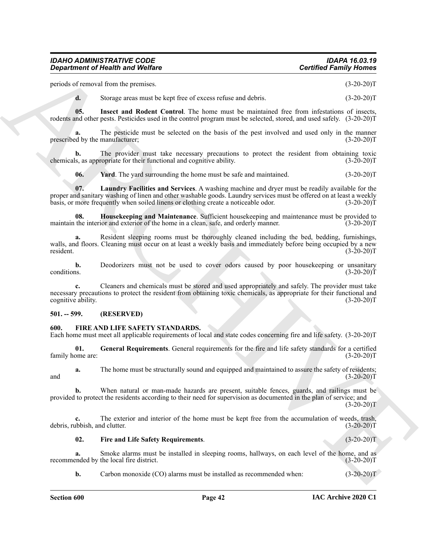periods of removal from the premises. (3-20-20)T

<span id="page-42-3"></span>**d.** Storage areas must be kept free of excess refuse and debris. (3-20-20)T

**05. Insect and Rodent Control**. The home must be maintained free from infestations of insects, rodents and other pests. Pesticides used in the control program must be selected, stored, and used safely. (3-20-20)T

**a.** The pesticide must be selected on the basis of the pest involved and used only in the manner prescribed by the manufacturer; (3-20-20)T

**b.** The provider must take necessary precautions to protect the resident from obtaining toxic is, as appropriate for their functional and cognitive ability. (3-20-20) chemicals, as appropriate for their functional and cognitive ability.

<span id="page-42-5"></span><span id="page-42-4"></span><span id="page-42-2"></span>**06.** Yard. The yard surrounding the home must be safe and maintained. (3-20-20)T

**07. Laundry Facilities and Services**. A washing machine and dryer must be readily available for the proper and sanitary washing of linen and other washable goods. Laundry services must be offered on at least a weekly basis, or more frequently when soiled linens or clothing create a noticeable odor. (3-20-20)T

**08. Housekeeping and Maintenance**. Sufficient housekeeping and maintenance must be provided to maintain the interior and exterior of the home in a clean, safe, and orderly manner. (3-20-20)T

**Considerable of Nicolas Systems.** Consider a consider the considerable proposed in the considerable proposed in the constraints of the constraints of the constraints of the constraints of the constraints of the constrain **a.** Resident sleeping rooms must be thoroughly cleaned including the bed, bedding, furnishings, walls, and floors. Cleaning must occur on at least a weekly basis and immediately before being occupied by a new resident. (3-20-20)T

**b.** Deodorizers must not be used to cover odors caused by poor housekeeping or unsanitary conditions. (3-20-20)T conditions.  $(3-20-20)T$ 

**c.** Cleaners and chemicals must be stored and used appropriately and safely. The provider must take necessary precautions to protect the resident from obtaining toxic chemicals, as appropriate for their functional and cognitive ability. (3-20-20)T

#### <span id="page-42-0"></span>**501. -- 599. (RESERVED)**

#### <span id="page-42-6"></span><span id="page-42-1"></span>**600. FIRE AND LIFE SAFETY STANDARDS.**

Each home must meet all applicable requirements of local and state codes concerning fire and life safety. (3-20-20)T

<span id="page-42-8"></span>**01.** General Requirements. General requirements for the fire and life safety standards for a certified one are: (3-20-20) family home are:

**a.** The home must be structurally sound and equipped and maintained to assure the safety of residents; and  $(3-20-20)T$ 

**b.** When natural or man-made hazards are present, suitable fences, guards, and railings must be provided to protect the residents according to their need for supervision as documented in the plan of service; and  $(3-20-20)$ T

**c.** The exterior and interior of the home must be kept free from the accumulation of weeds, trash, ubbish, and clutter. (3-20-20) debris, rubbish, and clutter.

#### <span id="page-42-7"></span>**02. Fire and Life Safety Requirements**. (3-20-20)T

**a.** Smoke alarms must be installed in sleeping rooms, hallways, on each level of the home, and as ended by the local fire district.  $(3-20-20)T$ recommended by the local fire district.

**b.** Carbon monoxide (CO) alarms must be installed as recommended when:  $(3-20-20)T$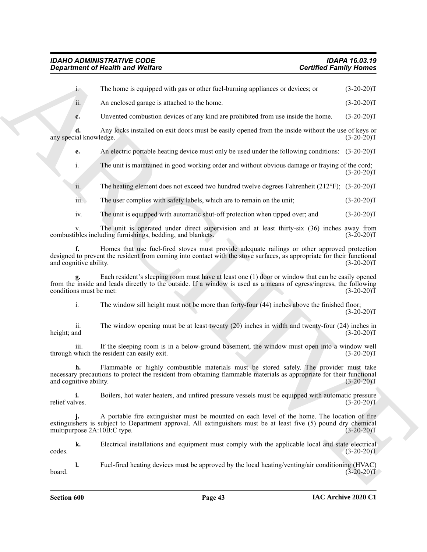|                              | <b>Department of Health and Welfare</b>                                                                                                                                                                                 | <b>Certified Family Homes</b> |
|------------------------------|-------------------------------------------------------------------------------------------------------------------------------------------------------------------------------------------------------------------------|-------------------------------|
| i.                           | The home is equipped with gas or other fuel-burning appliances or devices; or                                                                                                                                           | $(3-20-20)T$                  |
| ii.                          | An enclosed garage is attached to the home.                                                                                                                                                                             | $(3-20-20)T$                  |
| c.                           | Unvented combustion devices of any kind are prohibited from use inside the home.                                                                                                                                        | $(3-20-20)T$                  |
| any special knowledge.       | Any locks installed on exit doors must be easily opened from the inside without the use of keys or                                                                                                                      | $(3-20-20)T$                  |
| e.                           | An electric portable heating device must only be used under the following conditions: (3-20-20)T                                                                                                                        |                               |
| i.                           | The unit is maintained in good working order and without obvious damage or fraying of the cord;                                                                                                                         | $(3-20-20)T$                  |
| ii.                          | The heating element does not exceed two hundred twelve degrees Fahrenheit ( $212^{\circ}$ F); (3-20-20)T                                                                                                                |                               |
| $\overline{111}$ .           | The user complies with safety labels, which are to remain on the unit;                                                                                                                                                  | $(3-20-20)T$                  |
| iv.                          | The unit is equipped with automatic shut-off protection when tipped over; and                                                                                                                                           | $(3-20-20)T$                  |
| V.                           | The unit is operated under direct supervision and at least thirty-six (36) inches away from<br>combustibles including furnishings, bedding, and blankets.                                                               | $(3-20-20)T$                  |
| f.<br>and cognitive ability. | Homes that use fuel-fired stoves must provide adequate railings or other approved protection<br>designed to prevent the resident from coming into contact with the stove surfaces, as appropriate for their functional  | $(3-20-20)T$                  |
| conditions must be met:      | Each resident's sleeping room must have at least one (1) door or window that can be easily opened<br>from the inside and leads directly to the outside. If a window is used as a means of egress/ingress, the following | $(3-20-20)T$                  |
| i.                           | The window sill height must not be more than forty-four (44) inches above the finished floor;                                                                                                                           | $(3-20-20)T$                  |
| ii.<br>height; and           | The window opening must be at least twenty $(20)$ inches in width and twenty-four $(24)$ inches in                                                                                                                      | $(3-20-20)T$                  |
| 111.                         | If the sleeping room is in a below-ground basement, the window must open into a window well<br>through which the resident can easily exit.                                                                              | $(3-20-20)T$                  |
| h.<br>and cognitive ability. | Flammable or highly combustible materials must be stored safely. The provider must take<br>necessary precautions to protect the resident from obtaining flammable materials as appropriate for their functional         | $(3-20-20)T$                  |
| i.<br>relief valves.         | Boilers, hot water heaters, and unfired pressure vessels must be equipped with automatic pressure                                                                                                                       | $(3-20-20)T$                  |
| multipurpose 2A:10B:C type.  | A portable fire extinguisher must be mounted on each level of the home. The location of fire<br>extinguishers is subject to Department approval. All extinguishers must be at least five (5) pound dry chemical         | $(3-20-20)T$                  |
| k.<br>codes.                 | Electrical installations and equipment must comply with the applicable local and state electrical                                                                                                                       | $(3-20-20)T$                  |
| 1.<br>board.                 | Fuel-fired heating devices must be approved by the local heating/venting/air conditioning (HVAC)                                                                                                                        | $(3-20-20)T$                  |
| <b>Section 600</b>           | Page 43                                                                                                                                                                                                                 | IAC Archive 2020 C1           |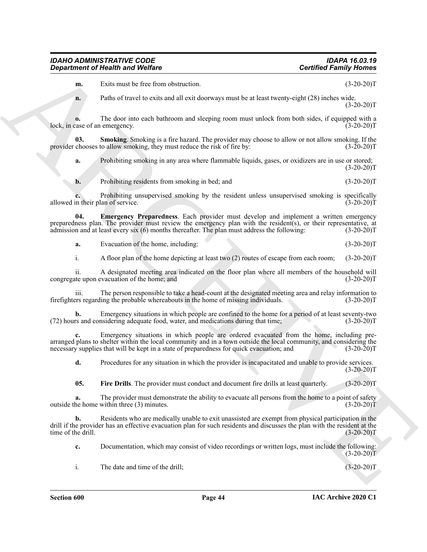**m.** Exits must be free from obstruction. (3-20-20)T

**n.** Paths of travel to exits and all exit doorways must be at least twenty-eight (28) inches wide.  $(3-20-20)T$ 

**o.** The door into each bathroom and sleeping room must unlock from both sides, if equipped with a case of an emergency. (3-20-20) lock, in case of an emergency.

**03. Smoking**. Smoking is a fire hazard. The provider may choose to allow or not allow smoking. If the provider chooses to allow smoking, they must reduce the risk of fire by:  $(3-20-20)$ T

<span id="page-44-2"></span>**a.** Prohibiting smoking in any area where flammable liquids, gases, or oxidizers are in use or stored;  $(3-20-20)T$ 

<span id="page-44-0"></span>**b.** Prohibiting residents from smoking in bed; and (3-20-20)T

**c.** Prohibiting unsupervised smoking by the resident unless unsupervised smoking is specifically n their plan of service. (3-20-20) allowed in their plan of service.

**Contract of Nearly is and Wolfing Contract of the state of the state of the state of the state of the state of the state of the state of the state of the state of the state of the state of the state of the state of the s 04. Emergency Preparedness**. Each provider must develop and implement a written emergency preparedness plan. The provider must review the emergency plan with the resident(s), or their representative, at admission and at least every six  $(6)$  months thereafter. The plan must address the following:  $(3-20-20)$ T admission and at least every six  $(6)$  months thereafter. The plan must address the following:

**a.** Evacuation of the home, including: (3-20-20)T

i. A floor plan of the home depicting at least two (2) routes of escape from each room; (3-20-20)T

ii. A designated meeting area indicated on the floor plan where all members of the household will ate upon evacuation of the home; and (3-20-20) congregate upon evacuation of the home; and

iii. The person responsible to take a head-count at the designated meeting area and relay information to firefighters regarding the probable whereabouts in the home of missing individuals. (3-20-20)T

**b.** Emergency situations in which people are confined to the home for a period of at least seventy-two rs and considering adequate food, water, and medications during that time; (3-20-20)  $(72)$  hours and considering adequate food, water, and medications during that time;

**c.** Emergency situations in which people are ordered evacuated from the home, including prearranged plans to shelter within the local community and in a town outside the local community, and considering the necessary supplies that will be kept in a state of preparedness for quick evacuation; and  $(3-20-20)T$ 

**d.** Procedures for any situation in which the provider is incapacitated and unable to provide services.  $(3-20-20)T$ 

<span id="page-44-1"></span>**05.** Fire Drills. The provider must conduct and document fire drills at least quarterly. (3-20-20)T

**a.** The provider must demonstrate the ability to evacuate all persons from the home to a point of safety outside the home within three (3) minutes. (3-20-20)T

**b.** Residents who are medically unable to exit unassisted are exempt from physical participation in the drill if the provider has an effective evacuation plan for such residents and discusses the plan with the resident at the time of the drill. (3-20-20)T

**c.** Documentation, which may consist of video recordings or written logs, must include the following:  $(3-20-20)$ T

i. The date and time of the drill; (3-20-20)T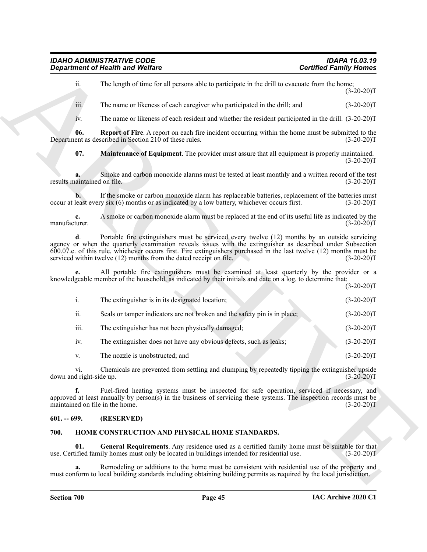<span id="page-45-3"></span><span id="page-45-2"></span>

|                                       | <b>Department of Health and Welfare</b>                                                                                                                                                                                                                                                                                                                                                                   | <b>Certified Family Homes</b>                                                                                        |  |
|---------------------------------------|-----------------------------------------------------------------------------------------------------------------------------------------------------------------------------------------------------------------------------------------------------------------------------------------------------------------------------------------------------------------------------------------------------------|----------------------------------------------------------------------------------------------------------------------|--|
| ii.                                   | The length of time for all persons able to participate in the drill to evacuate from the home;                                                                                                                                                                                                                                                                                                            | $(3-20-20)T$                                                                                                         |  |
| iii.                                  | The name or likeness of each caregiver who participated in the drill; and                                                                                                                                                                                                                                                                                                                                 | $(3-20-20)T$                                                                                                         |  |
| 1V.                                   | The name or likeness of each resident and whether the resident participated in the drill. (3-20-20)T                                                                                                                                                                                                                                                                                                      |                                                                                                                      |  |
| 06.                                   | <b>Report of Fire.</b> A report on each fire incident occurring within the home must be submitted to the<br>Department as described in Section 210 of these rules.                                                                                                                                                                                                                                        | $(3-20-20)T$                                                                                                         |  |
| 07.                                   | Maintenance of Equipment. The provider must assure that all equipment is properly maintained.                                                                                                                                                                                                                                                                                                             | $(3-20-20)T$                                                                                                         |  |
| results maintained on file.           | Smoke and carbon monoxide alarms must be tested at least monthly and a written record of the test                                                                                                                                                                                                                                                                                                         | $(3-20-20)T$                                                                                                         |  |
|                                       | If the smoke or carbon monoxide alarm has replaceable batteries, replacement of the batteries must<br>occur at least every six (6) months or as indicated by a low battery, whichever occurs first.                                                                                                                                                                                                       | $(3-20-20)T$                                                                                                         |  |
| $c_{\cdot}$<br>manufacturer.          | A smoke or carbon monoxide alarm must be replaced at the end of its useful life as indicated by the                                                                                                                                                                                                                                                                                                       | $(3-20-20)T$                                                                                                         |  |
| d.                                    | Portable fire extinguishers must be serviced every twelve (12) months by an outside servicing<br>agency or when the quarterly examination reveals issues with the extinguisher as described under Subsection<br>600.07.e. of this rule, whichever occurs first. Fire extinguishers purchased in the last twelve (12) months must be<br>serviced within twelve (12) months from the dated receipt on file. | $(3-20-20)T$                                                                                                         |  |
|                                       | All portable fire extinguishers must be examined at least quarterly by the provider or a<br>knowledgeable member of the household, as indicated by their initials and date on a log, to determine that:                                                                                                                                                                                                   | $(3-20-20)T$                                                                                                         |  |
| i.                                    | The extinguisher is in its designated location;                                                                                                                                                                                                                                                                                                                                                           | $(3-20-20)T$                                                                                                         |  |
| ii.                                   | Seals or tamper indicators are not broken and the safety pin is in place;                                                                                                                                                                                                                                                                                                                                 | $(3-20-20)T$                                                                                                         |  |
| iii.                                  | The extinguisher has not been physically damaged;                                                                                                                                                                                                                                                                                                                                                         | $(3-20-20)T$                                                                                                         |  |
| iv.                                   | The extinguisher does not have any obvious defects, such as leaks;                                                                                                                                                                                                                                                                                                                                        | $(3-20-20)T$                                                                                                         |  |
| V.                                    | The nozzle is unobstructed; and                                                                                                                                                                                                                                                                                                                                                                           | $(3-20-20)T$                                                                                                         |  |
| V1.<br>down and right-side up.        | Chemicals are prevented from settling and clumping by repeatedly tipping the extinguisher upside                                                                                                                                                                                                                                                                                                          | $(3-20-20)T$                                                                                                         |  |
| f.<br>maintained on file in the home. | Fuel-fired heating systems must be inspected for safe operation, serviced if necessary, and<br>approved at least annually by person(s) in the business of servicing these systems. The inspection records must be                                                                                                                                                                                         | $(3-20-20)T$                                                                                                         |  |
| $601. - 699.$                         | (RESERVED)                                                                                                                                                                                                                                                                                                                                                                                                |                                                                                                                      |  |
| 700.                                  | HOME CONSTRUCTION AND PHYSICAL HOME STANDARDS.                                                                                                                                                                                                                                                                                                                                                            |                                                                                                                      |  |
| 01.                                   | General Requirements. Any residence used as a certified family home must be suitable for that<br>use. Certified family homes must only be located in buildings intended for residential use.                                                                                                                                                                                                              | $(3-20-20)T$                                                                                                         |  |
| a.                                    | Remodeling or additions to the home must be consistent with residential use of the property and                                                                                                                                                                                                                                                                                                           | must conform to local building standards including obtaining building permits as required by the local jurisdiction. |  |

#### <span id="page-45-0"></span>**601. -- 699. (RESERVED)**

#### <span id="page-45-5"></span><span id="page-45-4"></span><span id="page-45-1"></span>**700. HOME CONSTRUCTION AND PHYSICAL HOME STANDARDS.**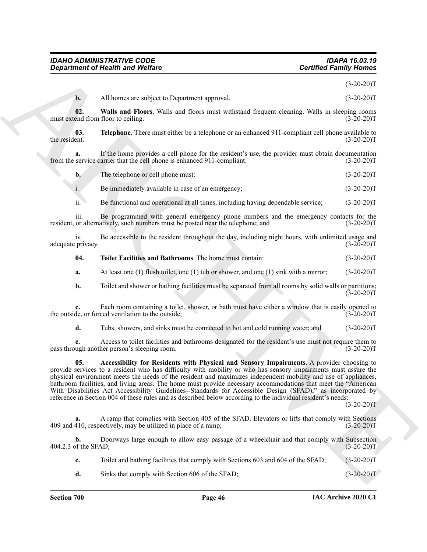$(3-20-20)T$ 

<span id="page-46-3"></span><span id="page-46-1"></span>

|  | All homes are subject to Department approval. | $(3-20-20)T$ |
|--|-----------------------------------------------|--------------|
|--|-----------------------------------------------|--------------|

**02. Walls and Floors**. Walls and floors must withstand frequent cleaning. Walls in sleeping rooms must extend from floor to ceiling. (3-20-20)T

**03. Telephone**. There must either be a telephone or an enhanced 911-compliant cell phone available to the resident.  $(3-20-20)T$ 

**a.** If the home provides a cell phone for the resident's use, the provider must obtain documentation from the service carrier that the cell phone is enhanced 911-compliant. (3-20-20)T

| b. | The telephone or cell phone must: | $(3-20-20)T$ |
|----|-----------------------------------|--------------|
|    |                                   |              |

i. Be immediately available in case of an emergency; (3-20-20)T

ii. Be functional and operational at all times, including having dependable service; (3-20-20)T

iii. Be programmed with general emergency phone numbers and the emergency contacts for the resident, or alternatively, such numbers must be posted near the telephone; and  $(3-20-20)$ T

iv. Be accessible to the resident throughout the day, including night hours, with unlimited usage and adequate privacy. (3-20-20)T

<span id="page-46-2"></span>**04. Toilet Facilities and Bathrooms**. The home must contain: (3-20-20)T

**a.** At least one (1) flush toilet, one (1) tub or shower, and one (1) sink with a mirror; (3-20-20)T

**b.** Toilet and shower or bathing facilities must be separated from all rooms by solid walls or partitions;  $(3-20-20)$ T

**c.** Each room containing a toilet, shower, or bath must have either a window that is easily opened to the outside, or forced ventilation to the outside; (3-20-20)T

<span id="page-46-0"></span>**d.** Tubs, showers, and sinks must be connected to hot and cold running water; and  $(3-20-20)T$ 

**e.** Access to toilet facilities and bathrooms designated for the resident's use must not require them to pass through another person's sleeping room. (3-20-20)T

**Equivariant of Health was a Welfare**<br>
B. All haven a a whyberta Department apparent.<br>
B. All haven are without a RCHIVE and Theorem are absorption to the set of the set of the set of the set of the set of the set of the **05. Accessibility for Residents with Physical and Sensory Impairments**. A provider choosing to provide services to a resident who has difficulty with mobility or who has sensory impairments must assure the physical environment meets the needs of the resident and maximizes independent mobility and use of appliances, bathroom facilities, and living areas. The home must provide necessary accommodations that meet the "American With Disabilities Act Accessibility Guidelines--Standards for Accessible Design (SFAD)," as incorporated by reference in Section 004 of these rules and as described below according to the individual resident's needs:

 $(3-20-20)$ T

**a.** A ramp that complies with Section 405 of the SFAD. Elevators or lifts that comply with Sections 409 and 410, respectively, may be utilized in place of a ramp;

**b.** Doorways large enough to allow easy passage of a wheelchair and that comply with Subsection 404.2.3 of the SFAD; (3-20-20)T

**c.** Toilet and bathing facilities that comply with Sections 603 and 604 of the SFAD; (3-20-20)T

**d.** Sinks that comply with Section 606 of the SFAD; (3-20-20)T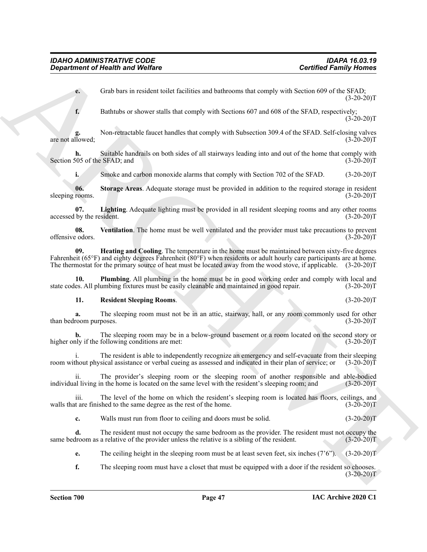**e.** Grab bars in resident toilet facilities and bathrooms that comply with Section 609 of the SFAD;  $(3-20-20)T$ 

**f.** Bathtubs or shower stalls that comply with Sections 607 and 608 of the SFAD, respectively;  $(3-20-20)T$ 

**g.** Non-retractable faucet handles that comply with Subsection 309.4 of the SFAD. Self-closing valves are not allowed;  $(3-20-20)T$ 

**h.** Suitable handrails on both sides of all stairways leading into and out of the home that comply with 505 of the SFAD; and (3-20-20)T Section 505 of the SFAD; and

<span id="page-47-4"></span><span id="page-47-1"></span>**i.** Smoke and carbon monoxide alarms that comply with Section 702 of the SFAD.  $(3-20-20)T$ 

**06.** Storage Areas. Adequate storage must be provided in addition to the required storage in resident rooms.  $(3-20-20)T$ sleeping rooms.

**07.** Lighting. Adequate lighting must be provided in all resident sleeping rooms and any other rooms by the resident. (3-20-20) accessed by the resident.

<span id="page-47-5"></span><span id="page-47-0"></span>**08.** Ventilation. The home must be well ventilated and the provider must take precautions to prevent edges codors. (3-20-20) offensive odors.

**Contribute of Health word Welfare**<br>
Contribute of Mexican Medicine and behaviour that every such Society of the Since 609 of the Since 1973-1973<br>
Contribute of above a such as comply with Society of the Since 609 of the **09. Heating and Cooling**. The temperature in the home must be maintained between sixty-five degrees Fahrenheit (65°F) and eighty degrees Fahrenheit (80°F) when residents or adult hourly care participants are at home. The thermostat for the primary source of heat must be located away from the wood stove, if applicable. (3-20-20)T

**10. Plumbing**. All plumbing in the home must be in good working order and comply with local and state codes. All plumbing fixtures must be easily cleanable and maintained in good repair. (3-20-20)T

#### <span id="page-47-3"></span><span id="page-47-2"></span>**11. Resident Sleeping Rooms**. (3-20-20)T

**a.** The sleeping room must not be in an attic, stairway, hall, or any room commonly used for other room purposes.  $(3-20-20)T$ than bedroom purposes.

**b.** The sleeping room may be in a below-ground basement or a room located on the second story or higher only if the following conditions are met: (3-20-20)T

The resident is able to independently recognize an emergency and self-evacuate from their sleeping sical assistance or verbal cueing as assessed and indicated in their plan of service; or  $(3-20-20)$ T room without physical assistance or verbal cueing as assessed and indicated in their plan of service; or

ii. The provider's sleeping room or the sleeping room of another responsible and able-bodied individual living in the home is located on the same level with the resident's sleeping room; and (3-20-20)T

iii. The level of the home on which the resident's sleeping room is located has floors, ceilings, and walls that are finished to the same degree as the rest of the home. (3-20-20)T

**c.** Walls must run from floor to ceiling and doors must be solid. (3-20-20)

**d.** The resident must not occupy the same bedroom as the provider. The resident must not occupy the same bedroom as a relative of the provider unless the relative is a sibling of the resident. (3-20-20)T

**e.** The ceiling height in the sleeping room must be at least seven feet, six inches (7'6"). (3-20-20)T

**f.** The sleeping room must have a closet that must be equipped with a door if the resident so chooses.  $(3-20-20)T$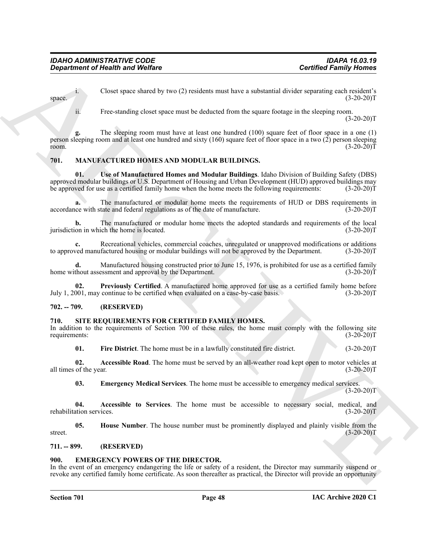i. Closet space shared by two (2) residents must have a substantial divider separating each resident's space.  $(3-20-20)T$ 

ii. Free-standing closet space must be deducted from the square footage in the sleeping room.

 $(3-20-20)T$ 

Generation of Health wave Wedler<br>
Clear space shows of by two (2) residents most have a substantial divide sequence ( $\pm 2.3$ )<br>
The climate space since depend to most of solid and the space space in the slopping room and The sleeping room must have at least one hundred (100) square feet of floor space in a one (1) person sleeping room and at least one hundred and sixty (160) square feet of floor space in a two (2) person sleeping room.  $(3-20-20)T$ 

#### <span id="page-48-6"></span><span id="page-48-0"></span>**701. MANUFACTURED HOMES AND MODULAR BUILDINGS.**

<span id="page-48-8"></span>**01. Use of Manufactured Homes and Modular Buildings**. Idaho Division of Building Safety (DBS) approved modular buildings or U.S. Department of Housing and Urban Development (HUD) approved buildings may<br>be approved for use as a certified family home when the home meets the following requirements: (3-20-20)T be approved for use as a certified family home when the home meets the following requirements:

**a.** The manufactured or modular home meets the requirements of HUD or DBS requirements in accordance with state and federal regulations as of the date of manufacture. (3-20-20)T

**b.** The manufactured or modular home meets the adopted standards and requirements of the local on in which the home is located. (3-20-20) jurisdiction in which the home is located.

Recreational vehicles, commercial coaches, unregulated or unapproved modifications or additions factured housing or modular buildings will not be approved by the Department. (3-20-20)<sup>T</sup> to approved manufactured housing or modular buildings will not be approved by the Department.

**d.** Manufactured housing constructed prior to June 15, 1976, is prohibited for use as a certified family thout assessment and approval by the Department. (3-20-20) home without assessment and approval by the Department.

<span id="page-48-7"></span>**02.** Previously Certified. A manufactured home approved for use as a certified family home before 001, may continue to be certified when evaluated on a case-by-case basis. (3-20-20) July  $1, 2001$ , may continue to be certified when evaluated on a case-by-case basis.

#### <span id="page-48-1"></span>**702. -- 709. (RESERVED)**

#### <span id="page-48-9"></span><span id="page-48-2"></span>**710. SITE REQUIREMENTS FOR CERTIFIED FAMILY HOMES.**

In addition to the requirements of Section 700 of these rules, the home must comply with the following site requirements:<br>(3-20-20) requirements:

<span id="page-48-13"></span><span id="page-48-10"></span>**01.** Fire District. The home must be in a lawfully constituted fire district. (3-20-20)T

**02. Accessible Road**. The home must be served by an all-weather road kept open to motor vehicles at all times of the year. (3-20-20)T

<span id="page-48-14"></span><span id="page-48-12"></span><span id="page-48-11"></span>**03. Emergency Medical Services**. The home must be accessible to emergency medical services.  $(3-20-20)T$ 

**04. Accessible to Services**. The home must be accessible to necessary social, medical, and rehabilitation services. (3-20-20)T

**05. House Number**. The house number must be prominently displayed and plainly visible from the street. (3-20-20)T

#### <span id="page-48-3"></span>**711. -- 899. (RESERVED)**

#### <span id="page-48-5"></span><span id="page-48-4"></span>**900. EMERGENCY POWERS OF THE DIRECTOR.**

In the event of an emergency endangering the life or safety of a resident, the Director may summarily suspend or revoke any certified family home certificate. As soon thereafter as practical, the Director will provide an opportunity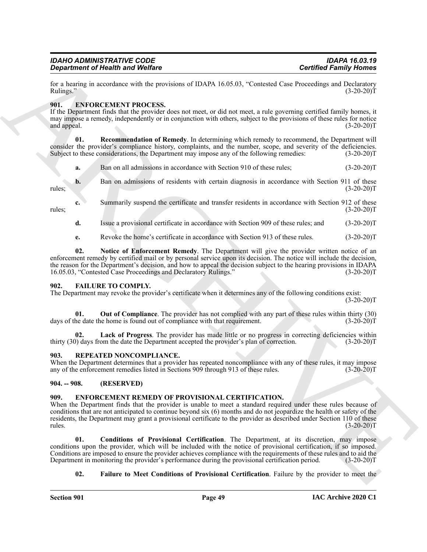| IDAHO ADMINISTRATIVE CODE               |  |
|-----------------------------------------|--|
| <b>Department of Health and Welfare</b> |  |

for a hearing in accordance with the provisions of IDAPA 16.05.03, "Contested Case Proceedings and Declaratory<br>Rulings." (3-20-20)T Rulings." (3-20-20)T

#### <span id="page-49-5"></span><span id="page-49-0"></span>**901. ENFORCEMENT PROCESS.**

If the Department finds that the provider does not meet, or did not meet, a rule governing certified family homes, it may impose a remedy, independently or in conjunction with others, subject to the provisions of these rules for notice and appeal.  $(3-20-20)$ T and appeal. (3-20-20)T

**01. Recommendation of Remedy**. In determining which remedy to recommend, the Department will consider the provider's compliance history, complaints, and the number, scope, and severity of the deficiencies.<br>Subject to these considerations, the Department may impose any of the following remedies: (3-20-20)T Subject to these considerations, the Department may impose any of the following remedies:

<span id="page-49-7"></span>

| a. | Ban on all admissions in accordance with Section 910 of these rules: | $(3-20-20)T$ |
|----|----------------------------------------------------------------------|--------------|
|----|----------------------------------------------------------------------|--------------|

**b.** Ban on admissions of residents with certain diagnosis in accordance with Section 911 of these (3-20-20)T rules; (3-20-20)T

**c.** Summarily suspend the certificate and transfer residents in accordance with Section 912 of these rules; (3-20-20)T

**d.** Issue a provisional certificate in accordance with Section 909 of these rules; and (3-20-20)T

<span id="page-49-6"></span>**e.** Revoke the home's certificate in accordance with Section 913 of these rules. (3-20-20)T

Generation of Nearlt wave Wolfrey<br>
Certified Family Moment<br>
Each Assume The March March March March March March March March March March March March March March March March March March March March March March March March M **02. Notice of Enforcement Remedy**. The Department will give the provider written notice of an enforcement remedy by certified mail or by personal service upon its decision. The notice will include the decision, the reason for the Department's decision, and how to appeal the decision subject to the hearing provisions in IDAPA 16.05.03, "Contested Case Proceedings and Declaratory Rulings." (3-20-20) 16.05.03, "Contested Case Proceedings and Declaratory Rulings."

#### <span id="page-49-11"></span><span id="page-49-1"></span>**902. FAILURE TO COMPLY.**

The Department may revoke the provider's certificate when it determines any of the following conditions exist:  $(3-20-20)T$ 

<span id="page-49-13"></span>**01. Out of Compliance**. The provider has not complied with any part of these rules within thirty (30) he date the home is found out of compliance with that requirement. (3-20-20)<sup>T</sup> days of the date the home is found out of compliance with that requirement.

<span id="page-49-12"></span>Lack of Progress. The provider has made little or no progress in correcting deficiencies within thirty (30) days from the date the Department accepted the provider's plan of correction. (3-20-20)T

#### <span id="page-49-14"></span><span id="page-49-2"></span>**903. REPEATED NONCOMPLIANCE.**

When the Department determines that a provider has repeated noncompliance with any of these rules, it may impose any of the enforcement remedies listed in Sections 909 through 913 of these rules. (3-20-20)T

#### <span id="page-49-3"></span>**904. -- 908. (RESERVED)**

#### <span id="page-49-8"></span><span id="page-49-4"></span>**909. ENFORCEMENT REMEDY OF PROVISIONAL CERTIFICATION.**

When the Department finds that the provider is unable to meet a standard required under these rules because of conditions that are not anticipated to continue beyond six (6) months and do not jeopardize the health or safety of the residents, the Department may grant a provisional certificate to the provider as described under Section 110 of these rules. (3-20-20)T  $r_{\text{rules}}$  (3-20-20)T

**01. Conditions of Provisional Certification**. The Department, at its discretion, may impose conditions upon the provider, which will be included with the notice of provisional certification, if so imposed. Conditions are imposed to ensure the provider achieves compliance with the requirements of these rules and to aid the Department in monitoring the provider's performance during the provisional certification period. (3-20-2 Department in monitoring the provider's performance during the provisional certification period.

#### <span id="page-49-10"></span><span id="page-49-9"></span>**02.** Failure to Meet Conditions of Provisional Certification. Failure by the provider to meet the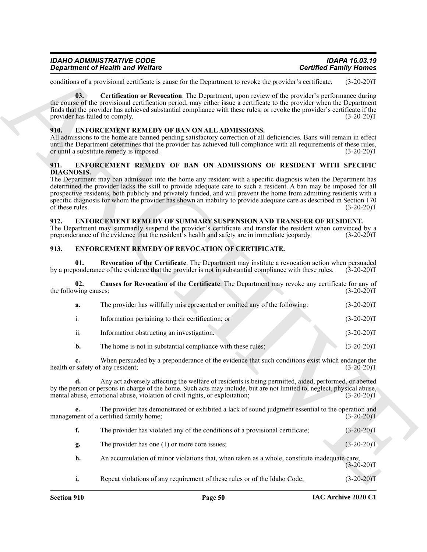| <b>IDAHO ADMINISTRATIVE CODE</b>        | <b>IDAPA 16.03.19</b>         |
|-----------------------------------------|-------------------------------|
| <b>Department of Health and Welfare</b> | <b>Certified Family Homes</b> |

conditions of a provisional certificate is cause for the Department to revoke the provider's certificate. (3-20-20)T

<span id="page-50-6"></span>**03. Certification or Revocation**. The Department, upon review of the provider's performance during the course of the provisional certification period, may either issue a certificate to the provider when the Department finds that the provider has achieved substantial compliance with these rules, or revoke the provider's certificate if the provider has failed to comply. (3-20-20) provider has failed to comply.

#### <span id="page-50-5"></span><span id="page-50-0"></span>**910. ENFORCEMENT REMEDY OF BAN ON ALL ADMISSIONS.**

All admissions to the home are banned pending satisfactory correction of all deficiencies. Bans will remain in effect until the Department determines that the provider has achieved full compliance with all requirements of these rules, or until a substitute remedy is imposed. (3-20-20) or until a substitute remedy is imposed.

#### <span id="page-50-4"></span><span id="page-50-1"></span>**911. ENFORCEMENT REMEDY OF BAN ON ADMISSIONS OF RESIDENT WITH SPECIFIC DIAGNOSIS.**

The Department may ban admission into the home any resident with a specific diagnosis when the Department has determined the provider lacks the skill to provide adequate care to such a resident. A ban may be imposed for all prospective residents, both publicly and privately funded, and will prevent the home from admitting residents with a specific diagnosis for whom the provider has shown an inability to provide adequate care as described in Section 170 of these rules. (3-20-20)T

#### <span id="page-50-10"></span><span id="page-50-2"></span>**912. ENFORCEMENT REMEDY OF SUMMARY SUSPENSION AND TRANSFER OF RESIDENT.**

The Department may summarily suspend the provider's certificate and transfer the resident when convinced by a preponderance of the evidence that the resident's health and safety are in immediate jeopardy. (3-20-20)T

#### <span id="page-50-7"></span><span id="page-50-3"></span>**913. ENFORCEMENT REMEDY OF REVOCATION OF CERTIFICATE.**

<span id="page-50-9"></span><span id="page-50-8"></span>**01. Revocation of the Certificate**. The Department may institute a revocation action when persuaded by a preponderance of the evidence that the provider is not in substantial compliance with these rules. (3-20-20)T

**Experiment of New York Wallets**<br> **Contribution of Architectic Contribution Contribution** Contribution Contribution (Contribution of Architecture Contribution (Contribution Contribution Contribution Contribution Contribut **02. Causes for Revocation of the Certificate**. The Department may revoke any certificate for any of the following causes: **a.** The provider has willfully misrepresented or omitted any of the following: (3-20-20)T i. Information pertaining to their certification; or (3-20-20)T ii. Information obstructing an investigation. (3-20-20)T **b.** The home is not in substantial compliance with these rules; (3-20-20) **c.** When persuaded by a preponderance of the evidence that such conditions exist which endanger the safety of any resident; (3-20-20) health or safety of any resident; **d.** Any act adversely affecting the welfare of residents is being permitted, aided, performed, or abetted by the person or persons in charge of the home. Such acts may include, but are not limited to, neglect, physical abuse, mental abuse, emotional abuse, violation of civil rights, or exploitation; (3-20-20)T

**e.** The provider has demonstrated or exhibited a lack of sound judgment essential to the operation and management of a certified family home; (3-20-20)T

| The provider has violated any of the conditions of a provisional certificate;                                                                                                                                                                                                            | $(3-20-20)T$ |
|------------------------------------------------------------------------------------------------------------------------------------------------------------------------------------------------------------------------------------------------------------------------------------------|--------------|
| The provider has one (1) or more core issues;                                                                                                                                                                                                                                            | $(3-20-20)T$ |
| $\mathbf{1}$ , and $\mathbf{0}$ , and $\mathbf{1}$ , and $\mathbf{1}$ , and $\mathbf{1}$ , and $\mathbf{1}$ , and $\mathbf{1}$ , and $\mathbf{1}$ , and $\mathbf{1}$ , and $\mathbf{1}$ , and $\mathbf{1}$ , and $\mathbf{1}$ , and $\mathbf{1}$ , and $\mathbf{1}$ , and $\mathbf{1}$ , |              |

- **h.** An accumulation of minor violations that, when taken as a whole, constitute inadequate care;  $(3-20-20)T$
- **i.** Repeat violations of any requirement of these rules or of the Idaho Code;  $(3-20-20)$ T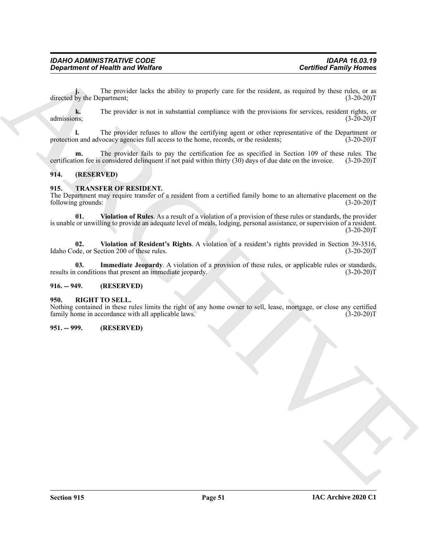**j.** The provider lacks the ability to properly care for the resident, as required by these rules, or as directed by the Department; (3-20-20)T

**k.** The provider is not in substantial compliance with the provisions for services, resident rights, or admissions; (3-20-20)T

**l.** The provider refuses to allow the certifying agent or other representative of the Department or protection and advocacy agencies full access to the home, records, or the residents;  $(3-20-20)$ T

**m.** The provider fails to pay the certification fee as specified in Section 109 of these rules. The certification fee is considered delinquent if not paid within thirty (30) days of due date on the invoice. (3-20-20)T

#### <span id="page-51-0"></span>**914. (RESERVED)**

#### <span id="page-51-6"></span><span id="page-51-1"></span>**915. TRANSFER OF RESIDENT.**

<span id="page-51-9"></span>The Department may require transfer of a resident from a certified family home to an alternative placement on the following grounds: (3-20-20)T

**Contributed of New York is a set of the state of the state of the state of the state of the state of the state of the state of the state of the state of the state of the state of the state of the state of the state of th 01. Violation of Rules**. As a result of a violation of a provision of these rules or standards, the provider is unable or unwilling to provide an adequate level of meals, lodging, personal assistance, or supervision of a resident.  $(3-20-20)T$ 

<span id="page-51-8"></span>**02. Violation of Resident's Rights**. A violation of a resident's rights provided in Section 39-3516, Idaho Code, or Section 200 of these rules. (3-20-20)T

<span id="page-51-7"></span>**03.** Immediate Jeopardy. A violation of a provision of these rules, or applicable rules or standards, conditions that present an immediate jeopardy. (3-20-20) results in conditions that present an immediate jeopardy.

#### <span id="page-51-2"></span>**916. -- 949. (RESERVED)**

#### <span id="page-51-5"></span><span id="page-51-3"></span>**950. RIGHT TO SELL.**

Nothing contained in these rules limits the right of any home owner to sell, lease, mortgage, or close any certified family home in accordance with all applicable laws. (3-20-20) family home in accordance with all applicable laws.

#### <span id="page-51-4"></span>**951. -- 999. (RESERVED)**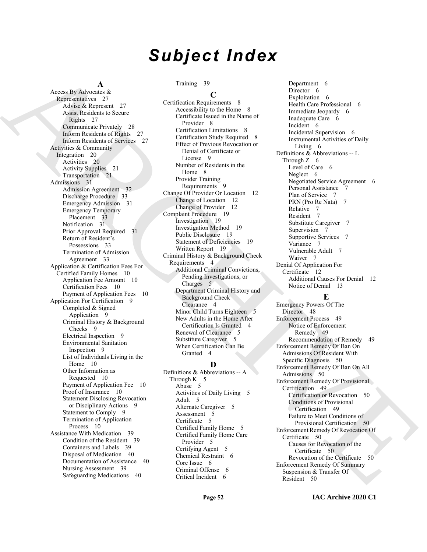# *Subject Index*

#### **A**

[A](#page-27-2)ccord By Animal Andre a time of December 2 December 2 December 2 December 2 December 2 December 2 December 2 December 2 December 2 December 2 December 2 December 2 December 2 December 2 December 2 December 2 December 2 D Access By Advocates & Representatives 27 Advise & Represent 27 Assist Residents to Secure Rights 27 Communicate Privately 28 Inform Residents of Rights 27 Inform Residents of Services 27 Activities & Community Integration 20 Activities 20 Activity Supplies 21 Transportation 21 Admissions 31 Admission Agreement 32 Discharge Procedure 33 Emergency Admission 31 Emergency Temporary Placement 33 Notification 31 Prior Approval Required 31 Return of Resident's Possessions 33 Termination of Admission Agreement 33 Application & Certification Fees For Certified Family Homes 10 Application Fee Amount 10 Certification Fees 10 Payment of Application Fees 10 Application For Certification 9 Completed & Signed Application 9 Criminal History & Background Checks<sub>9</sub> Electrical Inspection 9 Environmental Sanitation Inspection 9 List of Individuals Living in the Home 10 Other Information as Requested 10 Payment of Application Fee 10 Proof of Insurance 10 Statement Disclosing Revocation or Disciplinary Actions 9 Statement to Comply 9 Termination of Application Process 10 Assistance With Medication 39 Condition of the Resident 39 Containers and Labels 39 Disposal of Medication 40 Documentation of Assistance 40 Nursing Assessment 39 Safeguarding Medications 40

#### Training 39

#### **C**

Certification Requirements 8 Accessibility to the Home 8 Certificate Issued in the Name of Provider 8 Certification Limitations 8 Certification Study Required 8 Effect of Previous Revocation or Denial of Certificate or License 9 Number of Residents in the Home 8 Provider Training Requirements 9 Change Of Provider Or Location 12 Change of Location 12 Change of Provider 12 Complaint Procedure 19 Investigation 19 Investigation Method 19 Public Disclosure 19 Statement of Deficiencies 19 Written Report 19 Criminal History & Background Check Requirements 4 Additional Criminal Convictions, Pending Investigations, or Charges 5 Department Criminal History and Background Check Clearance 4 Minor Child Turns Eighteen 5 New Adults in the Home After Certification Is Granted 4 Renewal of Clearance 5 Substitute Caregiver 5 When Certification Can Be Granted 4

### **D**

Definitions & Abbreviations -- A Through  $K<sub>5</sub>$ Abuse 5 Activities of Daily Living 5 Adult 5 Alternate Caregiver 5 Assessment 5 Certificate 5 Certified Family Home 5 Certified Family Home Care Provider 5 Certifying Agent 5 Chemical Restraint 6 Core Issue 6 Criminal Offense 6 Critical Incident 6

Department 6 Director 6 Exploitation 6 Health Care Professional 6 Immediate Jeopardy 6 Inadequate Care 6 Incident 6 Incidental Supervision 6 Instrumental Activities of Daily Living 6 Definitions & Abbreviations -- L Through  $Z \quad 6$ Level of Care 6 Neglect 6 Negotiated Service Agreement 6 Personal Assistance 7 Plan of Service 7 PRN (Pro Re Nata) 7 Relative 7 Resident 7 Substitute Caregiver 7 Supervision 7 Supportive Services 7 Variance 7 Vulnerable Adult 7 Waiver 7 Denial Of Application For Certificate 12 Additional Causes For Denial 12 Notice of Denial 13

#### **E**

Emergency Powers Of The Director 48 Enforcement Process 49 Notice of Enforcement Remedy 49 Recommendation of Remedy 49 Enforcement Remedy Of Ban On Admissions Of Resident With Specific Diagnosis 50 Enforcement Remedy Of Ban On All Admissions 50 Enforcement Remedy Of Provisional Certification 49 Certification or Revocation 50 Conditions of Provisional Certification 49 Failure to Meet Conditions of Provisional Certification 50 Enforcement Remedy Of Revocation Of Certificate 50 Causes for Revocation of the Certificate 50 Revocation of the Certificate 50 Enforcement Remedy Of Summary Suspension & Transfer Of Resident 50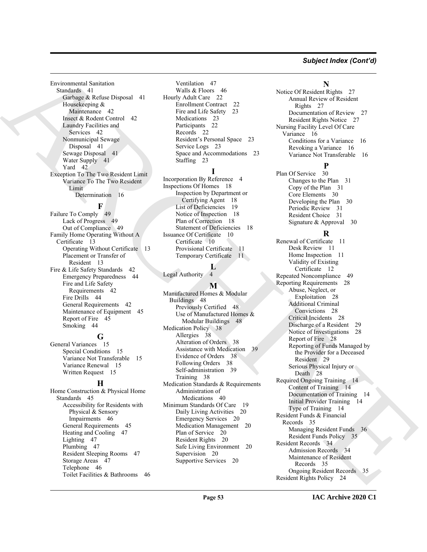#### *Subject Index (Cont'd)*

Environmental Sanitation Standards 41 Garbage & Refuse Disposal 41 Housekeeping & Maintenance 42 Insect & Rodent Control 42 Laundry Facilities and Services 42 Nonmunicipal Sewage Disposal 41 Sewage Disposal 41 Water Supply 41 Yard 42 Exception To The Two Resident Limit Variance To The Two Resident Limit Determination 16

**F** Failure To Comply 49 Lack of Progress 49 Out of Compliance 49 Family Home Operating Without A Certificate 13 Operating Without Certificate 13 Placement or Transfer of Resident 13 Fire & Life Safety Standards 42 Emergency Preparedness 44 Fire and Life Safety Requirements 42 Fire Drills 44 General Requirements 42 Maintenance of Equipment 45 Report of Fire 45 Smoking 44

#### **G**

General Variances 15 Special Conditions 15 Variance Not Transferable 15 Variance Renewal 15 Written Request 15

#### **H**

Home Construction & Physical Home Standards 45 Accessibility for Residents with Physical & Sensory Impairments 46 General Requirements 45 Heating and Cooling 47 Lighting 47 Plumbing 47 Resident Sleeping Rooms 47 Storage Areas 47 Telephone 46 Toilet Facilities & Bathrooms 46

Ventilation 47 Walls & Floors 46 Hourly Adult Care 22 Enrollment Contract 22 Fire and Life Safety 23 Medications 23 Participants 22 Records 22 Resident's Personal Space 23 Service Logs 23 Space and Accommodations 23 Staffing 23

#### **I**

Incorporation By Reference 4 Inspections Of Homes 18 Inspection by Department or Certifying Agent 18 List of Deficiencies 19 Notice of Inspection 18 Plan of Correction 18 Statement of Deficiencies 18 Issuance Of Certificate 10 Certificate 10 Provisional Certificate 11 Temporary Certificate 11

#### **L** Legal Authority 4

**M** Manufactured Homes & Modular Buildings 48 Previously Certified 48 Use of Manufactured Homes & Modular Buildings 48 Medication Policy 38 Allergies 38 Alteration of Orders 38 Assistance with Medication 39 Evidence of Orders 38 Following Orders 38 Self-administration 39 Training 38 Medication Standards & Requirements Administration of Medications 40 Minimum Standards Of Care 19 Daily Living Activities 20 Emergency Services 20 Medication Management 20 Plan of Service 20 Resident Rights 20 Safe Living Environment 20 Supervision 20 Supportive Services 20

#### **N**

Notice Of Resident Rights 27 Annual Review of Resident Rights 27 Documentation of Review 27 Resident Rights Notice 27 Nursing Facility Level Of Care Variance 16 Conditions for a Variance 16 Revoking a Variance 16 Variance Not Transferable 16

#### **P**

Plan Of Service 30 Changes to the Plan 31 Copy of the Plan 31 Core Elements 30 Developing the Plan 30 Periodic Review 31 Resident Choice 31 Signature & Approval 30

#### **R**

Line [C](#page-18-3)onsidered the Considered Considered Considered Considered Considered Considered the Considered Considered Considered Considered Considered Considered Considered Considered Considered Considered Considered Considered Renewal of Certificate 11 Desk Review 11 Home Inspection 11 Validity of Existing Certificate 12 Repeated Noncompliance 49 Reporting Requirements 28 Abuse, Neglect, or Exploitation 28 Additional Criminal Convictions 28 Critical Incidents 28 Discharge of a Resident 29 Notice of Investigations 28 Report of Fire 28 Reporting of Funds Managed by the Provider for a Deceased Resident 29 Serious Physical Injury or Death 28 Required Ongoing Training 14 Content of Training 14 Documentation of Training 14 Initial Provider Training 14 Type of Training 14 Resident Funds & Financial Records 35 Managing Resident Funds 36 Resident Funds Policy 35 Resident Records 34 Admission Records 34 Maintenance of Resident Records 35 Ongoing Resident Records 35 Resident Rights Policy 24